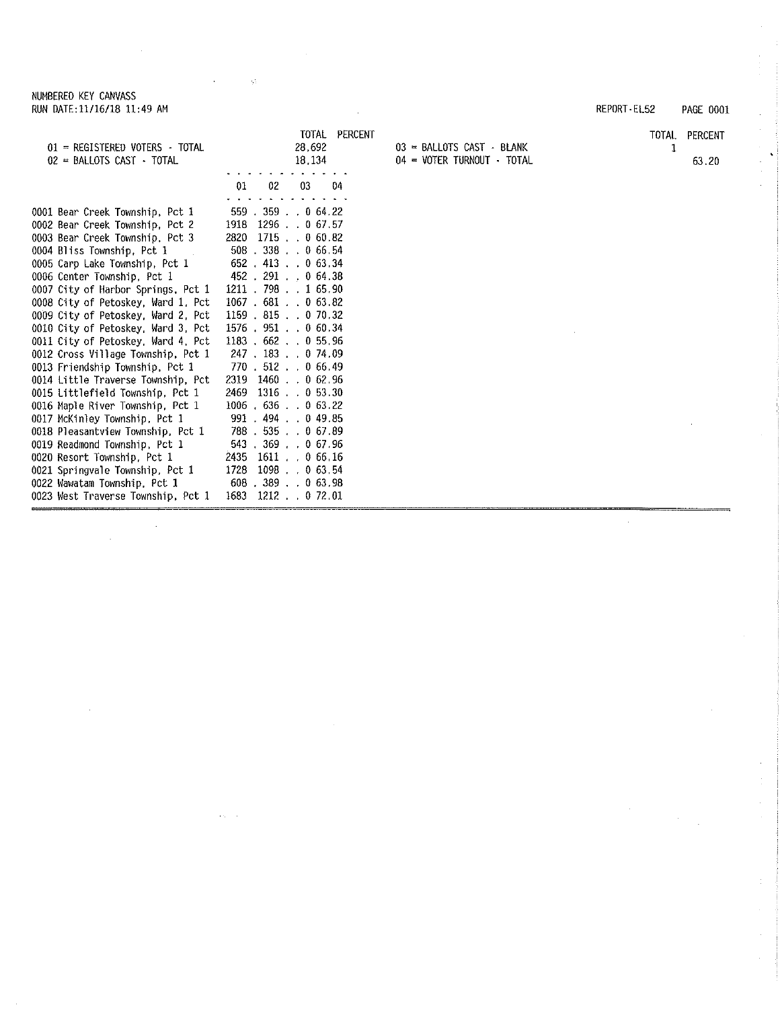$\sim$ 

 $\bar{z}$ 

 $\bar{z}$ 

 $\alpha$  is  $\beta$  .

 $\sim 10$ 

Service State

|                                                                     | TOTAL PERCENT               |                                                             | TOTAL | PERCENT |
|---------------------------------------------------------------------|-----------------------------|-------------------------------------------------------------|-------|---------|
| 01 = REGISTERED VOTERS - TOTAL<br>$02$ = BALLOTS CAST $\cdot$ TOTAL | 28,692<br>18, 134           | $03$ = BALLOTS CAST - BLANK<br>$04 - VOTER TURNOUT - TOTAL$ | 1     | 63.20   |
|                                                                     |                             |                                                             |       |         |
|                                                                     | 01<br>02<br>03<br>04        |                                                             |       |         |
|                                                                     |                             |                                                             |       |         |
| 0001 Bear Creek Township, Pct 1                                     | $559$ $.359$ $. 064.22$     |                                                             |       |         |
| 0002 Bear Creek Township, Pct 2                                     | 1918 1296 0 67.57           |                                                             |       |         |
| 0003 Bear Creek Township, Pct 3                                     | 2820 1715 0 60.82           |                                                             |       |         |
| 0004 Bliss Township, Pct 1                                          | 508 338 0 66.54             |                                                             |       |         |
| 0005 Carp Lake Township, Pct 1                                      | $652$ 413 0 63.34           |                                                             |       |         |
| 0006 Center Township, Pct 1                                         | 452 291 0 64.38             |                                                             |       |         |
| 0007 City of Harbor Springs, Pct 1                                  | $1211$ . 798 1 65.90        |                                                             |       |         |
| 0008 City of Petoskey, Ward 1, Pct                                  | 1067.681.063.82             |                                                             |       |         |
| 0009 City of Petoskey, Ward 2, Pct                                  | $1159$ , $815$ , $070.32$   |                                                             |       |         |
| 0010 City of Petoskey, Ward 3, Pct                                  | $1576$ , $951$ , , 0 60, 34 |                                                             |       |         |
| 0011 City of Petoskey, Ward 4, Pct                                  | $1183$ , 662 , 0 55,96      |                                                             |       |         |
| 0012 Cross Village Township, Pct 1                                  | 247 . 183 0 74.09           |                                                             |       |         |
| 0013 Friendship Township, Pct 1                                     | 770 . 512 . 0 66.49         |                                                             |       |         |
| 0014 Little Traverse Township, Pct                                  | 2319 1460 . 0 62.96         |                                                             |       |         |
| 0015 Littlefield Township, Pct 1                                    | 1316 0 53.30<br>2469        |                                                             |       |         |
| 0016 Maple River Township, Pct 1                                    | $1006$ , 636, 063.22        |                                                             |       |         |
| 0017 McKinley Township, Pct 1                                       | 991.494.044.95              |                                                             |       |         |
| 0018 Pleasantview Township, Pct 1                                   | 788.535.067.89              |                                                             |       |         |
| 0019 Readmond Township, Pct 1                                       | 543 . 369 0 67.96           |                                                             |       |         |
| 0020 Resort Township, Pct 1                                         | 1611 0 66.16<br>2435        |                                                             |       |         |
| 0021 Springvale Township, Pct 1                                     | 1728<br>1098 0 63.54        |                                                             |       |         |
| 0022 Wawatam Township, Pct 1                                        | 608 389 0 63.98             |                                                             |       |         |
| 0023 West Traverse Township, Pct 1                                  | 1683 1212 . 0 72.01         |                                                             |       |         |

REPORT· EL52 PAGE 0001

 $\mathcal{L}_{\mathcal{L}}$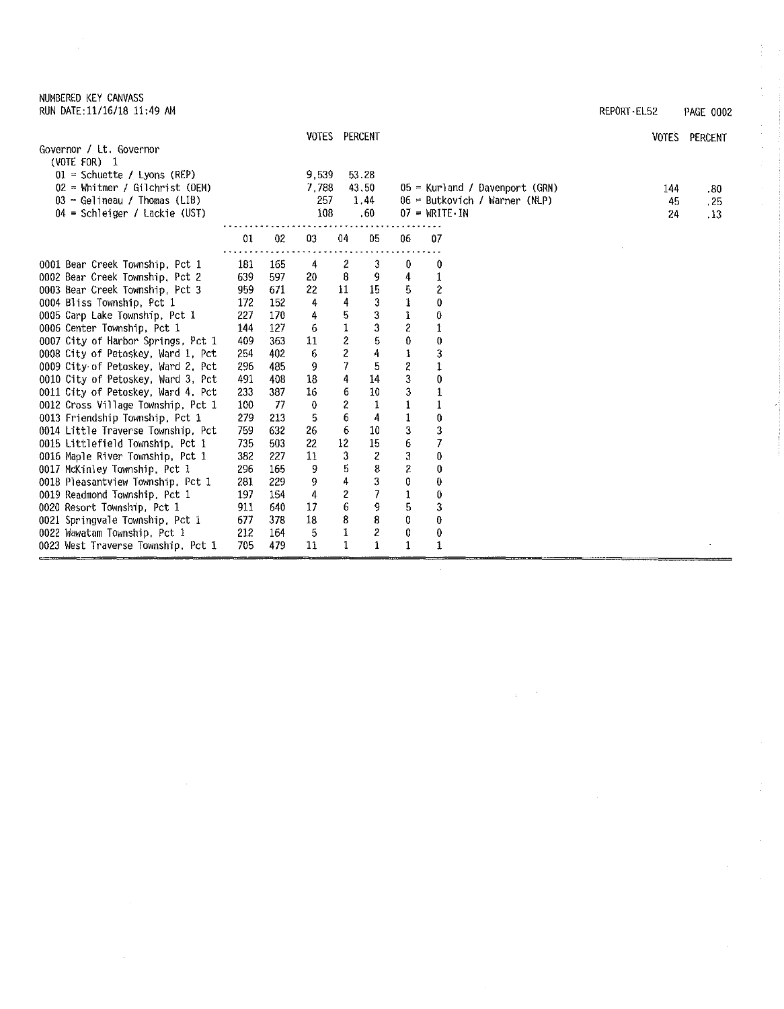| NUMBERED KEY CANVASS       |  |  |
|----------------------------|--|--|
| RUN DATE:11/16/18 11:49 AM |  |  |

 $\hat{\mathcal{A}}$ 

 $\bar{z}$ 

| RUN DATE: 11/16/18 11:49 AM               |     |     |       |                         |                                         |                  |                        |                                  | REPORT-EL52 | PAGE 0002     |
|-------------------------------------------|-----|-----|-------|-------------------------|-----------------------------------------|------------------|------------------------|----------------------------------|-------------|---------------|
|                                           |     |     |       | VOTES PERCENT           |                                         |                  |                        |                                  |             | VOTES PERCENT |
| Governor / Lt. Governor<br>(VOTE FOR) $1$ |     |     |       |                         |                                         |                  |                        |                                  |             |               |
| $01 =$ Schuette / Lyons (REP)             |     |     | 9,539 |                         | 53.28                                   |                  |                        |                                  |             |               |
| $02 =$ Whitmer / Gilchrist (DEM)          |     |     | 7,788 |                         | 43.50                                   |                  |                        | $05$ = Kurland / Davenport (GRN) | 144         | .80           |
| $03$ = Gelineau / Thomas (LIB)            |     |     | 257   |                         | 1.44                                    |                  |                        | $06$ = Butkovich / Warner (NLP)  | 45          | , 25          |
| $04$ = Schleiger / Lackie (UST)           |     |     | 108   |                         | .60                                     |                  | $07 = \text{WRITE-IN}$ |                                  | 24          | .13           |
|                                           | 01  | 02  | 03    | 04                      | 05                                      | 06               | 07                     |                                  |             |               |
| 0001 Bear Creek Township, Pct 1           | 181 | 165 | 4     | $\boldsymbol{z}$        | 3                                       | 0                | 0                      |                                  |             |               |
| 0002 Bear Creek Township, Pct 2           | 639 | 597 | 20    | 8                       | 9                                       | 4                | 1                      |                                  |             |               |
| 0003 Bear Creek Township, Pct 3           | 959 | 671 | 22    | 11                      | 15                                      | 5                | $\overline{c}$         |                                  |             |               |
| 0004 Bliss Township, Pct 1                | 172 | 152 | 4     | 4                       | 3                                       |                  | 0                      |                                  |             |               |
| 0005 Carp Lake Township. Pct 1            | 227 | 170 | 4     | 5                       | 3                                       | $\mathbf 1$      | 0                      |                                  |             |               |
| 0006 Center Township, Pct 1               | 144 | 127 | 6     | $\mathbf{1}$            | 3                                       | $\boldsymbol{c}$ | 1                      |                                  |             |               |
| 0007 City of Harbor Springs, Pct 1        | 409 | 363 | 11    | $\overline{\mathbf{c}}$ | 5                                       | 0                | 0                      |                                  |             |               |
| 0008 City of Petoskey, Ward 1, Pct        | 254 | 402 | 6     | $\overline{\mathbf{c}}$ | 4                                       | $\mathbf 1$      | 3                      |                                  |             |               |
| 0009 City of Petoskey, Ward 2, Pct        | 296 | 485 | 9     | 7                       | 5                                       | $\boldsymbol{2}$ | 1                      |                                  |             |               |
| 0010 City of Petoskey, Ward 3, Pct        | 491 | 408 | 18    | 4                       | 14                                      | 3                | 0                      |                                  |             |               |
| 0011 City of Petoskey, Ward 4, Pct        | 233 | 387 | 16    | 6                       | 10                                      | 3                | $\mathbf{1}$           |                                  |             |               |
| 0012 Cross Village Township, Pct 1        | 100 | 77  | 0     | $\overline{\mathbf{c}}$ | 1                                       | $\mathbf 1$      |                        |                                  |             |               |
| 0013 Friendship Township, Pct 1           | 279 | 213 | 5     | 6                       | 4                                       | $\,1\,$          | 0                      |                                  |             |               |
| 0014 Little Traverse Township, Pct        | 759 | 632 | 26    | 6                       | 10                                      | 3                | 3                      |                                  |             |               |
| 0015 Littlefield Township, Pct 1          | 735 | 503 | 22    | 12                      | 15                                      | 6                | 7                      |                                  |             |               |
| 0016 Maple River Township, Pct 1          | 382 | 227 | 11    | 3                       | 2                                       | 3                | 0                      |                                  |             |               |
| 0017 McKinley Township, Pct 1             | 296 | 165 | 9     | 5                       | 8                                       | $\boldsymbol{2}$ | 0                      |                                  |             |               |
| 0018 Pleasantview Township, Pct 1         | 281 | 229 | 9     | 4                       | 3                                       | 0                | $\bf{0}$               |                                  |             |               |
| 0019 Readmond Township, Pct 1             | 197 | 154 | 4     | $\overline{c}$          | 7                                       | $\mathbf 1$      | 0                      |                                  |             |               |
| 0020 Resort Township, Pct 1               | 911 | 640 | 17    | 6                       | 9                                       | 5                | 3                      |                                  |             |               |
| 0021 Springvale Township, Pct 1           | 677 | 378 | 18    | 8                       | 8                                       | 0                | 0                      |                                  |             |               |
| 0022 Wawatam Township, Pct 1              | 212 | 164 | -5    | 1<br>$\mathbf{1}$       | $\overline{\mathbf{c}}$<br>$\mathbf{1}$ | 0                | 0                      |                                  |             |               |
| 0023 West Traverse Township, Pct 1        | 705 | 479 | 11    |                         |                                         | 1                | 1                      |                                  |             |               |

 $\bar{z}$ l.

 $\sim$ 

ŧ.

 $\frac{1}{\sqrt{2}}$ 

 $\frac{1}{2}$  $\hat{\mathcal{L}}$ 

 $\hat{\boldsymbol{\theta}}$ 

 $\hat{\boldsymbol{\theta}}$ 

 $\hat{\boldsymbol{\theta}}$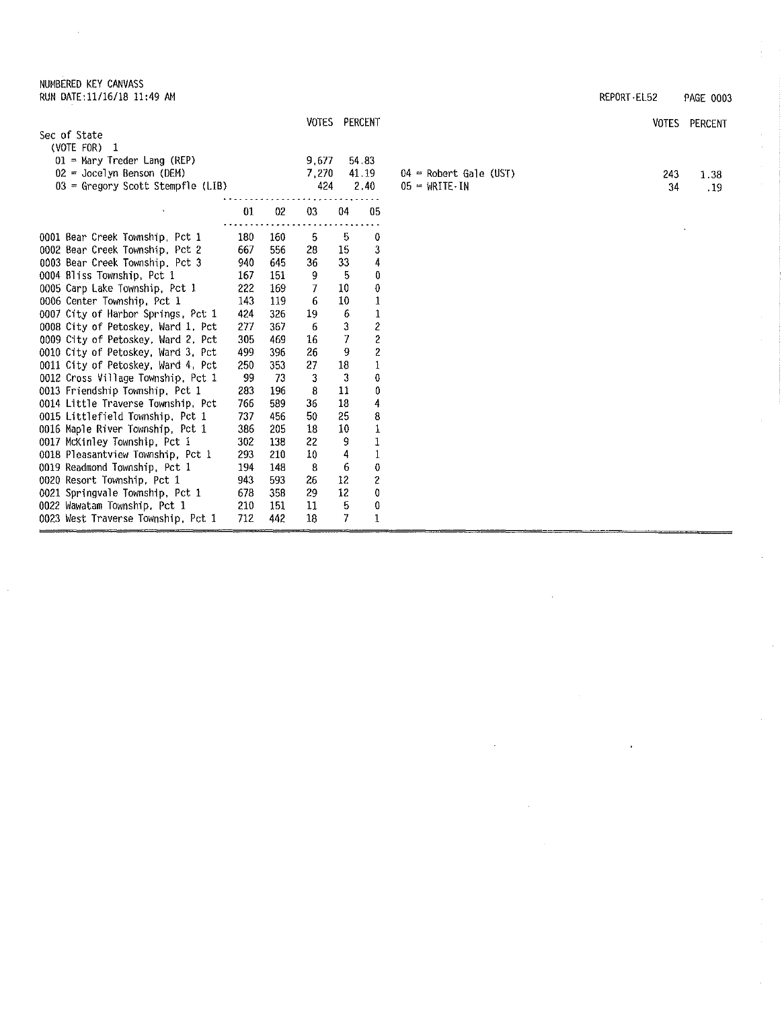## NUMBERED KEY CANVASS RUN DATE:11/16/18 11:49 AM REPORT•EL52 PAGE 0003

 $\hat{\boldsymbol{\beta}}$ 

0021 Springvale Township. Pct 1 678 358 29 12 0 0022 Wawatam Township. Pct 1 210 151 11 5 0 0023 West Traverse Township, Pct 1 712 442 18 7 1

|                                                                    |     |     |       | VOTES PERCENT |                         |                                     | <b>VOTES</b> | PERCENT |
|--------------------------------------------------------------------|-----|-----|-------|---------------|-------------------------|-------------------------------------|--------------|---------|
| Sec of State                                                       |     |     |       |               |                         |                                     |              |         |
| (VOTE FOR) $1$                                                     |     |     |       |               |                         |                                     |              |         |
| $01$ = Mary Treder Lang (REP)                                      |     |     | 9,677 |               | 54.83                   |                                     |              |         |
| $02 = Jocelyn$ Benson (DEM)                                        |     |     | 7,270 |               | 41.19                   | $04$ = Robert Gale (UST)            | 243          | 1.38    |
| 03 = Gregory Scott Stempfle (LIB)                                  |     |     | 424   |               | 2.40                    | $05 = \text{WRITE} \cdot \text{IN}$ | 34           | . 19    |
|                                                                    | 01  | 02  | 03    | 04            | 05                      |                                     |              |         |
|                                                                    | 180 | 160 | 5.    | -5            | 0                       |                                     |              |         |
| 0001 Bear Creek Township, Pct 1<br>0002 Bear Creek Township, Pct 2 | 667 | 556 | 28    | 15            | 3                       |                                     |              |         |
| 0003 Bear Creek Township, Pct 3                                    | 940 | 645 | 36    | 33            | 4                       |                                     |              |         |
| 0004 Bliss Township, Pct 1                                         | 167 | 151 | 9     | 5             | 0                       |                                     |              |         |
| 0005 Carp Lake Township, Pct 1                                     | 222 | 169 | 7     | 10            | 0                       |                                     |              |         |
| 0006 Center Township, Pct 1                                        | 143 | 119 | 6     | 10            | 1                       |                                     |              |         |
| 0007 City of Harbor Springs, Pct 1                                 | 424 | 326 | 19    | 6             |                         |                                     |              |         |
| 0008 City of Petoskey, Ward 1, Pct                                 | 277 | 367 | 6     | 3             | 2                       |                                     |              |         |
| 0009 City of Petoskey, Ward 2, Pct                                 | 305 | 469 | 16    | 7             | 2                       |                                     |              |         |
| 0010 City of Petoskey, Ward 3, Pct                                 | 499 | 396 | 26    | 9             | $\overline{\mathbf{c}}$ |                                     |              |         |
| 0011 City of Petoskey, Ward 4, Pct                                 | 250 | 353 | 27    | 18            | $\mathbf{1}$            |                                     |              |         |
| 0012 Cross Village Township, Pct 1                                 | 99  | 73  | 3     | 3             | 0                       |                                     |              |         |
| 0013 Friendship Township, Pct 1                                    | 283 | 196 | 8     | 11            | 0                       |                                     |              |         |
| 0014 Little Traverse Township, Pct                                 | 766 | 589 | 36    | 18            | 4                       |                                     |              |         |
| 0015 Littlefield Township, Pct 1                                   | 737 | 456 | 50    | 25            | 8                       |                                     |              |         |
| 0016 Maple River Township, Pct 1                                   | 386 | 205 | 18    | 10            | 1                       |                                     |              |         |
| 0017 McKinley Township, Pct 1                                      | 302 | 138 | 22    | 9             | $\,1\,$                 |                                     |              |         |
| 0018 Pleasantview Township, Pct 1                                  | 293 | 210 | 10    | 4             |                         |                                     |              |         |
| 0019 Readmond Township, Pct 1                                      | 194 | 148 | -8    | 6             | 0                       |                                     |              |         |
| 0020 Resort Township, Pct 1                                        | 943 | 593 | 26    | 12            | 2                       |                                     |              |         |

 $\hat{\mathcal{A}}$ 

 $\bar{z}$ 

 $\bar{\epsilon}$ 

 $\frac{1}{2}$ 

 $\hat{\mathcal{A}}$ 

 $\bar{u}$ 

 $\hat{\mathcal{L}}$ 

 $\hat{\boldsymbol{\theta}}$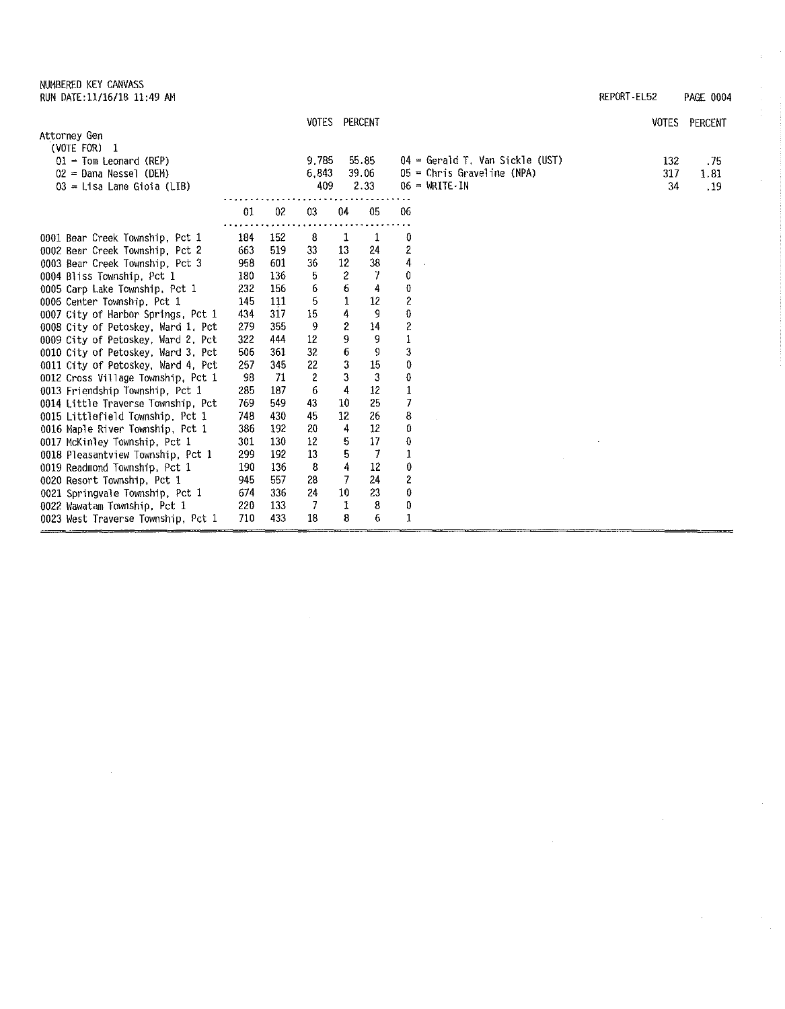| NUMBERED KEY CANVASS       |  |  |
|----------------------------|--|--|
| RUN DATE:11/16/18 11:49 AM |  |  |

| RUN DATE:11/16/18 11:49 AM | REPORT EL52 | <b>PAGE 0004</b> |
|----------------------------|-------------|------------------|

 $\bar{z}$  $\frac{1}{2}$ 

 $\sim$ 

 $\frac{1}{2}$ 

| VOTES | PERCENT |
|-------|---------|

|                                    |     |      |       | VOTES PERCENT |       |                                     | <b>VOTES</b> | PERCENT |
|------------------------------------|-----|------|-------|---------------|-------|-------------------------------------|--------------|---------|
| Attorney Gen                       |     |      |       |               |       |                                     |              |         |
| (VOTE FOR)<br>$\mathbf{1}$         |     |      |       |               |       |                                     |              |         |
| $01 =$ Tom Leonard (REP)           |     |      | 9,785 |               | 55.85 | 04 = Gerald T, Van Sickle (UST)     | 132          | .75     |
| $02$ = Dana Nessel (DEM)           |     |      | 6,843 |               | 39.06 | $05$ = Chris Graveline (NPA)        | 317          | 1.81    |
| $03$ = Lisa Lane Gioia (LIB)       |     |      | 409   |               | 2.33  | $06 = \text{WRITE} \cdot \text{IN}$ | 34           | .19     |
|                                    | 01  | 02   | 03    | 04            | 05    | 06                                  |              |         |
| 0001 Bear Creek Township, Pct 1    | 184 | -152 | 8     | 1             | 1     | 0                                   |              |         |
| 0002 Bear Creek Township, Pct 2    | 663 | 519  | 33    | 13            | 24    | $\overline{\mathbf{c}}$             |              |         |
| 0003 Bear Creek Township, Pct 3    | 958 | 601  | 36    | $12\,$        | 38    | $\overline{4}$                      |              |         |
| 0004 Bliss Township, Pct 1         | 180 | 136  | 5     | 2             | 7     | 0                                   |              |         |
| 0005 Carp Lake Township, Pct 1     | 232 | 156  | 6     | 6             | 4     | $\bf{0}$                            |              |         |
| 0006 Center Township, Pct 1        | 145 | 111  | 5     | 1             | 12    | $\overline{\mathbf{c}}$             |              |         |
| 0007 City of Harbor Springs, Pct 1 | 434 | 317  | 15    | 4             | 9     | $\boldsymbol{0}$                    |              |         |
| 0008 City of Petoskey, Ward 1, Pct | 279 | 355  | 9     | 2             | 14    | $\overline{c}$                      |              |         |
| 0009 City of Petoskey, Ward 2. Pct | 322 | 444  | 12    | 9             | 9     |                                     |              |         |
| 0010 City of Petoskey, Ward 3, Pct | 506 | 361  | 32    | 6             | 9     | 3                                   |              |         |
| 0011 City of Petoskey, Ward 4, Pct | 257 | 345  | 22    | 3             | 15    | 0                                   |              |         |
| 0012 Cross Village Township, Pct 1 | 98  | 71   | 2     | 3             | 3     | $\bf{0}$                            |              |         |
| 0013 Friendship Township, Pct 1    | 285 | 187  | 6     | 4             | 12    | $\mathbf{1}$                        |              |         |
| 0014 Little Traverse Township, Pct | 769 | 549  | 43    | 10            | 25    | 7                                   |              |         |
| 0015 Littlefield Township, Pct 1   | 748 | 430  | 45    | 12            | 26    | $\bf8$                              |              |         |
| 0016 Maple River Township, Pct 1   | 386 | 192  | 20    | 4             | 12    | 0                                   |              |         |
| 0017 McKinley Township, Pct 1      | 301 | 130  | 12    | 5             | 17    | 0                                   |              |         |
| 0018 Pleasantview Township, Pct 1  | 299 | 192  | 13    | 5             | 7     | $\mathbf{1}$                        |              |         |
| 0019 Readmond Township, Pct 1      | 190 | 136  | 8     | 4             | 12    | $\bf{0}$                            |              |         |
| 0020 Resort Township, Pct 1        | 945 | 557  | 28    | 7             | 24    | $\overline{c}$                      |              |         |
| 0021 Springvale Township, Pct 1    | 674 | 336  | 24    | 10            | 23    | $\bf{0}$                            |              |         |
| 0022 Wawatam Township, Pct 1       | 220 | 133  | 7     | 1             | 8     | 0                                   |              |         |
| 0023 West Traverse Township, Pct 1 | 710 | 433  | 18    | 8             | 6     | $\mathbf{1}$                        |              |         |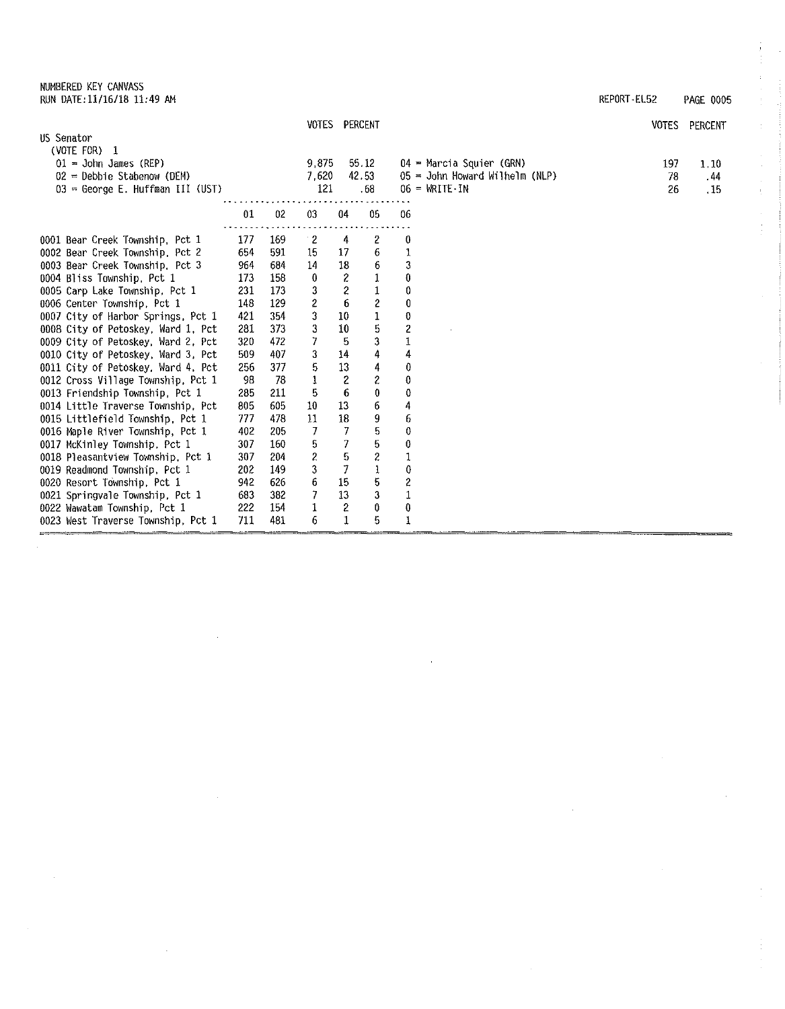NUMBERED KEY CANVASS RUN DATE:11/16/18 11:49 AM REPORT• EL52 PAGE 0005

|                                                              |            |             | VOTES PERCENT |              |       |                  |                                     | <b>VOTES</b> | PERCENT |
|--------------------------------------------------------------|------------|-------------|---------------|--------------|-------|------------------|-------------------------------------|--------------|---------|
| US Senator                                                   |            |             |               |              |       |                  |                                     |              |         |
| (VOTE FOR) 1                                                 |            |             |               |              |       |                  |                                     |              |         |
| $01 =$ John James (REP)                                      |            |             | 9.875         |              | 55.12 |                  | $04$ = Marcia Squier (GRN)          | 197          | 1.10    |
| $02$ = Debbie Stabenow (DEM)                                 |            |             | 7.620         |              | 42.53 |                  | $05 =$ John Howard Wilhelm (NLP)    | 78           | . 44    |
| $03 =$ George E. Huffman III (UST)                           |            |             | 121           |              | .68   |                  | $06 = \text{WRITE} \cdot \text{IN}$ | 26           | . 15    |
|                                                              |            |             |               |              |       |                  |                                     |              |         |
|                                                              | 01         | 02          | 03            | 04           | 05    | 06               |                                     |              |         |
|                                                              |            |             |               |              |       |                  |                                     |              |         |
| 0001 Bear Creek Township, Pct 1                              | 177        | 169         | $\cdot$ 2     | 4            | 2     | 0                |                                     |              |         |
| 0002 Bear Creek Township, Pct 2                              | 654        | 591         | 15            | 17           | 6     |                  |                                     |              |         |
| 0003 Bear Creek Township, Pct 3                              | 964<br>173 | 684<br>-158 | 14            | 18           | 6     | 3<br>0           |                                     |              |         |
| 0004 Bliss Township, Pct 1<br>0005 Carp Lake Township, Pct 1 | 231        | 173         | 0<br>3        | 2<br>2       |       | 0                |                                     |              |         |
| 0006 Center Township, Pct 1                                  | 148        | -129        | 2             | 6            | 2     | 0                |                                     |              |         |
| 0007 City of Harbor Springs, Pct 1                           | 421        | 354         | 3             | 10           |       | 0                |                                     |              |         |
| 0008 City of Petoskey, Ward 1, Pct                           | 281        | 373         | 3             | 10           | 5     | 2                |                                     |              |         |
| 0009 City of Petoskey, Ward 2, Pct                           | 320        | 472         | 7             | 5            | 3     |                  |                                     |              |         |
| 0010 City of Petoskey, Ward 3, Pct                           | 509        | 407         | 3             | 14           | 4     | 4                |                                     |              |         |
| 0011 City of Petoskey, Ward 4, Pct                           | 256        | 377         | 5             | 13           | 4     | 0                |                                     |              |         |
| 0012 Cross Village Township, Pct 1                           | 98         | 78          | 1             | 2            | 2     | 0                |                                     |              |         |
| 0013 Friendship Township, Pct 1                              | 285        | 211         | 5             | 6            | 0     | 0                |                                     |              |         |
| 0014 Little Traverse Township, Pct                           | 805        | 605         | 10            | 13           | 6     | 4                |                                     |              |         |
| 0015 Littlefield Township. Pct 1                             | 777        | 478         | 11            | 18           | 9     | 6                |                                     |              |         |
| 0016 Maple River Township, Pct 1                             | 402        | 205         | 7             | 7            | 5     | 0                |                                     |              |         |
| 0017 McKinley Township, Pct 1                                | 307        | 160         | 5             | 7            | 5     | 0                |                                     |              |         |
| 0018 Pleasantview Township, Pct 1                            | 307        | 204         | 2             | 5            | 2     |                  |                                     |              |         |
| 0019 Readmond Township, Pct 1                                | 202        | 149         | 3             | 7            | 1     | 0                |                                     |              |         |
| 0020 Resort Township, Pct 1                                  | 942        | 626         | 6             | 15           | 5     | $\boldsymbol{z}$ |                                     |              |         |
| 0021 Springvale Township, Pct 1                              | 683        | 382         | 7             | 13           | 3     |                  |                                     |              |         |
| 0022 Wawatam Township, Pct 1                                 | 222        | 154         | 1             | 2            | 0     | $\bf{0}$         |                                     |              |         |
| 0023 West Traverse Township, Pct 1                           | 711        | 481         | 6             | $\mathbf{1}$ | 5     | $\mathbf{1}$     |                                     |              |         |
|                                                              |            |             |               |              |       |                  |                                     |              |         |

 $\frac{1}{2}$ 

 $\hat{\psi}$ 

 $\begin{array}{c} 0 \\ 0 \\ 0 \\ 0 \end{array}$ 

 $\bar{\rm t}$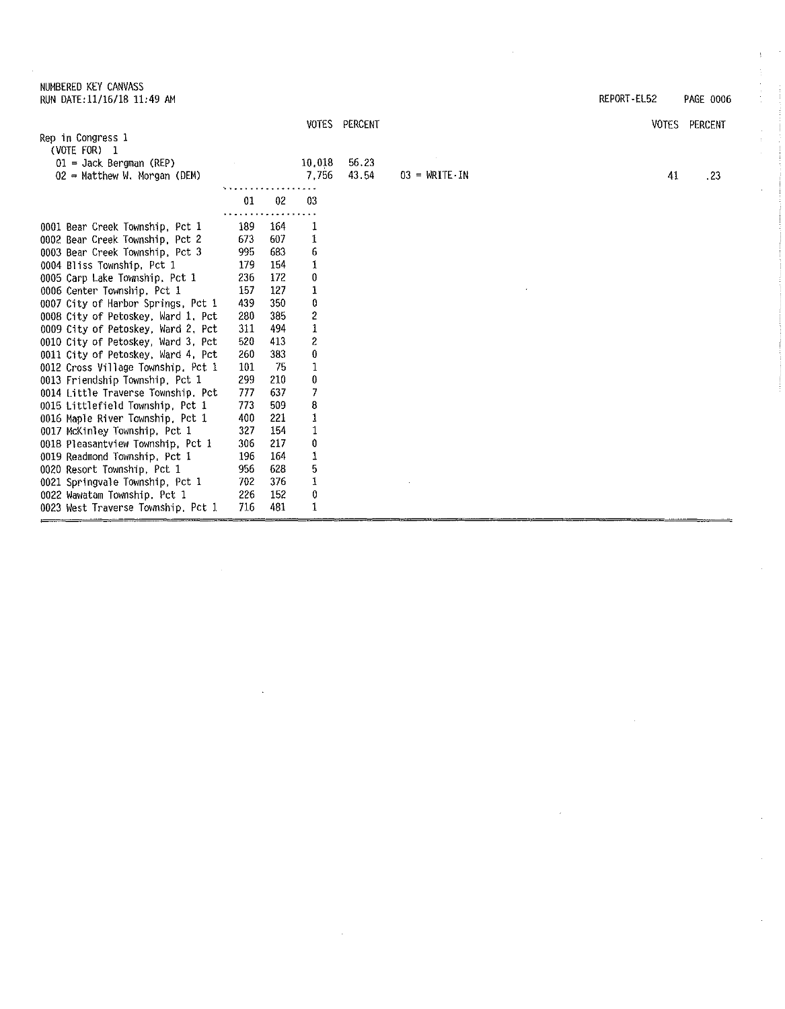NUMBERED KEY CANVASS RUN DATE:11/16/18 11:49 AM REPORT-EL52 PAGE 0006

 $\mathcal{A}^{\prime}$ 

 $\hat{\boldsymbol{\gamma}}$ 

 $\sim$ 

 $\frac{1}{2}$ 

ti<br>1

 $\epsilon$ 

 $\bar{z}$ 

|                                    |     |     |                         | VOTES PERCENT |                                     | VOTES | PERCENT |
|------------------------------------|-----|-----|-------------------------|---------------|-------------------------------------|-------|---------|
| Rep in Congress 1                  |     |     |                         |               |                                     |       |         |
| (VOTE FOR) 1                       |     |     |                         |               |                                     |       |         |
| $01 =$ Jack Bergman (REP)          |     |     | 10.018                  | 56.23         |                                     |       |         |
| $02$ = Matthew W. Morgan (DEM)     |     |     | 7,756                   | 43.54         | $03 = \text{WRTTE} \cdot \text{IN}$ | 41    | .23     |
|                                    |     |     |                         |               |                                     |       |         |
|                                    | 01  | 02  | 03                      |               |                                     |       |         |
| 0001 Bear Creek Township, Pct 1    | 189 | 164 | ı                       |               |                                     |       |         |
| 0002 Bear Creek Township, Pct 2    | 673 | 607 | 1                       |               |                                     |       |         |
| 0003 Bear Creek Township, Pct 3    | 995 | 683 | 6                       |               |                                     |       |         |
| 0004 Bliss Township, Pct 1         | 179 | 154 |                         |               |                                     |       |         |
| 0005 Carp Lake Township, Pct 1     | 236 | 172 | 0                       |               |                                     |       |         |
| 0006 Center Township, Pct 1        | 157 | 127 | 1                       |               |                                     |       |         |
| 0007 City of Harbor Springs, Pct 1 | 439 | 350 | 0                       |               |                                     |       |         |
| 0008 City of Petoskey, Ward 1, Pct | 280 | 385 | $\overline{\mathbf{c}}$ |               |                                     |       |         |
| 0009 City of Petoskey, Ward 2, Pct | 311 | 494 | $\mathbf{1}$            |               |                                     |       |         |
| 0010 City of Petoskey, Ward 3, Pct | 520 | 413 | 2                       |               |                                     |       |         |
| 0011 City of Petoskey, Ward 4, Pct | 260 | 383 | 0                       |               |                                     |       |         |
| 0012 Cross Village Township, Pct 1 | 101 | 75  |                         |               |                                     |       |         |
| 0013 Friendship Township, Pct 1    | 299 | 210 | 0                       |               |                                     |       |         |
| 0014 Little Traverse Township, Pct | 777 | 637 | 7                       |               |                                     |       |         |
| 0015 Littlefield Township, Pct 1   | 773 | 509 | 8                       |               |                                     |       |         |
| 0016 Maple River Township, Pct 1   | 400 | 221 | 1                       |               |                                     |       |         |
| 0017 McKinley Township, Pct 1      | 327 | 154 |                         |               |                                     |       |         |
| 0018 Pleasantview Township, Pct 1  | 306 | 217 | 0                       |               |                                     |       |         |
| 0019 Readmond Township, Pct 1      | 196 | 164 | 1                       |               |                                     |       |         |
| 0020 Resort Township, Pct 1        | 956 | 628 | 5                       |               |                                     |       |         |
| 0021 Springvale Township, Pct 1    | 702 | 376 | 1                       |               |                                     |       |         |
| 0022 Wawatam Township, Pct 1       | 226 | 152 | 0                       |               |                                     |       |         |
| 0023 West Traverse Township, Pct 1 | 716 | 481 | 1                       |               |                                     |       |         |

 $\bar{\gamma}$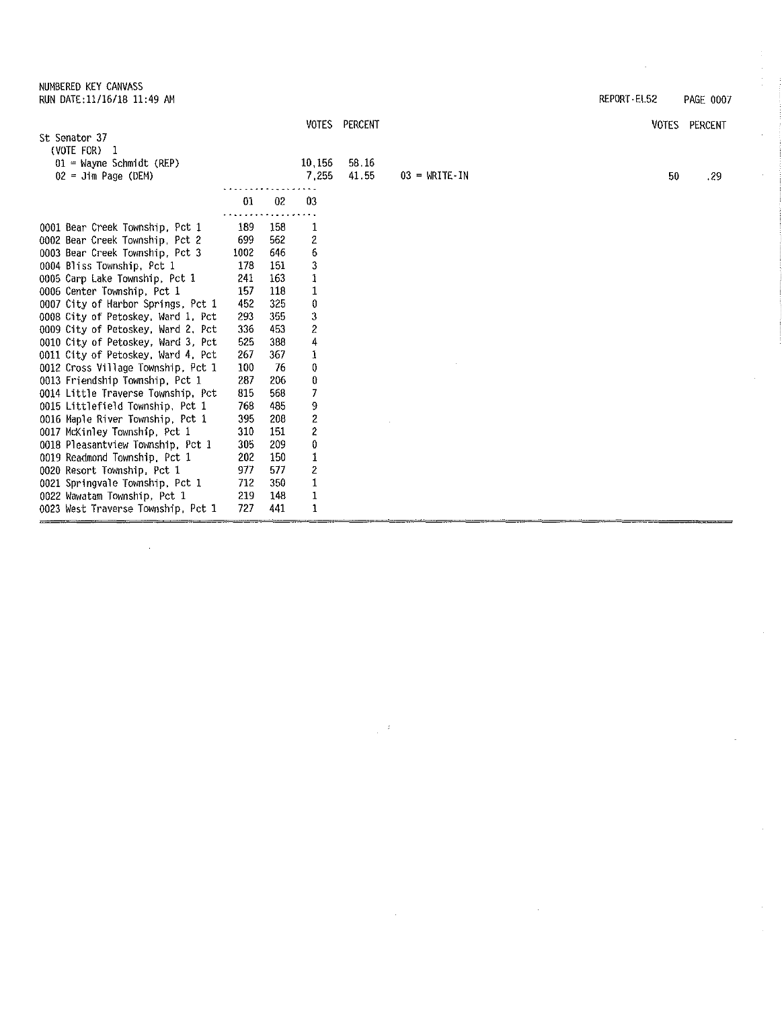|      |                                                                                                              |                                                                                                             |                                                                                                                                                 |                        | REPORT-EL52 | PAGE 0007     |
|------|--------------------------------------------------------------------------------------------------------------|-------------------------------------------------------------------------------------------------------------|-------------------------------------------------------------------------------------------------------------------------------------------------|------------------------|-------------|---------------|
|      |                                                                                                              | <b>VOTES</b>                                                                                                | PERCENT                                                                                                                                         |                        |             | VOTES PERCENT |
|      |                                                                                                              |                                                                                                             |                                                                                                                                                 |                        |             |               |
|      |                                                                                                              | 10,156<br>7,255                                                                                             | 58.16<br>41.55                                                                                                                                  | $03 = \text{WRITE-IN}$ | 50          | .29           |
| 01   | 02                                                                                                           | 03                                                                                                          |                                                                                                                                                 |                        |             |               |
|      |                                                                                                              |                                                                                                             |                                                                                                                                                 |                        |             |               |
| 699  | 562                                                                                                          |                                                                                                             |                                                                                                                                                 |                        |             |               |
| 1002 | 646                                                                                                          | 6                                                                                                           |                                                                                                                                                 |                        |             |               |
| 178  | 151                                                                                                          | 3                                                                                                           |                                                                                                                                                 |                        |             |               |
| 241  | 163                                                                                                          | 1                                                                                                           |                                                                                                                                                 |                        |             |               |
| 157  | 118                                                                                                          | 1                                                                                                           |                                                                                                                                                 |                        |             |               |
|      |                                                                                                              | 0                                                                                                           |                                                                                                                                                 |                        |             |               |
|      |                                                                                                              |                                                                                                             |                                                                                                                                                 |                        |             |               |
|      |                                                                                                              |                                                                                                             |                                                                                                                                                 |                        |             |               |
|      |                                                                                                              |                                                                                                             |                                                                                                                                                 |                        |             |               |
|      |                                                                                                              |                                                                                                             |                                                                                                                                                 |                        |             |               |
|      |                                                                                                              |                                                                                                             |                                                                                                                                                 |                        |             |               |
|      |                                                                                                              |                                                                                                             |                                                                                                                                                 |                        |             |               |
|      |                                                                                                              |                                                                                                             |                                                                                                                                                 |                        |             |               |
|      |                                                                                                              |                                                                                                             |                                                                                                                                                 |                        |             |               |
|      |                                                                                                              |                                                                                                             |                                                                                                                                                 |                        |             |               |
|      |                                                                                                              |                                                                                                             |                                                                                                                                                 |                        |             |               |
|      |                                                                                                              |                                                                                                             |                                                                                                                                                 |                        |             |               |
|      |                                                                                                              |                                                                                                             |                                                                                                                                                 |                        |             |               |
|      |                                                                                                              |                                                                                                             |                                                                                                                                                 |                        |             |               |
| 219  | 148                                                                                                          |                                                                                                             |                                                                                                                                                 |                        |             |               |
| 727  | 441                                                                                                          | 1                                                                                                           |                                                                                                                                                 |                        |             |               |
|      | 189<br>452<br>293<br>336<br>525<br>267<br>100<br>287<br>815<br>768<br>395<br>310<br>305<br>202<br>977<br>712 | 158<br>325<br>355<br>453<br>388<br>367<br>76<br>206<br>568<br>485<br>208<br>151<br>209<br>150<br>577<br>350 | 1<br>$\overline{\mathbf{c}}$<br>3<br>2<br>4<br>1<br>0<br>0<br>7<br>9<br>2<br>$\boldsymbol{2}$<br>0<br>1<br>$\boldsymbol{2}$<br>$\mathbf 1$<br>1 |                        |             |               |

 $\boldsymbol{\dot{\varepsilon}}$ 

 $\bar{\mathcal{A}}$ 

 $\cdot$ 

 $\bar{z}$ 

NUMBERED KEY CANVASS

 $\bar{ }$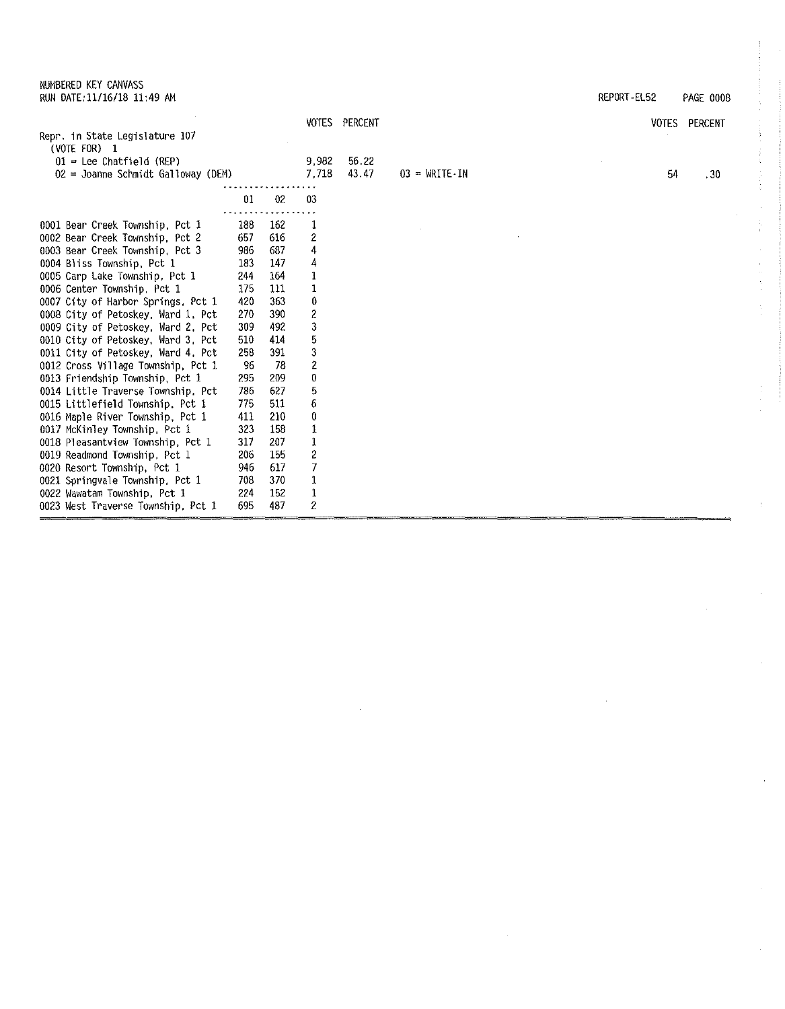0011 City of Petoskey, Ward 4, Pct 258 391 3<br>0012 Cross Village Township, Pct 1 96 78 2 0012 Cross Village Township, Pct 1 96 78 2<br>0013 Friendship Township, Pct 1 295 209 0 0013 Friendship Township, Pct 1 295 209 0<br>0014 Little Traverse Township, Pct 786 627 5 0014 Little Traverse Township, Pct 786 627 5<br>0015 Littlefield Township, Pct 1 775 511 6 0015 Littlefield Township, Pct 1 775 511 6<br>0016 Maple River Township, Pct 1 411 210 0 0016 Maple River Township, Pct 1 411 210 0<br>0017 McKinley Township, Pct 1 323 158 1 0017 McKinley Township, Pct 1 323 158 1<br>0018 Pleasantview Township, Pct 1 317 207 1 0018 Pleasantview Township, Pct 1 317 207 1<br>0019 Readmond Township, Pct 1 206 155 2<br>0020 Resort Township, Pct 1 946 617 7 0019 Readmond Township, Pct 1 206 155<br>0020 Resort Township, Pct 1 946 617 0020 Resort Township, Pct 1 946 617 7<br>0021 Springvale Township, Pct 1 708 370 1 0021 Springvale Township, Pct 1 708 370 1<br>0022 Wawatam Township, Pct 1 224 152 1 0022 Wawatam Township, Pct 1 224 152 1<br>0023 West Traverse Township, Pct 1 695 487 2

0023 West Traverse Township, Pct 1

|                                                  |     |     | <b>VOTES</b> | PERCENT |                                     | VOTES | PERCENT          |
|--------------------------------------------------|-----|-----|--------------|---------|-------------------------------------|-------|------------------|
| Repr. in State Legislature 107<br>(VOTE FOR) $1$ |     |     |              |         |                                     |       |                  |
| $01$ = Lee Chatfield (REP)                       |     |     | 9,982        | 56.22   |                                     |       |                  |
| 02 = Joanne Schmidt Galloway (DEM)               |     |     | 7.718        | 43.47   | $03 = \text{WRITE} \cdot \text{IN}$ | 54    | .30 <sub>1</sub> |
|                                                  |     |     |              |         |                                     |       |                  |
|                                                  | 01  | 02  | -03          |         |                                     |       |                  |
|                                                  |     |     |              |         |                                     |       |                  |
| 0001 Bear Creek Township, Pct 1                  | 188 | 162 |              |         |                                     |       |                  |
| 0002 Bear Creek Township, Pct 2                  | 657 | 616 | 2            |         |                                     |       |                  |
| 0003 Bear Creek Township, Pct 3                  | 986 | 687 | 4            |         |                                     |       |                  |
| 0004 Bliss Township, Pct 1                       | 183 | 147 | 4            |         |                                     |       |                  |
| 0005 Carp Lake Township, Pct 1                   | 244 | 164 |              |         |                                     |       |                  |
| 0006 Center Township, Pct 1                      | 175 | 111 |              |         |                                     |       |                  |
| 0007 City of Harbor Springs, Pct 1               | 420 | 363 | 0            |         |                                     |       |                  |
| 0008 City of Petoskey, Ward 1, Pct               | 270 | 390 | 2            |         |                                     |       |                  |
| 0009 City of Petoskey, Ward 2, Pct               | 309 | 492 | 3            |         |                                     |       |                  |
| 0010 City of Petoskey, Ward 3, Pct               | 510 | 414 | 5            |         |                                     |       |                  |
| 0011 City of Petoskey, Ward 4, Pct               | 258 | 391 | 3            |         |                                     |       |                  |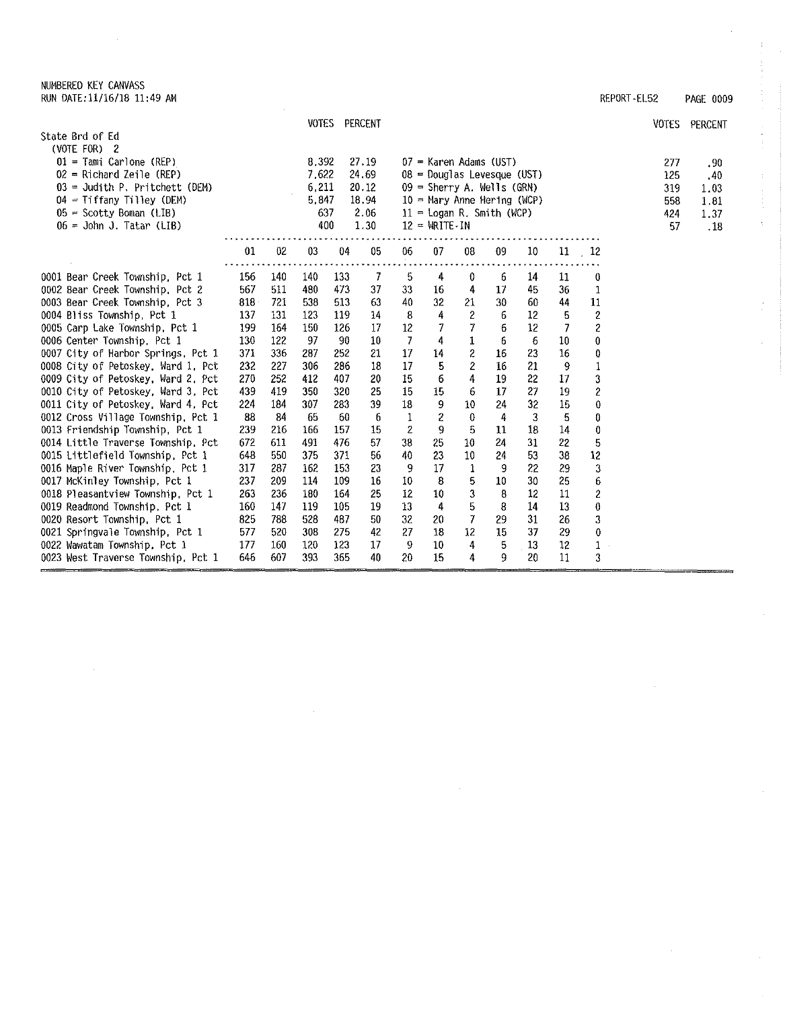NUMBERED KEY CANVASS RUN DATE:11/16/18 11:49 AM REPORT -EL52 PAGE 0009

|                                                                          |            |            |            | VOTES PERCENT |                |             |                                    |                                 |          |          |                 |                         | <b>VOTES</b> | PERCENT |
|--------------------------------------------------------------------------|------------|------------|------------|---------------|----------------|-------------|------------------------------------|---------------------------------|----------|----------|-----------------|-------------------------|--------------|---------|
| State Brd of Ed<br>(VOTE FOR) 2                                          |            |            |            |               |                |             |                                    |                                 |          |          |                 |                         |              |         |
| $01 =$ Tami Carlone (REP)                                                |            |            | 8.392      |               | 27.19          |             | $07$ = Karen Adams (UST)           |                                 |          |          |                 |                         | 277          | .90     |
| $02$ = Richard Zeile (REP)                                               |            |            | 7.622      |               | 24.69          |             | $08$ = Douglas Levesque (UST)      |                                 |          |          |                 |                         | 125          | .40     |
| $03 =$ Judith P. Pritchett (DEM)                                         |            |            | 6,211      |               | 20.12          |             | $09 =$ Sherry A. Wells (GRN)       |                                 |          |          |                 |                         | 319          | 1.03    |
| $04 = Tiffany Tilley (DEM)$                                              |            |            | 5.847      |               | 18.94          |             | $10$ = Mary Anne Hering (WCP)      |                                 |          |          |                 |                         | 558          | 1.81    |
| $05 =$ Scotty Boman (LIB)                                                |            |            | 637        |               | 2.06           |             | $11 -$ Logan R. Smith (WCP)        |                                 |          |          |                 |                         | 424          | 1.37    |
| $06 =$ John J. Tatar (LIB)                                               |            |            |            | 400           | 1.30           |             | $12 = \text{WRTE} \cdot \text{IN}$ |                                 |          |          |                 |                         | -57          | .18     |
|                                                                          | 01         | 02         | 03         | 04            | 05             | 06          | 07                                 | 08                              | 09       | 10       | 11              | $\frac{12}{2}$          |              |         |
|                                                                          |            |            |            |               |                |             |                                    |                                 |          |          |                 |                         |              |         |
| 0001 Bear Creek Township, Pct 1                                          | 156        | 140        | 140        | 133           | $\overline{7}$ | 5           | 4                                  | 0                               | 6        | 14       | 11              | 0                       |              |         |
| 0002 Bear Creek Township, Pct 2                                          | 567        | 511        | 480        | 473           | 37             | 33          | 16                                 | 4                               | 17       | 45       | 36 <sub>1</sub> | 1                       |              |         |
| 0003 Bear Creek Township, Pct 3                                          | 818        | 721        | 538        | 513           | 63             | 40          | 32                                 | 21                              | 30       | 60       | 44              | 11                      |              |         |
| 0004 Bliss Township, Pct 1                                               | 137        | 131        | 123        | 119           | 14             | 8           | 4                                  | 2<br>7                          | 6        | 12       | 5               | $\overline{\mathbf{c}}$ |              |         |
| 0005 Carp Lake Township, Pct 1                                           | 199<br>130 | 164        | 150<br>97  | 126<br>-90    | 17             | $12\,$<br>7 |                                    |                                 | 6        | 12       | 7               | $\overline{\mathbf{c}}$ |              |         |
| 0006 Center Township, Pct 1                                              | 371        | 122<br>336 |            | 252           | 10<br>21       | 17          | 4                                  | $\mathbf 1$<br>$\boldsymbol{2}$ | 6        | 6        | 10<br>16        | 0                       |              |         |
| 0007 City of Harbor Springs, Pct 1                                       | 232        | 227        | 287<br>306 | 286           | 18             | 17          | 14<br>5                            |                                 | 16<br>16 | 23<br>21 |                 | 0                       |              |         |
| 0008 City of Petoskey, Ward 1, Pct                                       | 270        | 252        | 412        | 407           | 20             | 15          | 6                                  | 2<br>4                          | 19       | 22       | 9<br>17         | 1                       |              |         |
| 0009 City of Petoskey, Ward 2, Pct<br>0010 City of Petoskey, Ward 3, Pct | 439        | 419        | 350        | 320           | 25             | 15          | 15                                 | 6                               | 17       | 27       | 19              | 3<br>$\overline{c}$     |              |         |
| 0011 City of Petoskey, Ward 4, Pct                                       | 224        | 184        | 307        | 283           | 39             | 18          | 9                                  | 10                              | 24       | 32       | 15              | 0                       |              |         |
| 0012 Cross Village Township, Pct 1                                       | 88         | 84         | 65         | 60            | 6              | $\mathbf 1$ | 2                                  | 0                               | 4        | 3        | 5               | 0                       |              |         |
| 0013 Friendship Township, Pct 1                                          | 239        | 216        | 166        | 157           | 15             | 2           | 9                                  | 5                               | 11       | 18       | 14              | 0                       |              |         |
| 0014 Little Traverse Township, Pct                                       | 672        | 611        | 491        | 476           | 57             | 38          | 25                                 | 10                              | 24       | 31       | 22              | 5                       |              |         |
| 0015 Littlefield Township, Pct 1                                         | 648        | 550        | 375        | 371           | 56             | 40          | 23                                 | 10                              | 24       | 53       | 38              | 12                      |              |         |
| 0016 Maple River Township, Pct 1                                         | 317        | 287        | 162        | 153           | 23             | 9           | 17                                 | 1                               | 9        | 22       | 29              | 3                       |              |         |
| 0017 McKinley Township, Pct 1                                            | 237        | 209        | 114        | 109           | 16             | 10          | 8                                  | 5                               | 10       | 30       | 25              | 6                       |              |         |
| 0018 Pleasantview Township, Pct 1                                        | 263        | 236        | 180        | 164           | 25             | 12          | 10                                 | 3                               | 8        | 12       | 11              | $\overline{\mathbf{c}}$ |              |         |
| 0019 Readmond Township, Pct 1                                            | 160        | 147        | 119        | 105           | 19             | 13          | 4                                  | 5                               | 8        | 14       | 13              | 0                       |              |         |
| 0020 Resort Township, Pct 1                                              | 825        | 788        | 528        | 487           | 50             | 32          | 20                                 | $\overline{7}$                  | 29       | 31       | 26              | 3                       |              |         |
| 0021 Springvale Township, Pct 1                                          | 577        | 520        | 308        | 275           | 42             | 27          | 18                                 | 12                              | 15       | 37       | 29              | 0                       |              |         |
| 0022 Wawatam Township, Pct 1                                             | 177        | 160        | 120        | 123           | 17             | 9           | 10                                 | 4                               | 5        | 13       | 12              | 1                       |              |         |
| 0023 West Traverse Township, Pct 1                                       | 646        | 607        | 393        | 365           | 40             | 20          | 15                                 | 4                               | 9        | 20       | 11              | 3                       |              |         |

÷.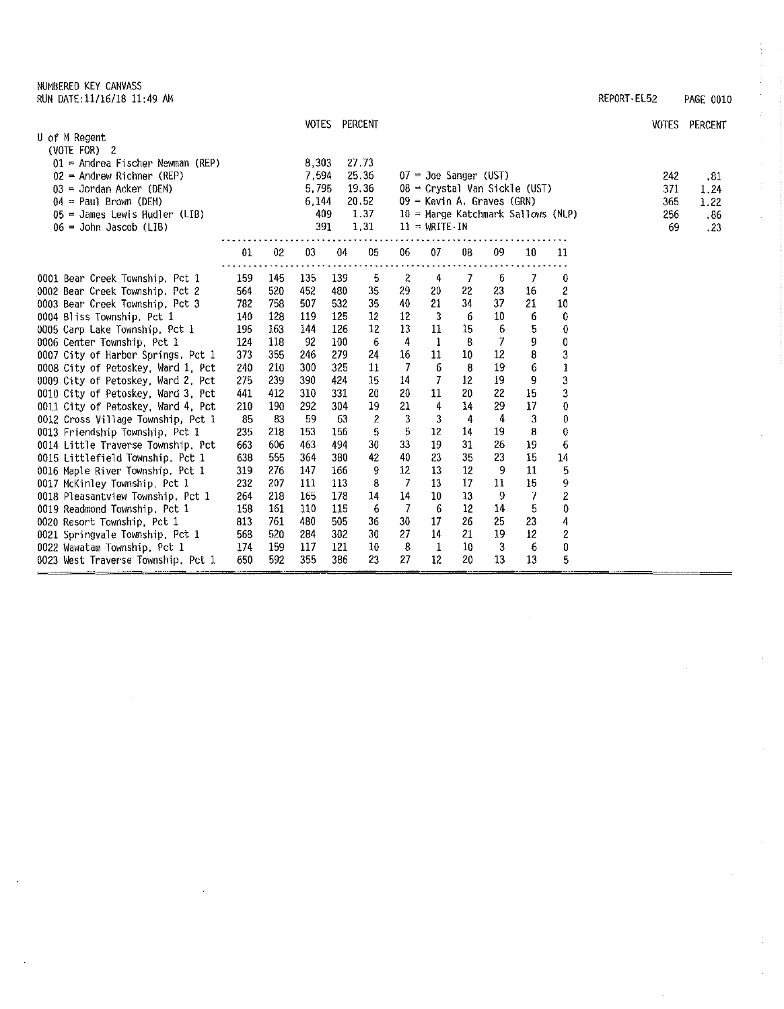NUMBERED KEY CANVASS RUN OATE:11/16/18 11:49 AM REPORT-EL52 PAGE 0010

 $\ddot{\phantom{a}}$ 

 $\sim$ 

 $\bar{z}$ 

 $\bar{z}$ 

|                                    |     |     |       | VOTES PERCENT |       |    |                 |                            |    |                                      |                  |     | VOTES PERCENT |
|------------------------------------|-----|-----|-------|---------------|-------|----|-----------------|----------------------------|----|--------------------------------------|------------------|-----|---------------|
| U of M Regent<br>(VOTE FOR) 2      |     |     |       |               |       |    |                 |                            |    |                                      |                  |     |               |
| $01$ = Andrea Fischer Newman (REP) |     |     | 8,303 |               | 27.73 |    |                 |                            |    |                                      |                  |     |               |
| $02$ = Andrew Richner (REP)        |     |     | 7.594 |               | 25.36 |    |                 | $07 =$ Joe Sanger (UST)    |    |                                      |                  | 242 | .81           |
| $03 =$ Jordan Acker (DEN)          |     |     | 5.795 |               | 19.36 |    |                 |                            |    | $08$ = Crystal Van Sickle (UST)      |                  | 371 | 1.24          |
| $04 = Paul Brown (DEM)$            |     |     | 6,144 |               | 20.52 |    |                 | 09 = Kevin A. Graves (GRN) |    |                                      |                  | 365 | 1.22          |
| 05 = James Lewis Hudler (LIB)      |     |     | 409   |               | 1.37  |    |                 |                            |    | $10$ = Marge Katchmark Sallows (NLP) |                  | 256 | .86           |
| $06 =$ John Jascob (LIB)           |     |     | 391   |               | 1,31  |    | $11 = WRTTE-IN$ |                            |    |                                      |                  | 69  | .23           |
|                                    | 01  | 02  | 03    | 04            | 05    | 06 | 07              | 08                         | 09 | 10                                   | 11               |     |               |
|                                    |     |     |       |               |       |    |                 |                            |    |                                      |                  |     |               |
| 0001 Bear Creek Township, Pct 1    | 159 | 145 | 135   | 139           | 5     | 2  | 4               | 7                          | 6  | 7                                    | 0                |     |               |
| 0002 Bear Creek Township, Pct 2    | 564 | 520 | 452   | 480           | -35   | 29 | 20              | 22                         | 23 | 16                                   | 2                |     |               |
| 0003 Bear Creek Township, Pct 3    | 782 | 758 | 507   | 532           | 35    | 40 | 21              | 34                         | 37 | 21                                   | 10               |     |               |
| 0004 Bliss Township, Pct 1         | 140 | 128 | 119   | 125           | 12    | 12 | 3               | -6                         | 10 | 6                                    | 0                |     |               |
| 0005 Carp Lake Township, Pct 1     | 196 | 163 | 144   | 126           | 12    | 13 | 11              | 15                         | 6  | 5                                    | $\boldsymbol{0}$ |     |               |
| 0006 Center Township, Pct 1        | 124 | 118 | 92    | 100           | 6     | 4  | 1               | 8                          | 7  | 9                                    | $\mathbf 0$      |     |               |
| 0007 City of Harbor Springs, Pct 1 | 373 | 355 | 246   | 279           | 24    | 16 | 11              | 10                         | 12 | 8                                    | 3                |     |               |
| 0008 City of Petoskey, Ward 1, Pct | 240 | 210 | 300   | 325           | 11    | 7  | 6               | 8                          | 19 | 6                                    | $\mathbf{1}$     |     |               |
| 0009 City of Petoskey, Ward 2, Pct | 275 | 239 | 390   | 424           | 15    | 14 | 7               | 12                         | 19 | 9                                    | 3                |     |               |
| 0010 City of Petoskey, Ward 3, Pct | 441 | 412 | 310   | 331           | 20    | 20 | 11              | 20                         | 22 | 15                                   | 3                |     |               |
| 0011 City of Petoskey, Ward 4, Pct | 210 | 190 | 292   | 304           | 19    | 21 | 4               | 14                         | 29 | 17                                   | 0                |     |               |
| 0012 Cross Village Township, Pct 1 | 85  | -83 | 59    | 63            | 2     | 3  | 3               | 4                          | 4  | 3                                    | 0                |     |               |
| 0013 Friendship Township, Pct 1    | 235 | 218 | 153   | 156           | 5     | 5  | 12              | 14                         | 19 | 8                                    | $\boldsymbol{0}$ |     |               |
| 0014 Little Traverse Township, Pct | 663 | 606 | 463   | 494           | 30    | 33 | 19              | 31                         | 26 | 19                                   | 6                |     |               |
| 0015 Littlefield Township, Pct 1   | 638 | 555 | 364   | 380           | 42    | 40 | 23              | 35                         | 23 | 15                                   | 14               |     |               |
| 0016 Maple River Township, Pct 1   | 319 | 276 | 147   | 166           | 9     | 12 | 13              | 12                         | 9  | 11                                   | 5                |     |               |
| 0017 McKinley Township, Pct 1      | 232 | 207 | 111   | 113           | 8     | 7  | 13              | 17                         | 11 | 15                                   | 9                |     |               |
| 0018 Pleasantview Township, Pct 1  | 264 | 218 | 165   | 178           | 14    | 14 | 10              | 13                         | 9  | 7                                    | $\overline{2}$   |     |               |
| 0019 Readmond Township, Pct 1      | 158 | 161 | 110   | 115           | 6     | 7  | 6               | $12 \,$                    | 14 | 5                                    | 0                |     |               |
| 0020 Resort Township, Pct 1        | 813 | 761 | 480   | 505           | 36    | 30 | 17              | 26                         | 25 | 23                                   | 4                |     |               |
| 0021 Springvale Township, Pct 1    | 568 | 520 | 284   | 302           | 30    | 27 | 14              | 21                         | 19 | 12                                   | $\overline{c}$   |     |               |
| 0022 Wawatam Township, Pct 1       | 174 | 159 | 117   | 121           | 10    | 8  | 1               | 10                         | 3  | 6                                    | 0                |     |               |
| 0023 West Traverse Township, Pct 1 | 650 | 592 | 355   | 386           | 23    | 27 | 12              | 20                         | 13 | 13                                   | 5                |     |               |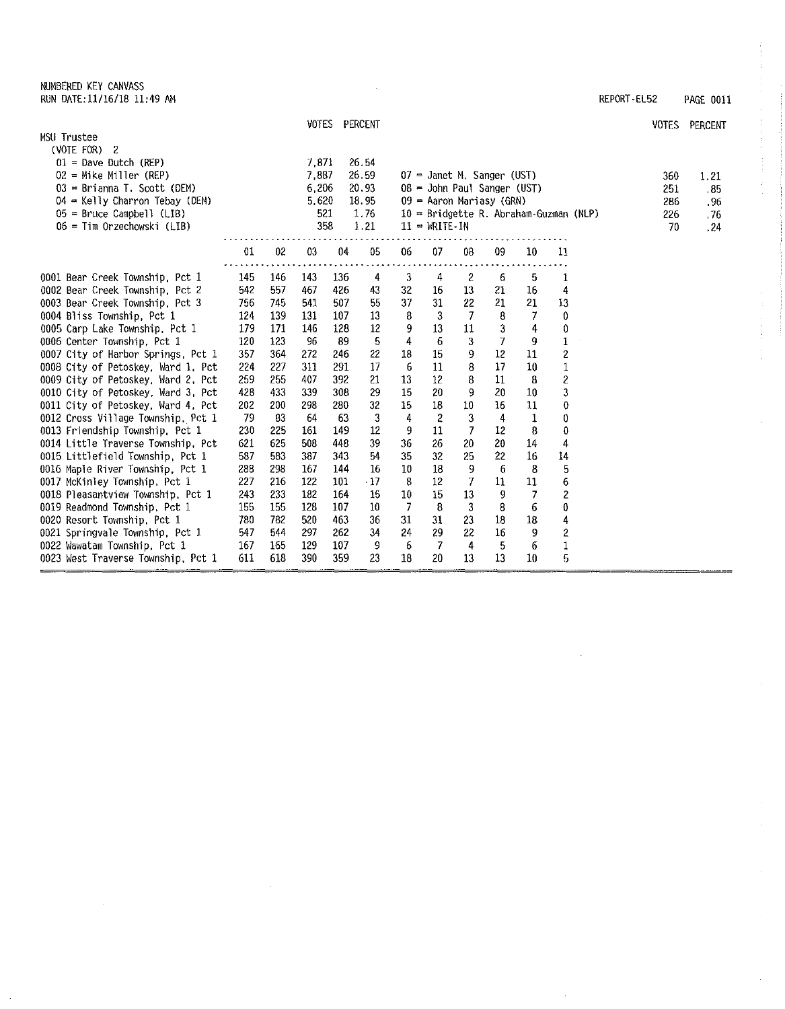NUMBERED KEY CANVASS RUN DATE:11/16/18 11:49 AM REPORT-EL52 PAGE 0011

 $\frac{1}{4}$ 

ł.

 $\hat{\mathbf{r}}$ 

 $\hat{\mathcal{A}}$ 

|                                    |     |     |        |     | VOTES PERCENT |    |                               |                |    |        |                                          | <b>VOTES</b> | PERCENT |
|------------------------------------|-----|-----|--------|-----|---------------|----|-------------------------------|----------------|----|--------|------------------------------------------|--------------|---------|
| MSU Trustee                        |     |     |        |     |               |    |                               |                |    |        |                                          |              |         |
| $(VOTE$ FOR $)$ 2                  |     |     |        |     |               |    |                               |                |    |        |                                          |              |         |
| $01$ = Dave Dutch (REP)            |     |     | 7.871  |     | 26.54         |    |                               |                |    |        |                                          |              |         |
| $02 =$ Mike Miller (REP)           |     |     | 7,887  |     | 26.59         |    | $07$ = Janet M. Sanger (UST)  |                |    |        |                                          | 360          | 1.21    |
| 03 = Brianna T. Scott (DEM)        |     |     | 6.206  |     | 20.93         |    | $08 =$ John Paul Sanger (UST) |                |    |        |                                          | 251          | . 85    |
| $04$ = Kelly Charron Tebay (DEM)   |     |     | 5,620  |     | 18.95         |    | $09$ = Aaron Mariasy (GRN)    |                |    |        |                                          | 286          | .96     |
| $05$ = Bruce Campbell (LIB)        |     |     | 521    |     | 1.76          |    |                               |                |    |        | $10 =$ Bridgette R. Abraham-Guzman (NLP) | 226          | . 76    |
| 06 = Tim Orzechowski (LIB)         |     |     | 358    |     | 1.21          |    | $11 = WRITE - IN$             |                |    |        |                                          | 70           | .24     |
|                                    |     |     |        |     |               |    |                               |                |    |        |                                          |              |         |
|                                    | 01  | 02  | $03\,$ | 04  | 05            | 06 | 07                            | 08             | 09 | 10     | 11                                       |              |         |
| 0001 Bear Creek Township, Pct 1    | 145 | 146 | 143    | 136 | 4             | 3  | 4                             | 2              | 6  | 5      | 1                                        |              |         |
| 0002 Bear Creek Township, Pct 2    | 542 | 557 | 467    | 426 | 43            | 32 | 16                            | 13             | 21 | 16     | 4                                        |              |         |
| 0003 Bear Creek Township, Pct 3    | 756 | 745 | 541    | 507 | 55            | 37 | 31                            | 22             | 21 | 21     | 13                                       |              |         |
| 0004 Bliss Township, Pct 1         | 124 | 139 | 131    | 107 | 13            | 8  | 3                             | $\overline{7}$ | 8  | 7      | $\mathbf 0$                              |              |         |
| 0005 Carp Lake Township, Pct 1     | 179 | 171 | 146    | 128 | 12            | 9  | 13                            | 11             | 3  | 4      | 0                                        |              |         |
| 0006 Center Township, Pct 1        | 120 | 123 | 96     | 89  | 5             | 4  | 6                             | 3              | 7  | 9      | 1                                        |              |         |
| 0007 City of Harbor Springs, Pct 1 | 357 | 361 | 272    | 246 | 22            | 18 | 15                            | 9              | 12 | 11     | 2                                        |              |         |
| 0008 City of Petoskey, Ward 1, Pct | 224 | 227 | 311    | 291 | 17            | 6  | 11                            | 8              | 17 | 10     | $\mathbf{1}$                             |              |         |
| 0009 City of Petoskey, Ward 2, Pct | 259 | 255 | 407    | 392 | 21            | 13 | 12                            | 8              | 11 | 8      | 2                                        |              |         |
| 0010 City of Petoskey, Ward 3, Pct | 428 | 433 | 339    | 308 | 29            | 15 | 20                            | 9              | 20 | 10     | 3                                        |              |         |
| 0011 City of Petoskey, Ward 4, Pct | 202 | 200 | 298    | 280 | 32            | 15 | 18                            | 10             | 16 | 11     | 0                                        |              |         |
| 0012 Cross Village Township, Pct 1 | 79  | 83  | 64     | 63  | 3             | 4  | 2                             | 3              | 4  | 1      | 0                                        |              |         |
| 0013 Friendship Township, Pct 1    | 230 | 225 | 161    | 149 | 12            | 9  | 11                            | 7              | 12 | 8      | 0                                        |              |         |
| 0014 Little Traverse Township, Pct | 621 | 625 | 508    | 448 | 39            | 36 | 26                            | 20             | 20 | 14     | 4                                        |              |         |
| 0015 Littlefield Township, Pct 1   | 587 | 583 | 387    | 343 | 54            | 35 | 32                            | 25             | 22 | 16     | 14                                       |              |         |
| 0016 Maple River Township, Pct 1   | 288 | 298 | 167    | 144 | 16            | 10 | 18                            | 9              | 6  | 8      | 5                                        |              |         |
| 0017 McKinley Township, Pct 1      | 227 | 216 | 122    | 101 | $\cdot$ 17    | 8  | 12                            | 7              | 11 | 11     | 6                                        |              |         |
| 0018 Pleasantview Township, Pct 1  | 243 | 233 | 182    | 164 | 15            | 10 | 15                            | 13             | 9  | 7      | 2                                        |              |         |
| 0019 Readmond Township, Pct 1      | 155 | 155 | 128    | 107 | 10            | -7 | 8                             | 3              | 8  | 6      | 0                                        |              |         |
| 0020 Resort Township, Pct 1        | 780 | 782 | 520    | 463 | 36            | 31 | 31                            | 23             | 18 | $18\,$ | 4                                        |              |         |
| 0021 Springvale Township, Pct 1    | 547 | 544 | 297    | 262 | 34            | 24 | 29                            | 22             | 16 | 9      | 2                                        |              |         |
| 0022 Wawatam Township, Pct 1       | 167 | 165 | 129    | 107 | 9             | 6  | 7                             | 4              | 5  | 6      | $\mathbf{1}$                             |              |         |
| 0023 West Traverse Township, Pct 1 | 611 | 618 | 390    | 359 | 23            | 18 | 20                            | 13             | 13 | 10     | 5                                        |              |         |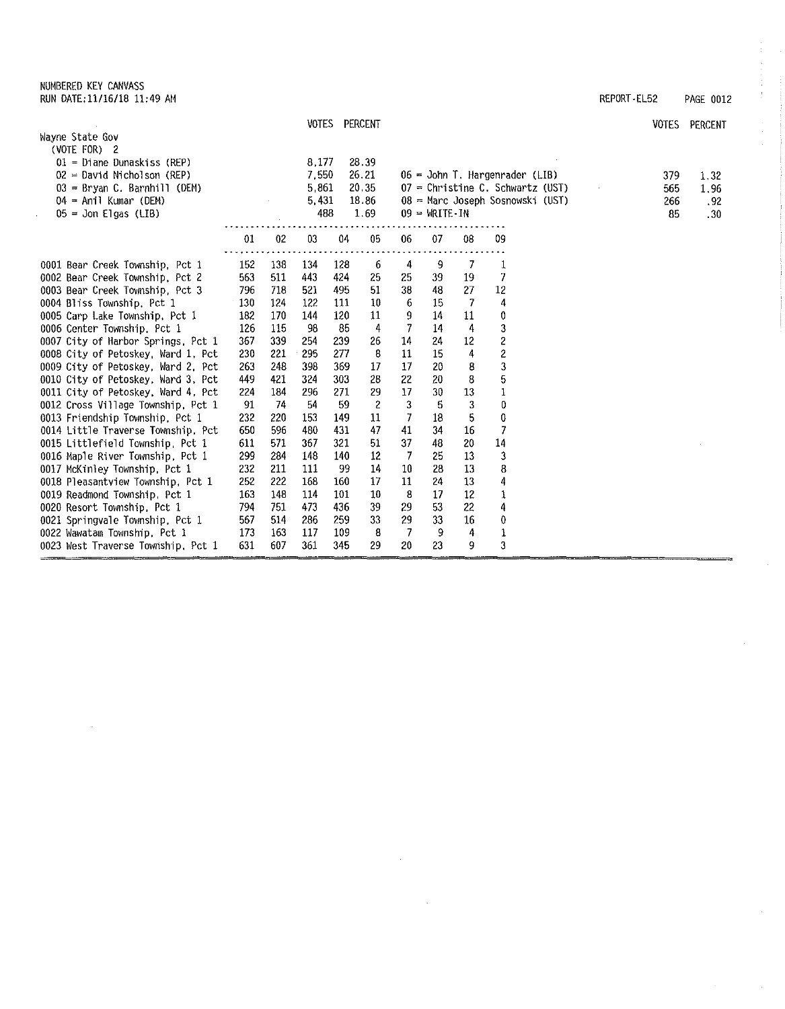## NUMBERED KEY CANVASS

| RUN DATE: 11/16/18 11:49 AM | REPORT-EL52 | PAGE<br>0012 |
|-----------------------------|-------------|--------------|
|-----------------------------|-------------|--------------|

 $\frac{1}{\ell}$ 

ţ,

|                                                                       |            |            |            | VOTES PERCENT |                      |          |                 |         |                                    | <b>VOTES</b> | PERCENT |
|-----------------------------------------------------------------------|------------|------------|------------|---------------|----------------------|----------|-----------------|---------|------------------------------------|--------------|---------|
| Wayne State Gov                                                       |            |            |            |               |                      |          |                 |         |                                    |              |         |
| (VOTE FOR) 2                                                          |            |            |            |               |                      |          |                 |         |                                    |              |         |
| 01 = Diane Dunaskiss (REP)                                            |            |            | 8,177      |               | 28.39                |          |                 |         |                                    |              |         |
| $02$ = David Nicholson (REP)                                          |            |            | 7,550      |               | 26.21                |          |                 |         | 06 = John T. Hargenrader (LIB)     | 379          | 1.32    |
| $03 =$ Bryan C. Barnhill (DEM)                                        |            |            | 5861       |               | 20.35                |          |                 |         | $07$ = Christine C. Schwartz (UST) | 565          | 1,96    |
| 04 = Anil Kumar (DEM)                                                 |            |            | 5.431      |               | 18.86                |          |                 |         | 08 = Marc Joseph Sosnowski (UST)   | 266          | .92     |
| $05 =$ Jon Elgas (LIB)                                                |            |            | 488        |               | 1.69                 |          | $09 = WRTTE-IN$ |         |                                    | 85           | .30     |
|                                                                       | 01         | 02         | 03         | 04            | $05\,$               | 06       | 07              | 08      | 09                                 |              |         |
|                                                                       |            |            |            |               |                      |          |                 |         |                                    |              |         |
| 0001 Bear Creek Township, Pct 1                                       | 152        | 138        | 134        | 128           | 6                    | 4        | 9               | 7       | 1                                  |              |         |
| 0002 Bear Creek Township, Pct 2                                       | 563        | 511        | 443        | 424           | 25                   | 25       | 39              | 19      | 7                                  |              |         |
| 0003 Bear Creek Township, Pct 3                                       | 796        | 718        | 521        | 495           | 51                   | 38       | 48              | 27      | 12                                 |              |         |
| 0004 Bliss Township, Pct 1                                            | 130        | 124        | 122        | 111           | 10                   | 6        | 15              | -7      | 4                                  |              |         |
| 0005 Carp Lake Township, Pct 1                                        | 182        | 170        | 144        | 120           | 11                   | 9        | 14              | 11      | 0                                  |              |         |
| 0006 Center Township, Pct 1                                           | 126        | 115        | 98         | -85           | 4                    | 7        | 14              | 4       | 3                                  |              |         |
| 0007 City of Harbor Springs, Pct 1                                    | 367        | 339        | 254        | 239           | 26<br>8              | 14       | 24              | 12      | 2                                  |              |         |
| 0008 City of Petoskey, Ward 1, Pct                                    | 230        | 221        | 295        | 277           |                      | 11       | 15              | 4       | $\overline{\mathbf{c}}$            |              |         |
| 0009 City of Petoskey, Ward 2, Pct                                    | 263        | 248        | 398        | 369           | 17                   | 17       | 20              | 8       | 3                                  |              |         |
| 0010 City of Petoskey, Ward 3, Pct                                    | 449<br>224 | 421<br>184 | 324<br>296 | 303<br>271    | 28                   | 22<br>17 | 20<br>30        | 8<br>13 | 5                                  |              |         |
| 0011 City of Petoskey, Ward 4, Pct                                    | 91         | 74         | 54         | 59            | 29<br>$\overline{2}$ | 3        | 5               | 3       | 1<br>0                             |              |         |
| 0012 Cross Village Township, Pct 1<br>0013 Friendship Township, Pct 1 | 232        | 220        | 153        | 149           | 11                   | 7        | 18              | 5       | 0                                  |              |         |
| 0014 Little Traverse Township, Pct                                    | 650        | 596        | 480        | 431           | 47                   | 41       | 34              | 16      | 7                                  |              |         |
| 0015 Littlefield Township, Pct 1                                      | 611        | 571        | 367        | 321           | 51                   | 37       | 48              | 20      | $14$                               |              |         |
| 0016 Maple River Township, Pct 1                                      | 299        | 284        | 148        | 140           | 12                   | 7        | 25              | 13      | 3                                  |              |         |
| 0017 McKinley Township, Pct 1                                         | 232        | 211        | 111        | -99           | 14                   | 10       | 28              | 13      | 8                                  |              |         |
| 0018 Pleasantview Township, Pct 1                                     | 252        | 222        | 168        | 160           | 17                   | 11       | 24              | 13      | 4                                  |              |         |
| 0019 Readmond Township, Pct 1                                         | 163        | 148        | 114        | 101           | 10                   | 8        | 17              | $12 \,$ | $\mathbf 1$                        |              |         |
| 0020 Resort Township, Pct 1                                           | 794        | 751        | 473        | 436           | 39                   | 29       | 53              | 22      | 4                                  |              |         |
| 0021 Springvale Township, Pct 1                                       | 567        | 514        | 286        | 259           | 33                   | 29       | 33              | 16      | 0                                  |              |         |
| 0022 Wawatam Township, Pct 1                                          | 173        | 163        | 117        | 109           | 8                    | 7        | 9               | 4       | 1                                  |              |         |
| 0023 West Traverse Township, Pct 1                                    | 631        | 607        | 361        | 345           | 29                   | 20       | 23              | 9       | 3                                  |              |         |
|                                                                       |            |            |            |               |                      |          |                 |         |                                    |              |         |

 $\bar{z}$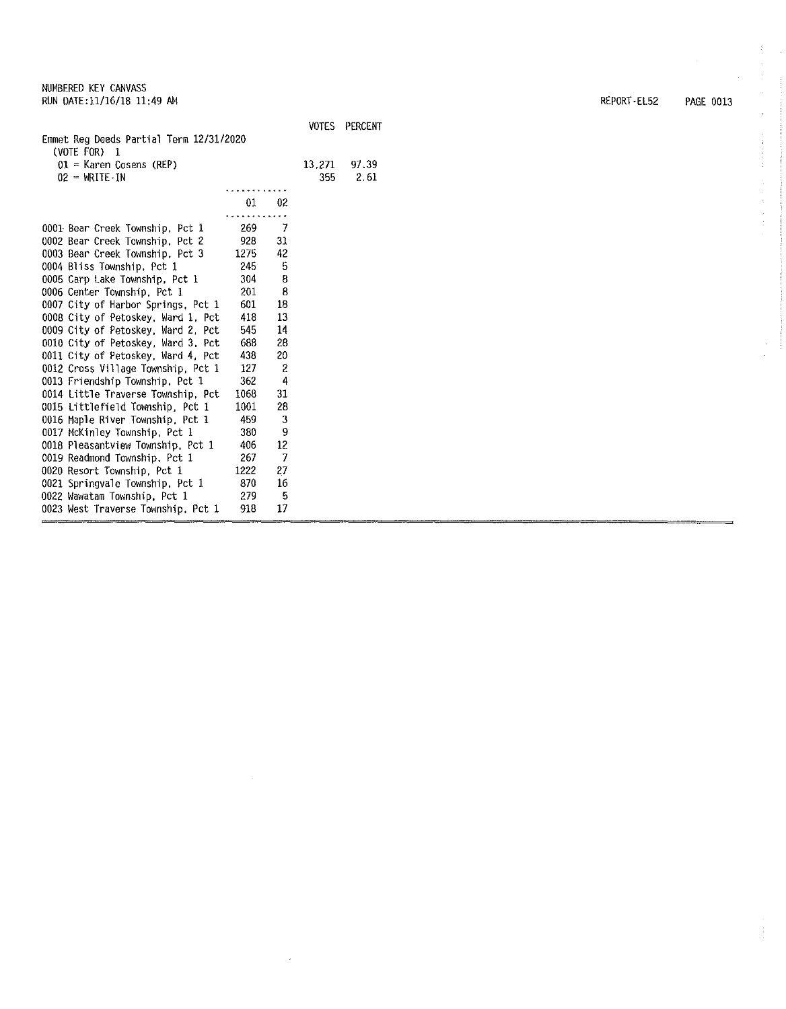$\overline{a}$ 

| Emmet Reg Deeds Partial Term 12/31/2020<br>(VOTE FOR) 1 |      |    | <b>VOTES</b> | <b>PERCENT</b> |
|---------------------------------------------------------|------|----|--------------|----------------|
| 01 = Karen Cosens (REP)                                 |      |    | 13.271       | 97.39          |
| 02 = WRITE-IN                                           |      |    | 355          | 2.61           |
|                                                         |      |    |              |                |
|                                                         | 01   | 02 |              |                |
| 0001 Bear Creek Township, Pct 1                         | 269  | 7  |              |                |
| 0002 Bear Creek Township, Pct 2                         | 928  | 31 |              |                |
| 0003 Bear Creek Township, Pct 3                         | 1275 | 42 |              |                |
| 0004 Bliss Township, Pct 1                              | 245  | 5  |              |                |
| 0005 Carp Lake Township, Pct 1                          | 304  | 8  |              |                |
| 0006 Center Township, Pct 1                             | 201  | 8  |              |                |
| 0007 City of Harbor Springs, Pct 1                      | 601  | 18 |              |                |
| 0008 City of Petoskey, Ward 1, Pct                      | 418  | 13 |              |                |
| 0009 City of Petoskey, Ward 2, Pct                      | 545  | 14 |              |                |
| 0010 City of Petoskey, Ward 3, Pct                      | 688  | 28 |              |                |
| 0011 City of Petoskey, Ward 4, Pct                      | 438  | 20 |              |                |
| 0012 Cross Village Township, Pct 1                      | 127  | 2  |              |                |
| 0013 Friendship Township, Pct 1                         | 362  | 4  |              |                |
| 0014 Little Traverse Township, Pct                      | 1068 | 31 |              |                |
| 0015 Littlefield Township, Pct 1                        | 1001 | 28 |              |                |
| 0016 Maple River Township, Pct 1                        | 459  | 3  |              |                |
| 0017 McKinley Township, Pct 1                           | 380  | 9  |              |                |
| 0018 Pleasantview Township, Pct 1                       | 406  | 12 |              |                |
| 0019 Readmond Township, Pct 1                           | 267  | 7  |              |                |
| 0020 Resort Township, Pct 1                             | 1222 | 27 |              |                |
| 0021 Springvale Township, Pct 1                         | 870  | 16 |              |                |
| 0022 Wawatam Township, Pct 1                            | 279  | 5  |              |                |
| 0023 West Traverse Township. Pct 1                      | 918  | 17 |              |                |

 $\mathcal{A}^{\mathcal{A}}$ 

 $\sim$ 

REPORT-EL52 PAGE 0013

 $\Delta$  $\frac{1}{4}$  $\mathcal{X}^{\mathcal{A}}$  $\hat{\mathcal{L}}$ 

医单位 医生体 医生

 $\hat{\mathcal{A}}$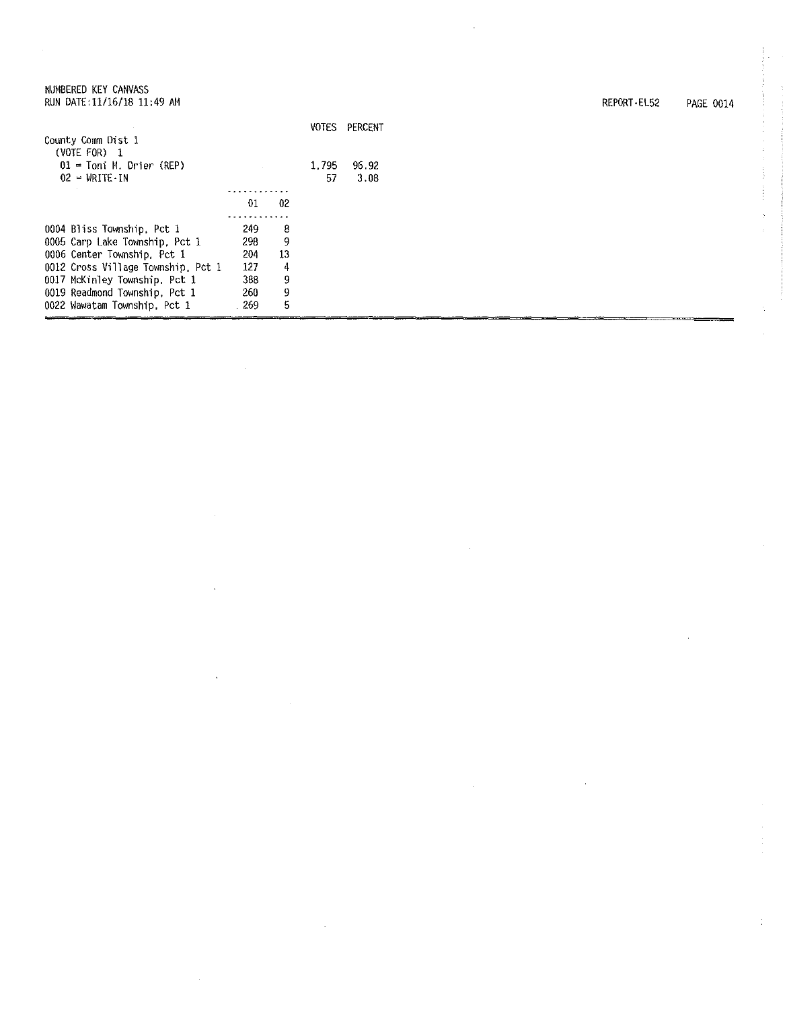| NUMBERED KEY CANVASS<br>RUN DATE:11/16/18 11:49 AM |     |    |              |         |
|----------------------------------------------------|-----|----|--------------|---------|
|                                                    |     |    | <b>VOTES</b> | PERCENT |
| County Comm Dist 1                                 |     |    |              |         |
| $(VOTE$ FOR) $1$                                   |     |    |              |         |
| $01 =$ Toni M. Drier (REP)                         |     |    | 1.795        | 96.92   |
| $02 = \text{WRITE} \cdot \text{IN}$                |     |    | 57           | 3.08    |
|                                                    |     |    |              |         |
|                                                    | 01  | 02 |              |         |
|                                                    |     |    |              |         |
| 0004 Bliss Township, Pct 1                         | 249 | 8  |              |         |
| 0005 Carp Lake Township, Pct 1                     | 298 | 9  |              |         |
| 0006 Center Township, Pct 1                        | 204 | 13 |              |         |
| 0012 Cross Village Township, Pct 1                 | 127 | 4  |              |         |
| 0017 McKinley Township, Pct 1                      | 388 | 9  |              |         |
| 0019 Readmond Township, Pct 1                      | 260 | 9  |              |         |
|                                                    |     |    |              |         |

269

5

PERCENT

 $\bar{z}$ 

0022 Wawatam Township, Pct 1

REPORT-EL52 PAGE 0014

t.<br>F  $\hat{\mathbf{r}}$ ý.

 $\hat{\boldsymbol{\gamma}}$  $\begin{bmatrix} 1 \\ 1 \\ 1 \end{bmatrix}$ 

 $\frac{1}{4}$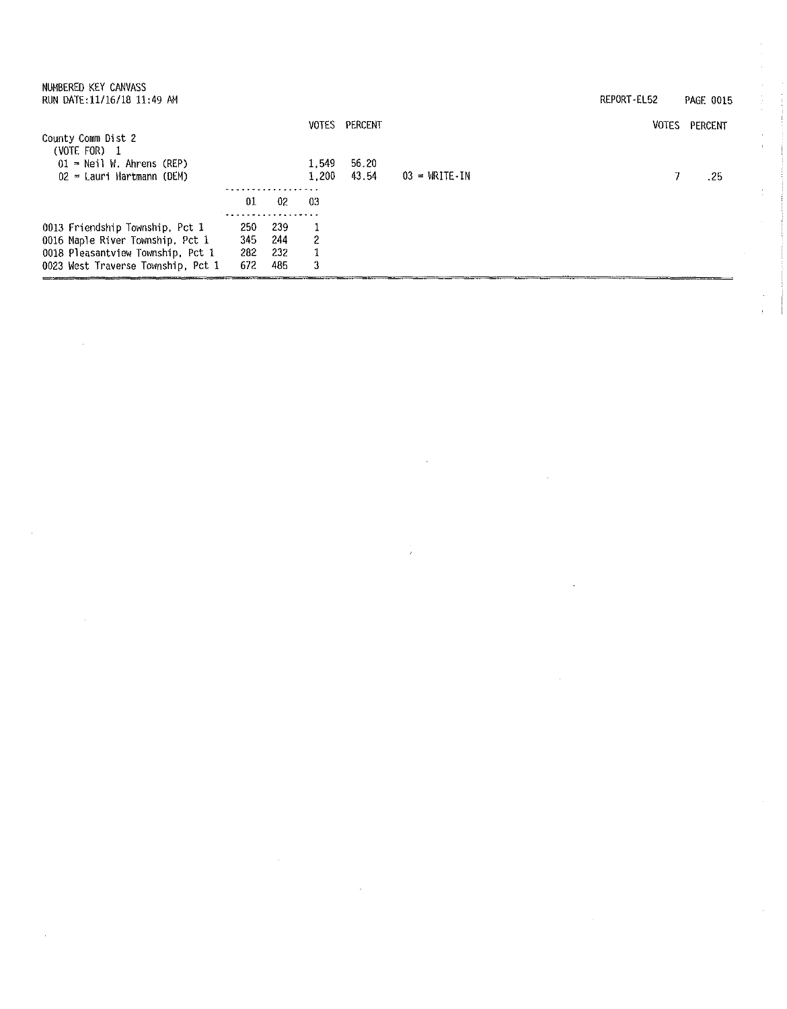| NUMBERED KEY CANVASS<br>RUN DATE: 11/16/18 11:49 AM                                                                                            |                                        |                          |                |                |                                     | REPORT-EL52 |              | <b>PAGE 0015</b> |
|------------------------------------------------------------------------------------------------------------------------------------------------|----------------------------------------|--------------------------|----------------|----------------|-------------------------------------|-------------|--------------|------------------|
| County Comm Dist 2                                                                                                                             |                                        |                          | VOTES          | PERCENT        |                                     |             | <b>VOTES</b> | PERCENT          |
| (VOTE FOR) 1<br>$01 =$ Neil W. Ahrens (REP)<br>$02$ = Lauri Hartmann (DEM)                                                                     |                                        |                          | 1.549<br>1.200 | 56.20<br>43.54 | $03 = \text{WRITE} \cdot \text{IN}$ |             |              | .25              |
|                                                                                                                                                |                                        |                          |                |                |                                     |             |              |                  |
|                                                                                                                                                | 01                                     | 02                       | -03            |                |                                     |             |              |                  |
| 0013 Friendship Township, Pct 1<br>0016 Maple River Township, Pct 1<br>0018 Pleasantview Township, Pct 1<br>0023 West Traverse Township, Pct 1 | . <b>.</b><br>250<br>345<br>282<br>672 | 239<br>244<br>232<br>485 | 2<br>3         |                |                                     |             |              |                  |

 $\bar{\bar{z}}$ 

 $\frac{1}{T}$ 

 $\sim$   $\alpha$ 

 $\bar{\epsilon}$ 

 $\sim 10$ 

 $\sim$ 

 $\sim 10^7$ 

 $\sim 10^{11}$  km  $^{-1}$ 

医单位 医单位骨折

 $\hat{\mathcal{A}}$ à.

 $\hat{\mathcal{L}}$ 

 $\hat{\boldsymbol{\alpha}}$  $\frac{1}{2}$ 

 $\sim$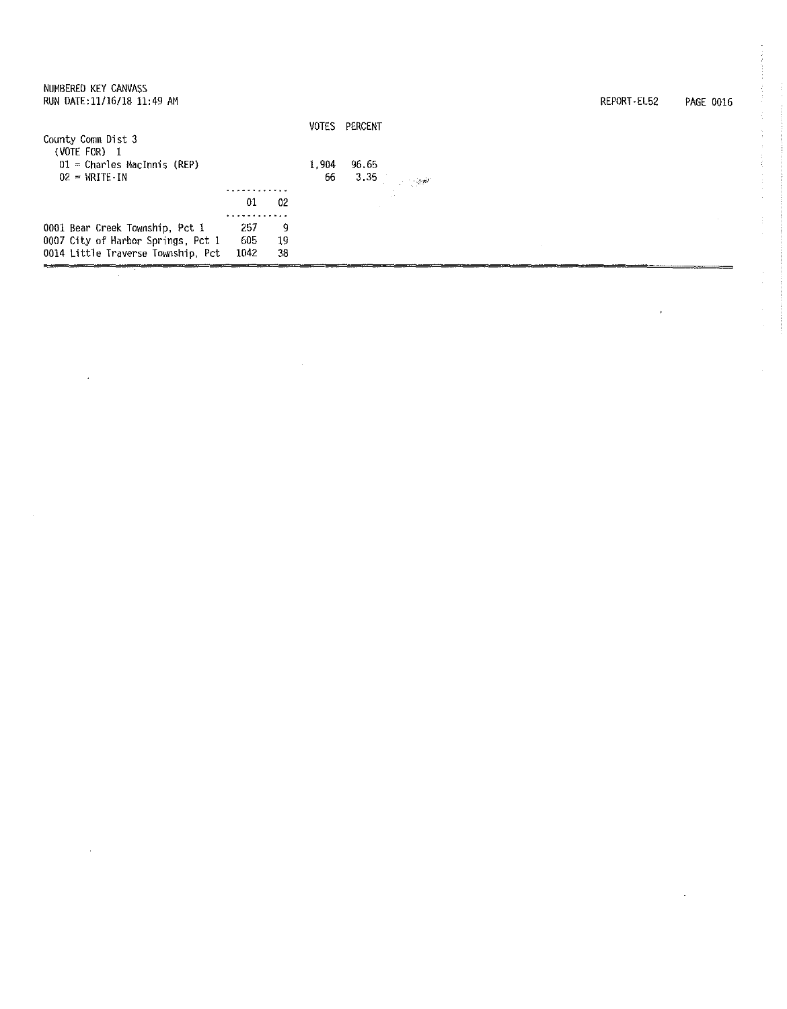| NUMBERED KEY CANVASS<br>RUN DATE:11/16/18 11:49 AM |            |    |              |          |            |  | REPORT-EL52 | PAGE 0016 |
|----------------------------------------------------|------------|----|--------------|----------|------------|--|-------------|-----------|
| County Comm Dist 3<br>(VOTE FOR)<br>- 1            |            |    | <b>VOTES</b> | PERCENT  |            |  |             |           |
| $01$ = Charles MacInnis (REP)                      |            |    | 1.904        | 96.65    |            |  |             |           |
| $02 = \text{WRITE} \cdot \text{IN}$                | . <b>.</b> |    | 66           | $3.35 -$ | $\sim 100$ |  |             |           |
|                                                    | 01         | 02 |              |          |            |  |             |           |
|                                                    |            |    |              |          |            |  |             |           |
| 0001 Bear Creek Township, Pct 1                    | 257        | 9  |              |          |            |  |             |           |
| 0007 City of Harbor Springs, Pct 1                 | 605        | 19 |              |          |            |  |             |           |
| 0014 Little Traverse Township, Pct                 | 1042       | 38 |              |          |            |  |             |           |

 $\alpha$ 

l,

 $\bar{\mathcal{A}}$ 

 $\mathcal{L}_{\mathcal{F}}$  and the  $\mathcal{L}_{\mathcal{F}}$  $\frac{1}{2}$ 

÷.  $\bar{z}$ ŧ

 $\frac{1}{2}$ 

 $\hat{\mathcal{L}}$ 

 $\bar{\bar{z}}$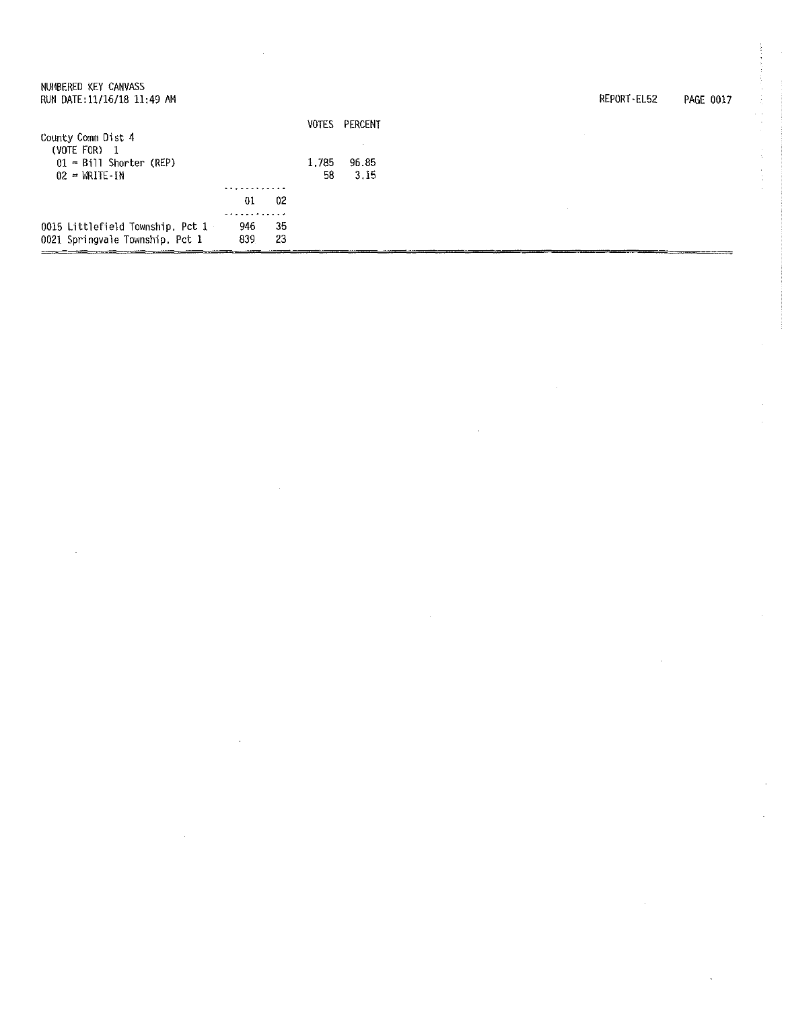| NUMBERED KEY CANVASS |  |                            |  |
|----------------------|--|----------------------------|--|
|                      |  | RUN DATE:11/16/18 11:49 AM |  |

| PAGE 0017 | REPORT EL52 |  |  |
|-----------|-------------|--|--|
|-----------|-------------|--|--|

|                                  |     |    | VOTES | PERCENT |  |
|----------------------------------|-----|----|-------|---------|--|
| County Comm Dist 4               |     |    |       |         |  |
| (VOTE FOR) 1                     |     |    |       |         |  |
| $01 = B111$ Shorter (REP)        |     |    | 1.785 | 96.85   |  |
| $02 = \text{WRITE} - \text{IN}$  |     |    | 58    | -3.15   |  |
|                                  |     |    |       |         |  |
|                                  | 01  | 02 |       |         |  |
|                                  |     |    |       |         |  |
| 0015 Littlefield Township, Pct 1 | 946 | 35 |       |         |  |
| 0021 Springvale Township, Pct 1  | 839 | 23 |       |         |  |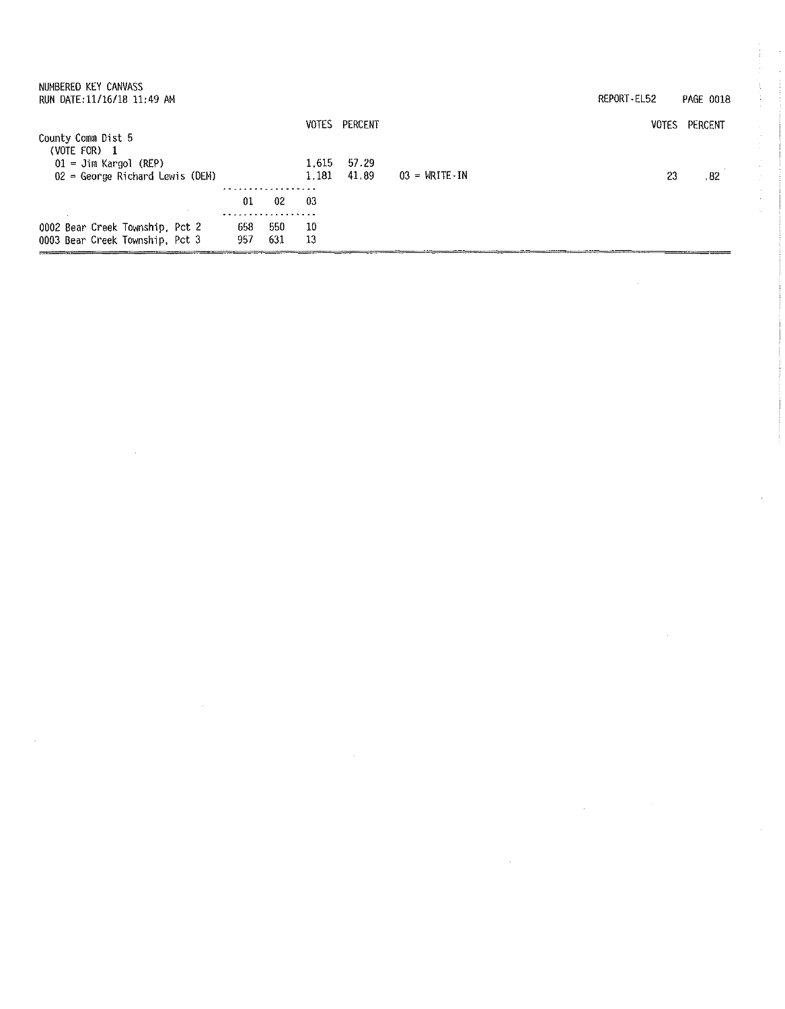| NUMBERED KEY CANVASS<br>RUN DATE: 11/16/18 11:49 AM |     |     |              |         |                                     | REPORT EL52 | <b>PAGE 0018</b> |
|-----------------------------------------------------|-----|-----|--------------|---------|-------------------------------------|-------------|------------------|
|                                                     |     |     | <b>VOTES</b> | PERCENT |                                     | VOTES       | PERCENT          |
| County Comm Dist 5                                  |     |     |              |         |                                     |             |                  |
| (VOTE FOR) $1$                                      |     |     |              |         |                                     |             |                  |
| $01 =$ Jim Kargol (REP)                             |     |     | 1.615        | 57.29   |                                     |             |                  |
| $02$ = George Richard Lewis (DEM)                   |     |     | 1.181        | 41.89   | $03 = \text{WRITE} \cdot \text{IN}$ | 23          | .82              |
|                                                     |     |     |              |         |                                     |             |                  |
|                                                     | 01  | 02  | -03          |         |                                     |             |                  |
|                                                     |     |     |              |         |                                     |             |                  |
| 0002 Bear Creek Township, Pct 2                     | 658 | 550 | 10           |         |                                     |             |                  |
| 0003 Bear Creek Township, Pct 3                     | 957 | 631 | 13           |         |                                     |             |                  |
|                                                     |     |     |              |         |                                     |             |                  |
|                                                     |     |     |              |         |                                     |             |                  |

 $\label{eq:2.1} \frac{1}{\sqrt{2\pi}}\int_{\mathbb{R}^3}\frac{1}{\sqrt{2\pi}}\int_{\mathbb{R}^3}\frac{1}{\sqrt{2\pi}}\int_{\mathbb{R}^3}\frac{1}{\sqrt{2\pi}}\int_{\mathbb{R}^3}\frac{1}{\sqrt{2\pi}}\int_{\mathbb{R}^3}\frac{1}{\sqrt{2\pi}}\int_{\mathbb{R}^3}\frac{1}{\sqrt{2\pi}}\int_{\mathbb{R}^3}\frac{1}{\sqrt{2\pi}}\int_{\mathbb{R}^3}\frac{1}{\sqrt{2\pi}}\int_{\mathbb{R}^3}\frac{1$ 

 $\label{eq:2.1} \mathcal{L}(\mathcal{L}^{\mathcal{L}}_{\mathcal{L}}(\mathcal{L}^{\mathcal{L}}_{\mathcal{L}}))\leq \mathcal{L}(\mathcal{L}^{\mathcal{L}}_{\mathcal{L}}(\mathcal{L}^{\mathcal{L}}_{\mathcal{L}}))\leq \mathcal{L}(\mathcal{L}^{\mathcal{L}}_{\mathcal{L}}(\mathcal{L}^{\mathcal{L}}_{\mathcal{L}}))$ 

 $\mathcal{L}_{\text{max}}$ 

 $\mathcal{L}(\mathcal{L}^{\mathcal{L}})$  and  $\mathcal{L}(\mathcal{L}^{\mathcal{L}})$  and  $\mathcal{L}(\mathcal{L}^{\mathcal{L}})$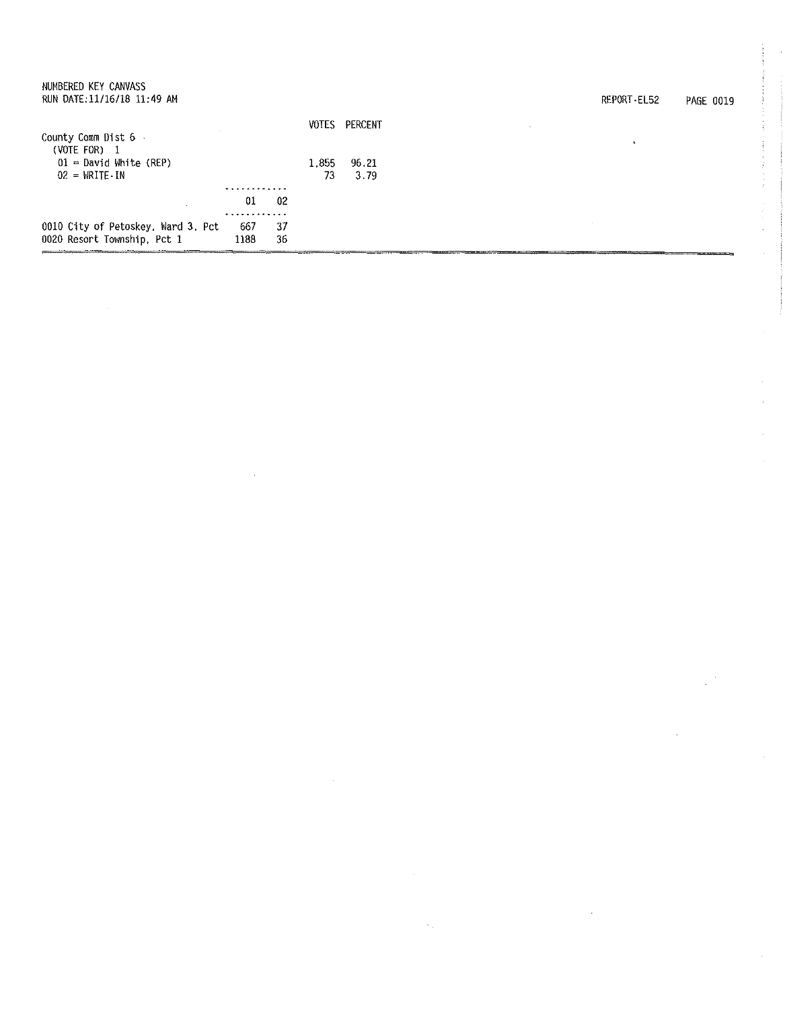| 0010 City of Petoskey. Ward 3, Pct<br>0020 Resort Township, Pct 1                                     | 667<br>1188 | 37<br>36 |             |               |        |             |           |
|-------------------------------------------------------------------------------------------------------|-------------|----------|-------------|---------------|--------|-------------|-----------|
|                                                                                                       | 01          | 02       |             |               |        |             |           |
| County Comm Dist 6<br>(VOTE FOR) 1<br>$01$ = David White (REP)<br>$02 = \text{WRITE} \cdot \text{IN}$ | .           |          | 1.855<br>73 | 96.21<br>3.79 |        |             |           |
|                                                                                                       |             |          |             | VOTES PERCENT | $\sim$ |             |           |
| NUMBERED KEY CANVASS<br>RUN DATE:11/16/18 11:49 AM                                                    |             |          |             |               |        | REPORT-EL52 | PAGE 0019 |

 $\label{eq:2.1} \frac{1}{\sqrt{2}}\left(\frac{1}{\sqrt{2}}\right)^{2} \left(\frac{1}{\sqrt{2}}\right)^{2} \left(\frac{1}{\sqrt{2}}\right)^{2} \left(\frac{1}{\sqrt{2}}\right)^{2} \left(\frac{1}{\sqrt{2}}\right)^{2} \left(\frac{1}{\sqrt{2}}\right)^{2} \left(\frac{1}{\sqrt{2}}\right)^{2} \left(\frac{1}{\sqrt{2}}\right)^{2} \left(\frac{1}{\sqrt{2}}\right)^{2} \left(\frac{1}{\sqrt{2}}\right)^{2} \left(\frac{1}{\sqrt{2}}\right)^{2} \left(\$ 

医皮肤的

 $\hat{\mathcal{A}}$ 

 $\begin{pmatrix} 1 \\ 1 \\ 0 \\ 0 \end{pmatrix}$ 

 $\frac{1}{\sqrt{2}}\int_{0}^{\sqrt{2}}\frac{1}{\sqrt{2}}\left( \frac{1}{2}\left( \frac{1}{2}\right) ^{2}+\frac{1}{2}\left( \frac{1}{2}\right) ^{2}\right) \frac{1}{2}d\mu .$ 

 $\label{eq:2} \frac{1}{2} \sum_{i=1}^n \frac{1}{2} \sum_{j=1}^n \frac{1}{2} \sum_{j=1}^n \frac{1}{2} \sum_{j=1}^n \frac{1}{2} \sum_{j=1}^n \frac{1}{2} \sum_{j=1}^n \frac{1}{2} \sum_{j=1}^n \frac{1}{2} \sum_{j=1}^n \frac{1}{2} \sum_{j=1}^n \frac{1}{2} \sum_{j=1}^n \frac{1}{2} \sum_{j=1}^n \frac{1}{2} \sum_{j=1}^n \frac{1}{2} \sum_{j=1}^n \frac{1}{$ 

 $\sim 10^{-1}$ 

 $\label{eq:1} \frac{1}{\sqrt{2\pi}}\sum_{i=1}^n\frac{1}{\sqrt{2\pi}}\sum_{i=1}^n\frac{1}{\sqrt{2\pi}}\sum_{i=1}^n\frac{1}{\sqrt{2\pi}}\sum_{i=1}^n\frac{1}{\sqrt{2\pi}}\sum_{i=1}^n\frac{1}{\sqrt{2\pi}}\sum_{i=1}^n\frac{1}{\sqrt{2\pi}}\sum_{i=1}^n\frac{1}{\sqrt{2\pi}}\sum_{i=1}^n\frac{1}{\sqrt{2\pi}}\sum_{i=1}^n\frac{1}{\sqrt{2\pi}}\sum_{i=1}^n\frac{$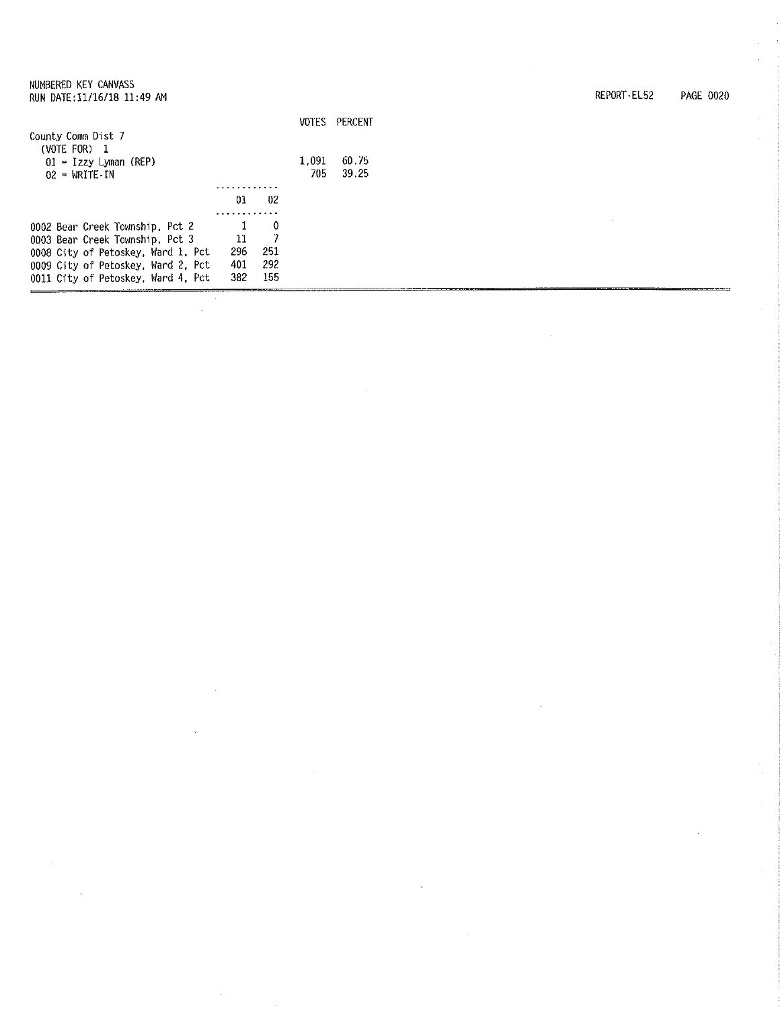VOTES PERCENT County Comm Dist 7 (VOTE FOR) 1 1,091 60.75 01 = Izzy Lyman (REP) 705 39.25 02 = WRITE-IN <u>. . . . . . . . . . . .</u>  $01$  02  $\begin{array}{ccc} & 1 & 0 \\ 11 & 7 \end{array}$ 0002 Bear Creek Township, Pct 2 0003 Bear Creek Township, Pct 3  $\frac{11}{296}$ 0008 City of Petoskey, Ward 1. Pct 296 251 401 292<br>382 155 0009 City of Petoskey, Ward 2, Pct 155 0011 City of Petoskey, Ward 4, Pct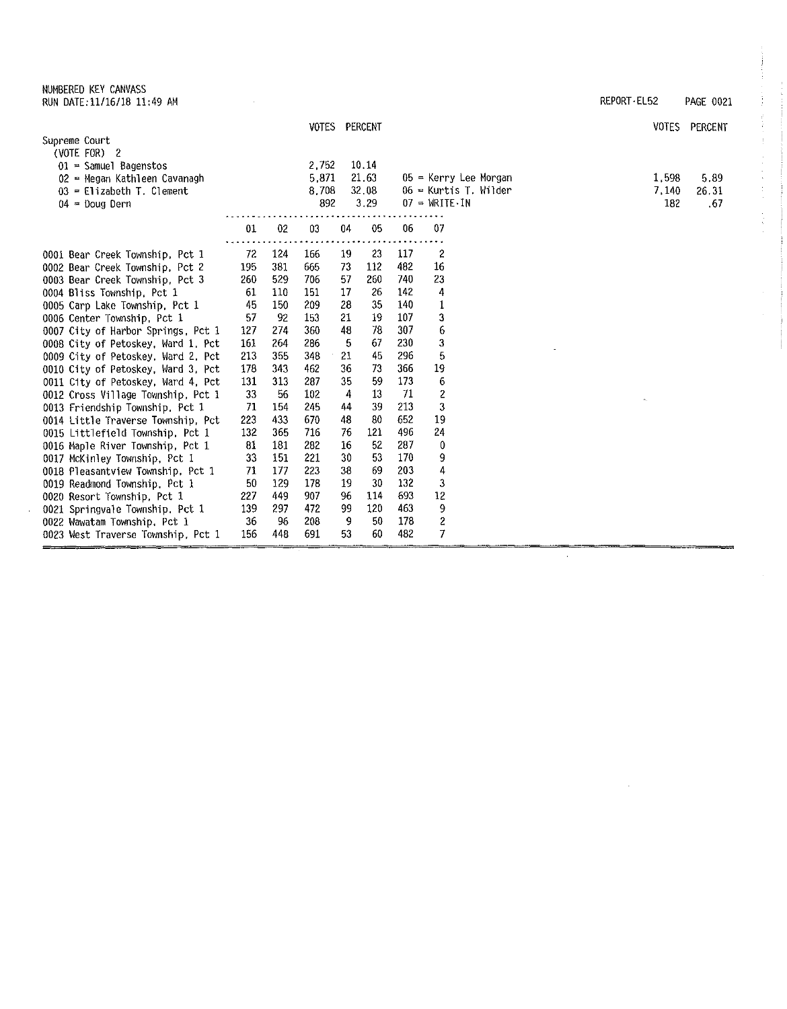NUMBERED KEY CANVASS RUN DATE:11/16/18 11:49 AM REPORT-EL52 PAGE 0021

 $\bar{ }$ 

| REPORT EL52 | <b>PAGE 0021</b> |  |
|-------------|------------------|--|
|             |                  |  |

 $\mathcal{L}_{\mathrm{eff}}$ 

 $\mathcal{L}$ 

ł

÷,  $\frac{1}{2}$  .

计主机电子

 $\frac{1}{2}$ 

| (VOTE FOR) $2$<br>10.14<br>2.752<br>$01$ = Samuel Bagenstos<br>21.63<br>5.871<br>05 = Kerry Lee Morgan<br>1.598<br>5.89<br>02 = Megan Kathleen Cavanagh<br>8,708<br>32.08<br>$06$ = Kurtis T. Wilder<br>7,140<br>26.31<br>$03$ = Elizabeth T. Clement<br>3.29<br>892<br>$07 = WRITE-IN$<br>182<br>$04 =$ Doug Dern<br>.67<br>01<br>02<br>05<br>06<br>07<br>03<br>04<br>2<br>72<br>124<br>19<br>23<br>117<br>0001 Bear Creek Township, Pct 1<br>166<br>16<br>381<br>73<br>112<br>482<br>195<br>665<br>0002 Bear Creek Township, Pct 2<br>529<br>57<br>23<br>260<br>706<br>260<br>740<br>0003 Bear Creek Township, Pct 3<br>17<br>26<br>142<br>4<br>61<br>110<br>0004 Bliss Township, Pct 1<br>151<br>45<br>150<br>28<br>35<br>140<br>1<br>209<br>0005 Carp Lake Township, Pct 1<br>3<br>57<br>107<br>-92<br>153<br>21<br>19<br>0006 Center Township, Pct 1<br>6<br>48<br>78<br>307<br>127<br>274<br>360<br>0007 City of Harbor Springs, Pct 1<br>3<br>230<br>161<br>264<br>286<br>5<br>67<br>0008 City of Petoskey, Ward 1 Pct<br>5<br>45<br>296<br>213<br>355<br>348<br>21<br>0009 City of Petoskey, Ward 2, Pct<br>19<br>366<br>462<br>36<br>73<br>178<br>343<br>0010 City of Petoskey, Ward 3, Pct<br>6<br>35<br>59<br>173<br>131<br>313<br>287<br>0011 City of Petoskey, Ward 4, Pct<br>$\overline{c}$<br>33<br>13<br>56<br>102<br>4<br>-71<br>0012 Cross Village Township, Pct 1<br>3<br>39<br>213<br>71<br>245<br>44<br>0013 Friendship Township, Pct 1<br>154<br>19<br>433<br>652<br>223<br>670<br>48<br>80<br>0014 Little Traverse Township, Pct<br>121<br>496<br>24<br>132<br>365<br>716<br>76<br>0015 Littlefield Township, Pct 1<br>52<br>287<br>81<br>181<br>16<br>0<br>282<br>0016 Maple River Township, Pct 1<br>30<br>170<br>33<br>53<br>9<br>151<br>221<br>0017 McKinley Township, Pct 1<br>4<br>71<br>177<br>38<br>69<br>203<br>223<br>0018 Pleasantview Township, Pct 1<br>3<br>19<br>132<br>50<br>129<br>178<br>30<br>0019 Readmond Township, Pct 1<br>693<br>12<br>96<br>114<br>227<br>449<br>907<br>0020 Resort Township, Pct 1 |                                 |     |     | VOTES PERCENT |    |     |     |   | <b>VOTES</b> | PERCENT |
|-----------------------------------------------------------------------------------------------------------------------------------------------------------------------------------------------------------------------------------------------------------------------------------------------------------------------------------------------------------------------------------------------------------------------------------------------------------------------------------------------------------------------------------------------------------------------------------------------------------------------------------------------------------------------------------------------------------------------------------------------------------------------------------------------------------------------------------------------------------------------------------------------------------------------------------------------------------------------------------------------------------------------------------------------------------------------------------------------------------------------------------------------------------------------------------------------------------------------------------------------------------------------------------------------------------------------------------------------------------------------------------------------------------------------------------------------------------------------------------------------------------------------------------------------------------------------------------------------------------------------------------------------------------------------------------------------------------------------------------------------------------------------------------------------------------------------------------------------------------------------------------------------------------------------------------------------------------------------------------------------------------------------------------------------------|---------------------------------|-----|-----|---------------|----|-----|-----|---|--------------|---------|
|                                                                                                                                                                                                                                                                                                                                                                                                                                                                                                                                                                                                                                                                                                                                                                                                                                                                                                                                                                                                                                                                                                                                                                                                                                                                                                                                                                                                                                                                                                                                                                                                                                                                                                                                                                                                                                                                                                                                                                                                                                                     | Supreme Court                   |     |     |               |    |     |     |   |              |         |
|                                                                                                                                                                                                                                                                                                                                                                                                                                                                                                                                                                                                                                                                                                                                                                                                                                                                                                                                                                                                                                                                                                                                                                                                                                                                                                                                                                                                                                                                                                                                                                                                                                                                                                                                                                                                                                                                                                                                                                                                                                                     |                                 |     |     |               |    |     |     |   |              |         |
|                                                                                                                                                                                                                                                                                                                                                                                                                                                                                                                                                                                                                                                                                                                                                                                                                                                                                                                                                                                                                                                                                                                                                                                                                                                                                                                                                                                                                                                                                                                                                                                                                                                                                                                                                                                                                                                                                                                                                                                                                                                     |                                 |     |     |               |    |     |     |   |              |         |
|                                                                                                                                                                                                                                                                                                                                                                                                                                                                                                                                                                                                                                                                                                                                                                                                                                                                                                                                                                                                                                                                                                                                                                                                                                                                                                                                                                                                                                                                                                                                                                                                                                                                                                                                                                                                                                                                                                                                                                                                                                                     |                                 |     |     |               |    |     |     |   |              |         |
|                                                                                                                                                                                                                                                                                                                                                                                                                                                                                                                                                                                                                                                                                                                                                                                                                                                                                                                                                                                                                                                                                                                                                                                                                                                                                                                                                                                                                                                                                                                                                                                                                                                                                                                                                                                                                                                                                                                                                                                                                                                     |                                 |     |     |               |    |     |     |   |              |         |
|                                                                                                                                                                                                                                                                                                                                                                                                                                                                                                                                                                                                                                                                                                                                                                                                                                                                                                                                                                                                                                                                                                                                                                                                                                                                                                                                                                                                                                                                                                                                                                                                                                                                                                                                                                                                                                                                                                                                                                                                                                                     |                                 |     |     |               |    |     |     |   |              |         |
|                                                                                                                                                                                                                                                                                                                                                                                                                                                                                                                                                                                                                                                                                                                                                                                                                                                                                                                                                                                                                                                                                                                                                                                                                                                                                                                                                                                                                                                                                                                                                                                                                                                                                                                                                                                                                                                                                                                                                                                                                                                     |                                 |     |     |               |    |     |     |   |              |         |
|                                                                                                                                                                                                                                                                                                                                                                                                                                                                                                                                                                                                                                                                                                                                                                                                                                                                                                                                                                                                                                                                                                                                                                                                                                                                                                                                                                                                                                                                                                                                                                                                                                                                                                                                                                                                                                                                                                                                                                                                                                                     |                                 |     |     |               |    |     |     |   |              |         |
|                                                                                                                                                                                                                                                                                                                                                                                                                                                                                                                                                                                                                                                                                                                                                                                                                                                                                                                                                                                                                                                                                                                                                                                                                                                                                                                                                                                                                                                                                                                                                                                                                                                                                                                                                                                                                                                                                                                                                                                                                                                     |                                 |     |     |               |    |     |     |   |              |         |
|                                                                                                                                                                                                                                                                                                                                                                                                                                                                                                                                                                                                                                                                                                                                                                                                                                                                                                                                                                                                                                                                                                                                                                                                                                                                                                                                                                                                                                                                                                                                                                                                                                                                                                                                                                                                                                                                                                                                                                                                                                                     |                                 |     |     |               |    |     |     |   |              |         |
|                                                                                                                                                                                                                                                                                                                                                                                                                                                                                                                                                                                                                                                                                                                                                                                                                                                                                                                                                                                                                                                                                                                                                                                                                                                                                                                                                                                                                                                                                                                                                                                                                                                                                                                                                                                                                                                                                                                                                                                                                                                     |                                 |     |     |               |    |     |     |   |              |         |
|                                                                                                                                                                                                                                                                                                                                                                                                                                                                                                                                                                                                                                                                                                                                                                                                                                                                                                                                                                                                                                                                                                                                                                                                                                                                                                                                                                                                                                                                                                                                                                                                                                                                                                                                                                                                                                                                                                                                                                                                                                                     |                                 |     |     |               |    |     |     |   |              |         |
|                                                                                                                                                                                                                                                                                                                                                                                                                                                                                                                                                                                                                                                                                                                                                                                                                                                                                                                                                                                                                                                                                                                                                                                                                                                                                                                                                                                                                                                                                                                                                                                                                                                                                                                                                                                                                                                                                                                                                                                                                                                     |                                 |     |     |               |    |     |     |   |              |         |
|                                                                                                                                                                                                                                                                                                                                                                                                                                                                                                                                                                                                                                                                                                                                                                                                                                                                                                                                                                                                                                                                                                                                                                                                                                                                                                                                                                                                                                                                                                                                                                                                                                                                                                                                                                                                                                                                                                                                                                                                                                                     |                                 |     |     |               |    |     |     |   |              |         |
|                                                                                                                                                                                                                                                                                                                                                                                                                                                                                                                                                                                                                                                                                                                                                                                                                                                                                                                                                                                                                                                                                                                                                                                                                                                                                                                                                                                                                                                                                                                                                                                                                                                                                                                                                                                                                                                                                                                                                                                                                                                     |                                 |     |     |               |    |     |     |   |              |         |
|                                                                                                                                                                                                                                                                                                                                                                                                                                                                                                                                                                                                                                                                                                                                                                                                                                                                                                                                                                                                                                                                                                                                                                                                                                                                                                                                                                                                                                                                                                                                                                                                                                                                                                                                                                                                                                                                                                                                                                                                                                                     |                                 |     |     |               |    |     |     |   |              |         |
|                                                                                                                                                                                                                                                                                                                                                                                                                                                                                                                                                                                                                                                                                                                                                                                                                                                                                                                                                                                                                                                                                                                                                                                                                                                                                                                                                                                                                                                                                                                                                                                                                                                                                                                                                                                                                                                                                                                                                                                                                                                     |                                 |     |     |               |    |     |     |   |              |         |
|                                                                                                                                                                                                                                                                                                                                                                                                                                                                                                                                                                                                                                                                                                                                                                                                                                                                                                                                                                                                                                                                                                                                                                                                                                                                                                                                                                                                                                                                                                                                                                                                                                                                                                                                                                                                                                                                                                                                                                                                                                                     |                                 |     |     |               |    |     |     |   |              |         |
|                                                                                                                                                                                                                                                                                                                                                                                                                                                                                                                                                                                                                                                                                                                                                                                                                                                                                                                                                                                                                                                                                                                                                                                                                                                                                                                                                                                                                                                                                                                                                                                                                                                                                                                                                                                                                                                                                                                                                                                                                                                     |                                 |     |     |               |    |     |     |   |              |         |
|                                                                                                                                                                                                                                                                                                                                                                                                                                                                                                                                                                                                                                                                                                                                                                                                                                                                                                                                                                                                                                                                                                                                                                                                                                                                                                                                                                                                                                                                                                                                                                                                                                                                                                                                                                                                                                                                                                                                                                                                                                                     |                                 |     |     |               |    |     |     |   |              |         |
|                                                                                                                                                                                                                                                                                                                                                                                                                                                                                                                                                                                                                                                                                                                                                                                                                                                                                                                                                                                                                                                                                                                                                                                                                                                                                                                                                                                                                                                                                                                                                                                                                                                                                                                                                                                                                                                                                                                                                                                                                                                     |                                 |     |     |               |    |     |     |   |              |         |
|                                                                                                                                                                                                                                                                                                                                                                                                                                                                                                                                                                                                                                                                                                                                                                                                                                                                                                                                                                                                                                                                                                                                                                                                                                                                                                                                                                                                                                                                                                                                                                                                                                                                                                                                                                                                                                                                                                                                                                                                                                                     |                                 |     |     |               |    |     |     |   |              |         |
|                                                                                                                                                                                                                                                                                                                                                                                                                                                                                                                                                                                                                                                                                                                                                                                                                                                                                                                                                                                                                                                                                                                                                                                                                                                                                                                                                                                                                                                                                                                                                                                                                                                                                                                                                                                                                                                                                                                                                                                                                                                     |                                 |     |     |               |    |     |     |   |              |         |
|                                                                                                                                                                                                                                                                                                                                                                                                                                                                                                                                                                                                                                                                                                                                                                                                                                                                                                                                                                                                                                                                                                                                                                                                                                                                                                                                                                                                                                                                                                                                                                                                                                                                                                                                                                                                                                                                                                                                                                                                                                                     |                                 |     |     |               |    |     |     |   |              |         |
|                                                                                                                                                                                                                                                                                                                                                                                                                                                                                                                                                                                                                                                                                                                                                                                                                                                                                                                                                                                                                                                                                                                                                                                                                                                                                                                                                                                                                                                                                                                                                                                                                                                                                                                                                                                                                                                                                                                                                                                                                                                     |                                 |     |     |               |    |     |     |   |              |         |
|                                                                                                                                                                                                                                                                                                                                                                                                                                                                                                                                                                                                                                                                                                                                                                                                                                                                                                                                                                                                                                                                                                                                                                                                                                                                                                                                                                                                                                                                                                                                                                                                                                                                                                                                                                                                                                                                                                                                                                                                                                                     |                                 |     |     |               |    |     |     |   |              |         |
|                                                                                                                                                                                                                                                                                                                                                                                                                                                                                                                                                                                                                                                                                                                                                                                                                                                                                                                                                                                                                                                                                                                                                                                                                                                                                                                                                                                                                                                                                                                                                                                                                                                                                                                                                                                                                                                                                                                                                                                                                                                     |                                 |     |     |               |    |     |     |   |              |         |
|                                                                                                                                                                                                                                                                                                                                                                                                                                                                                                                                                                                                                                                                                                                                                                                                                                                                                                                                                                                                                                                                                                                                                                                                                                                                                                                                                                                                                                                                                                                                                                                                                                                                                                                                                                                                                                                                                                                                                                                                                                                     | 0021 Springvale Township, Pct 1 | 139 | 297 | 472           | 99 | 120 | 463 | 9 |              |         |
| 2<br>-9<br>178<br>36<br>96<br>208<br>50<br>0022 Wawatam Township, Pct 1                                                                                                                                                                                                                                                                                                                                                                                                                                                                                                                                                                                                                                                                                                                                                                                                                                                                                                                                                                                                                                                                                                                                                                                                                                                                                                                                                                                                                                                                                                                                                                                                                                                                                                                                                                                                                                                                                                                                                                             |                                 |     |     |               |    |     |     |   |              |         |
| 7<br>482<br>156<br>448<br>691<br>53<br>60<br>0023 West Traverse Township, Pct 1                                                                                                                                                                                                                                                                                                                                                                                                                                                                                                                                                                                                                                                                                                                                                                                                                                                                                                                                                                                                                                                                                                                                                                                                                                                                                                                                                                                                                                                                                                                                                                                                                                                                                                                                                                                                                                                                                                                                                                     |                                 |     |     |               |    |     |     |   |              |         |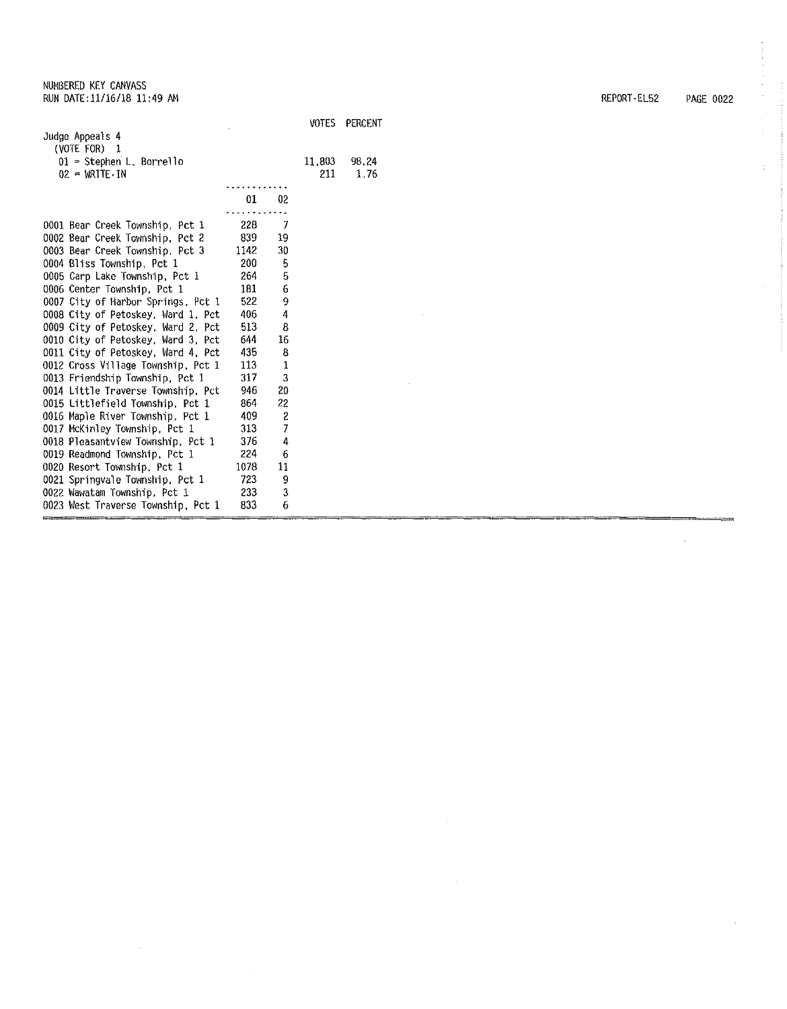|                                    |       |                          | VOTES  | PERCENT |
|------------------------------------|-------|--------------------------|--------|---------|
| Judge Appeals 4                    |       |                          |        |         |
| (VOTE FOR) 1                       |       |                          |        |         |
| 01 = Stephen L. Borrello           |       |                          | 11.803 | 98,24   |
| $02 = WRITE \cdot IN$              |       |                          | 211    | 1,76    |
|                                    |       |                          |        |         |
|                                    | 01    | 02                       |        |         |
|                                    |       |                          |        |         |
| 0001 Bear Creek Township, Pct 1    | 228   | -7                       |        |         |
| 0002 Bear Creek Township, Pct 2    | 839 — | 19                       |        |         |
| 0003 Bear Creek Township, Pct 3    | 1142  | 30                       |        |         |
| 0004 Bliss Township, Pct 1         | 200   | 5                        |        |         |
| 0005 Carp Lake Township, Pct 1     | 264   | 5                        |        |         |
| 0006 Center Township, Pct 1        | 181   | 6                        |        |         |
| 0007 City of Harbor Springs, Pct 1 | 522   | 9                        |        |         |
| 0008 City of Petoskey, Ward 1, Pct | 406   | 4                        |        |         |
| 0009 City of Petoskey, Ward 2, Pct | 513   | 8                        |        |         |
| 0010 City of Petoskey, Ward 3, Pct | 644   | 16                       |        |         |
| 0011 City of Petoskey, Ward 4, Pct | 435   | 8                        |        |         |
| 0012 Cross Village Township, Pct 1 | 113   | 1                        |        |         |
| 0013 Friendship Township, Pct 1    | 317   | 3                        |        |         |
| 0014 Little Traverse Township, Pct | 946   | 20                       |        |         |
| 0015 Littlefield Township, Pct 1   | 864   | 22                       |        |         |
| 0016 Maple River Township, Pct 1   | 409   | $\overline{\mathbf{c}}$  |        |         |
| 0017 McKinley Township, Pct 1      | 313   | $\overline{\mathcal{L}}$ |        |         |
| 0018 Pleasantview Township, Pct 1  | 376   | 4                        |        |         |
| 0019 Readmond Township, Pct 1      | 224   | 6                        |        |         |
| 0020 Resort Township, Pct 1        | 1078  | 11                       |        |         |
| 0021 Springvale Township, Pct 1    | 723   | 9                        |        |         |
| 0022 Wawatam Township, Pct 1       | 233   | 3                        |        |         |
| 0023 West Traverse Township, Pct 1 | 833   | 6                        |        |         |

 $\sim 10$ 

 $\bar{z}$ 

REPORT·EL52 PAGE 0022

 $\sim 10^6$ 

 $\bar{\mathbf{v}}$ 

 $\hat{\boldsymbol{\theta}}$  $\frac{1}{2}$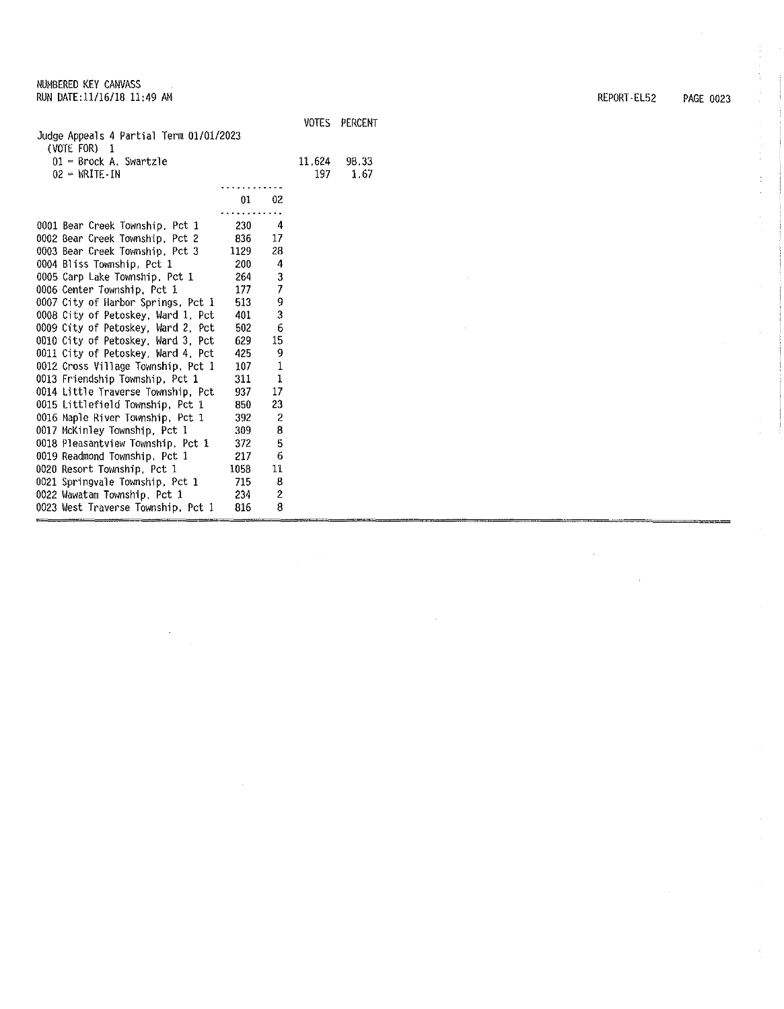| Judge Appeals 4 Partial Term 01/01/2023          |      |                | VOTES         | PERCENT       |
|--------------------------------------------------|------|----------------|---------------|---------------|
| (VOTE FOR) 1                                     |      |                |               |               |
| $01$ = Brock A. Swartzle<br>$02 - WRTE \cdot IN$ |      |                | 11.624<br>197 | 98.33<br>1.67 |
|                                                  |      |                |               |               |
|                                                  | 01   | 02             |               |               |
|                                                  |      |                |               |               |
| 0001 Bear Creek Township, Pct 1                  | 230  | 4              |               |               |
| 0002 Bear Creek Township, Pct 2                  | 836  | 17             |               |               |
| 0003 Bear Creek Township, Pct 3                  | 1129 | 28             |               |               |
| 0004 Bliss Township, Pct 1                       | 200  | 4              |               |               |
| 0005 Carp Lake Township, Pct 1                   | 264  | 3              |               |               |
| 0006 Center Township, Pct 1                      | 177  | 7              |               |               |
| 0007 City of Harbor Springs, Pct 1               | 513  | 9              |               |               |
| 0008 City of Petoskey, Ward 1, Pct               | 401  | 3              |               |               |
| 0009 City of Petoskey, Ward 2, Pct               | 502  | 6              |               |               |
| 0010 City of Petoskey, Ward 3, Pct               | 629  | 15             |               |               |
| 0011 City of Petoskey, Ward 4, Pct               | 425  | 9              |               |               |
| 0012 Cross Village Township, Pct 1               | 107  | $\mathbf{1}$   |               |               |
| 0013 Friendship Township, Pct 1                  | 311  | $\mathbf{1}$   |               |               |
| 0014 Little Traverse Township, Pct               | 937  | 17             |               |               |
| 0015 Littlefield Township, Pct 1                 | 850  | 23             |               |               |
| 0016 Maple River Township, Pct 1                 | 392  | 2              |               |               |
| 0017 McKinley Township, Pct 1                    | 309  | 8              |               |               |
| 0018 Pleasantview Township, Pct 1                | 372  | 5              |               |               |
| 0019 Readmond Township, Pct 1                    | 217  | 6              |               |               |
| 0020 Resort Township, Pct 1                      | 1058 | 11             |               |               |
| 0021 Springvale Township, Pct 1                  | 715  | 8              |               |               |
| 0022 Wawatam Township, Pct 1                     | 234  | $\overline{c}$ |               |               |
| 0023 West Traverse Township, Pct 1               | 816  | 8              |               |               |

 $\bar{\mathcal{A}}$ 

REPORT-EL52 PAGE 0023

 $\bar{\mathcal{A}}$ 

 $\mathcal{L}$ 

 $\hat{\boldsymbol{\theta}}$ 

 $\frac{1}{4}$ ý.  $\sim$ 

 $\vec{r}$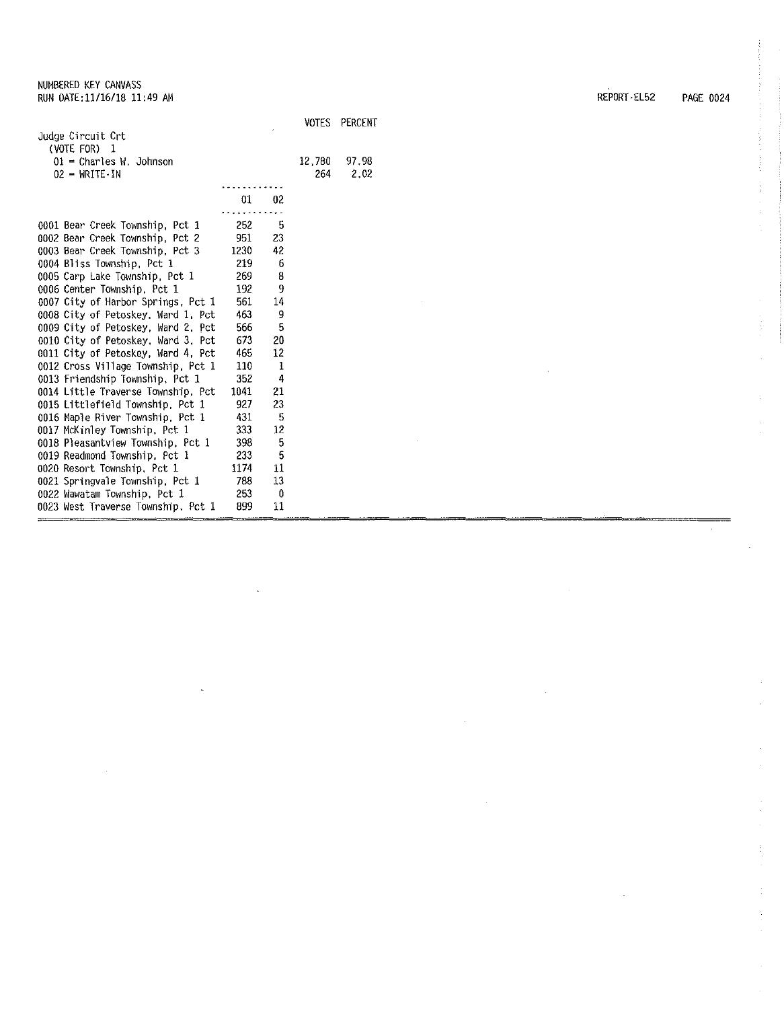|                                     |      |    | VOTES  | PERCENT |
|-------------------------------------|------|----|--------|---------|
| Judge Circuit Crt                   |      |    |        |         |
| (VOTE FOR)<br>-1                    |      |    |        |         |
| $01$ = Charles W. Johnson           |      |    | 12,780 | 97.98   |
| $02 = \text{WRITE} \cdot \text{IN}$ |      |    | 264    | 2.02    |
|                                     |      |    |        |         |
|                                     | 01   | 02 |        |         |
|                                     |      |    |        |         |
| 0001 Bear Creek Township, Pct 1     | 252  | 5  |        |         |
| 0002 Bear Creek Township, Pct 2     | 951  | 23 |        |         |
| 0003 Bear Creek Township, Pct 3     | 1230 | 42 |        |         |
| 0004 Bliss Township, Pct 1          | 219  | 6  |        |         |
| 0005 Carp Lake Township, Pct 1      | 269  | 8  |        |         |
| 0006 Center Township, Pct 1         | 192  | 9  |        |         |
| 0007 City of Harbor Springs, Pct 1  | 561  | 14 |        |         |
| 0008 City of Petoskey, Ward 1, Pct  | 463  | 9  |        |         |
| 0009 City of Petoskey, Ward 2, Pct  | 566  | 5  |        |         |
| 0010 City of Petoskey, Ward 3, Pct  | 673  | 20 |        |         |
| 0011 City of Petoskey, Ward 4, Pct  | 465  | 12 |        |         |
| 0012 Cross Village Township, Pct 1  | 110  | 1  |        |         |
| 0013 Friendship Township, Pct 1     | 352  | 4  |        |         |
| 0014 Little Traverse Township, Pct  | 1041 | 21 |        |         |
| 0015 Littlefield Township, Pct 1    | 927  | 23 |        |         |
| 0016 Maple River Township, Pct 1    | 431  | -5 |        |         |
| 0017 McKinley Township, Pct 1       | 333  | 12 |        |         |
| 0018 Pleasantview Township, Pct 1   | 398  | 5  |        |         |
| 0019 Readmond Township, Pct 1       | 233  | 5  |        |         |
| 0020 Resort Township, Pct 1         | 1174 | 11 |        |         |
| 0021 Springvale Township, Pct 1     | 738  | 13 |        |         |
| 0022 Wawatam Township, Pct 1        | 253  | -0 |        |         |
| 0023 West Traverse Township, Pct 1  | 899  | 11 |        |         |

REPORT•EL52 PAGE 0024

 $\begin{array}{c} 1 \\ 1 \\ 2 \end{array}$ 

í,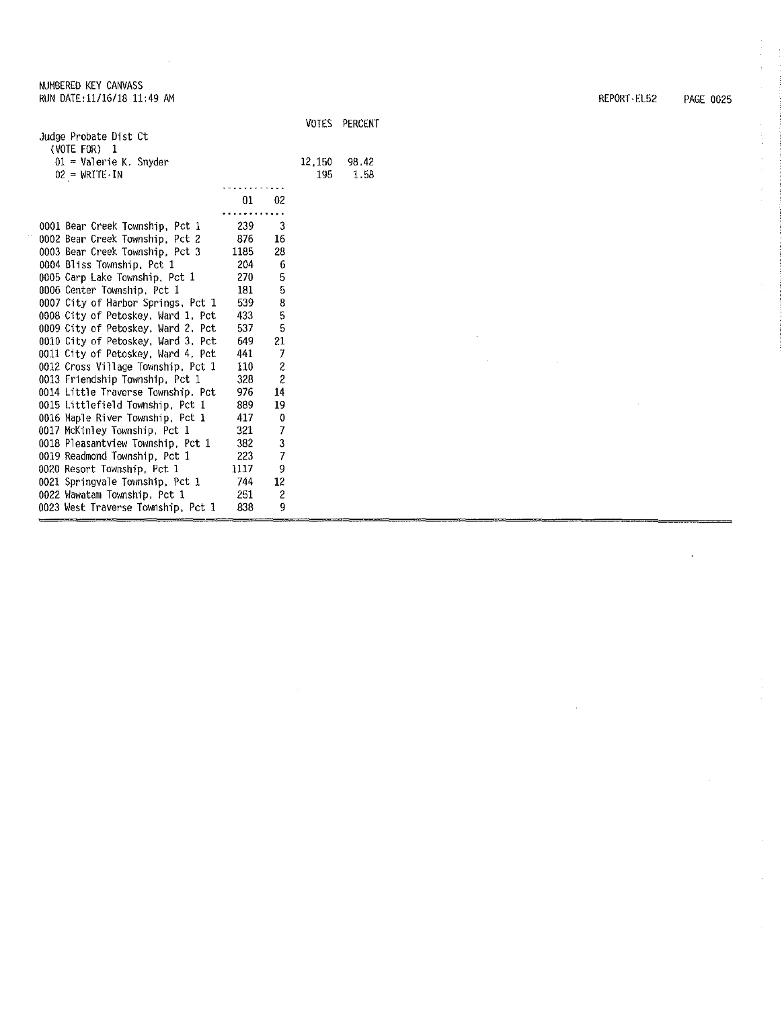|                                     |         |                |        | VOTES PERCENT |
|-------------------------------------|---------|----------------|--------|---------------|
| Judge Probate Dist Ct               |         |                |        |               |
| (VOTE FOR) $1$                      |         |                |        |               |
| $01 =$ Valerie K. Snyder            |         |                | 12,150 | 98.42         |
| $02 = \text{WRITE} \cdot \text{IN}$ |         |                | 195    | 1.58          |
|                                     |         |                |        |               |
|                                     | $_{01}$ | 02             |        |               |
|                                     |         |                |        |               |
| 0001 Bear Creek Township, Pct 1     | 239     | 3              |        |               |
| 0002 Bear Creek Township, Pct 2     | 876     | 16             |        |               |
| 0003 Bear Creek Township, Pct 3     | 1185    | 28             |        |               |
| 0004 Bliss Township, Pct 1          | 204     | 6              |        |               |
| 0005 Carp Lake Township, Pct 1      | 270     | 5              |        |               |
| 0006 Center Township, Pct 1         | 181     | 5              |        |               |
| 0007 City of Harbor Springs, Pct 1  | 539     | 8              |        |               |
| 0008 City of Petoskey, Ward 1, Pct  | 433     | 5              |        |               |
| 0009 City of Petoskey, Ward 2, Pct  | 537     | 5              |        |               |
| 0010 City of Petoskey, Ward 3, Pct  | 649 —   | 21             |        |               |
| 0011 City of Petoskey, Ward 4, Pct  | 441     | 7              |        |               |
| 0012 Cross Village Township, Pct 1  | 110     | 2              |        |               |
| 0013 Friendship Township, Pct 1     | 328     | $\overline{c}$ |        |               |
| 0014 Little Traverse Township, Pct  | 976     | 14             |        |               |
| 0015 Littlefield Township, Pct 1    | 889     | 19             |        |               |
| 0016 Maple River Township, Pct 1    | 417     | 0              |        |               |
| 0017 McKinley Township, Pct 1       | 321     | 7              |        |               |
| 0018 Pleasantview Township, Pct 1   | 382     | 3              |        |               |
| 0019 Readmond Township, Pct 1       | 223     | 7              |        |               |
| 0020 Resort Township, Pct 1         | 1117    | 9              |        |               |
| 0021 Springvale Township, Pct 1     | 744     | 12             |        |               |
| 0022 Wawatam Township, Pct 1        | 251     | 2              |        |               |
| 0023 West Traverse Township, Pct 1  | 838     | 9              |        |               |

REPORT· EL52 PAGE 0025

÷

 $\frac{1}{\sqrt{2}}$ 

 $\frac{1}{2}$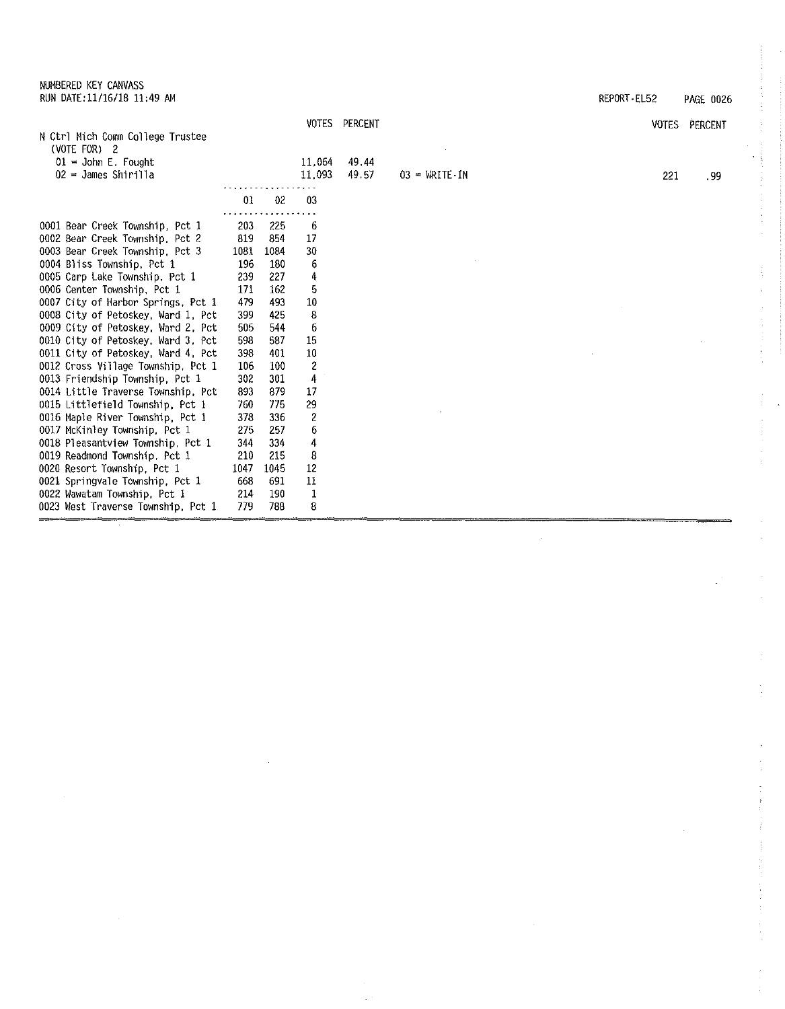NUMBERED KEY CANVASS RUN DATE:11/16/18 11:49 AM REPORT-EL52 PAGE 0026

k.

 $\ddot{\cdot}$ ţ.

Ť.

 $\hat{\mathcal{A}}$ 

ž,  $\frac{1}{4}$ 

|                                    |      |                | <b>VOTES</b> | PERCENT |                                     |     | VOTES PERCENT |
|------------------------------------|------|----------------|--------------|---------|-------------------------------------|-----|---------------|
| N Ctrl Mich Comm College Trustee   |      |                |              |         |                                     |     |               |
| (VOTE FOR) 2                       |      |                |              |         |                                     |     |               |
| $01 =$ John E. Fought              |      |                | 11.064       | 49.44   |                                     |     |               |
| $02 =$ James Shirilla              |      |                | 11.093       | 49.57   | $03 = \text{WRITE} \cdot \text{IN}$ | 221 | .99           |
|                                    | 01   | 0 <sup>2</sup> | -03          |         |                                     |     |               |
|                                    |      |                |              |         |                                     |     |               |
| 0001 Bear Creek Township, Pct 1    | 203  | 225            | 6            |         |                                     |     |               |
| 0002 Bear Creek Township, Pct 2    | 819  | -854           | 17           |         |                                     |     |               |
| 0003 Bear Creek Township, Pct 3    | 1081 | 1084           | 30           |         |                                     |     |               |
| 0004 Bliss Township, Pct 1         | 196  | 180            | 6            |         |                                     |     |               |
| 0005 Carp Lake Township, Pct 1     | 239  | 227            | 4            |         |                                     |     |               |
| 0006 Center Township, Pct 1        | 171  | 162            | 5            |         |                                     |     |               |
| 0007 City of Harbor Springs, Pct 1 | 479  | 493            | 10           |         |                                     |     |               |
| 0008 City of Petoskey, Ward 1, Pct | 399  | 425            | 8            |         |                                     |     |               |
| 0009 City of Petoskey, Ward 2, Pct | 505  | 544            | 6            |         |                                     |     |               |
| 0010 City of Petoskey, Ward 3, Pct | 598  | 587            | 15           |         |                                     |     |               |
| 0011 City of Petoskey, Ward 4, Pct | 398  | 401            | 10           |         |                                     |     |               |
| 0012 Cross Village Township, Pct 1 | 106  | 100            | $\mathbf{2}$ |         |                                     |     |               |
| 0013 Friendship Township, Pct 1    | 302  | 301            | 4            |         |                                     |     |               |
| 0014 Little Traverse Township, Pct | 893  | 879            | 17           |         |                                     |     |               |
| 0015 Littlefield Township, Pct 1   | 760  | 775            | 29           |         |                                     |     |               |
| 0016 Maple River Township, Pct 1   | 378  | 336            | 2            |         |                                     |     |               |
| 0017 McKinley Township, Pct 1      | 275  | 257            | 6            |         |                                     |     |               |
| 0018 Pleasantview Township, Pct 1  | 344  | 334            | 4            |         |                                     |     |               |
| 0019 Readmond Township, Pct 1      | 210  | 215            | 8            |         |                                     |     |               |
| 0020 Resort Township, Pct 1        | 1047 | 1045           | 12           |         |                                     |     |               |
| 0021 Springvale Township, Pct 1    | 668  | 691            | 11           |         |                                     |     |               |
| 0022 Wawatam Township, Pct 1       | 214  | 190            | 1            |         |                                     |     |               |
| 0023 West Traverse Township, Pct 1 | 779  | 788            | 8            |         |                                     |     |               |

 $\omega$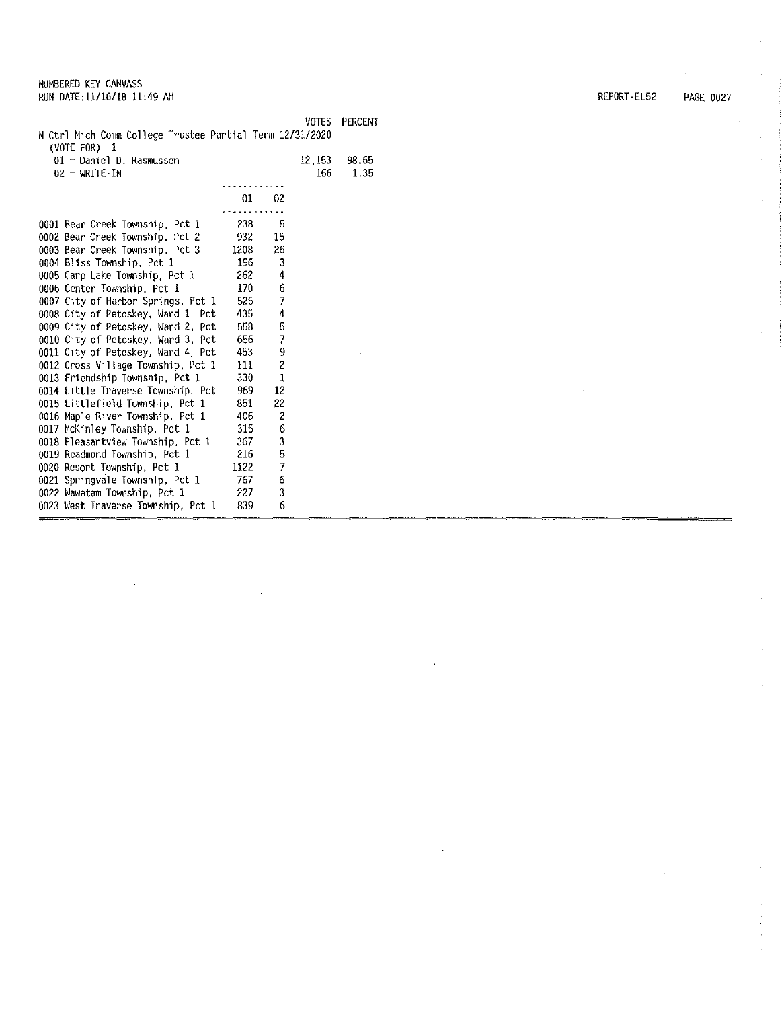|                                                                            |                  |                          | VOTES   | PERCENT |
|----------------------------------------------------------------------------|------------------|--------------------------|---------|---------|
| N Ctrl Mich Comm College Trustee Partial Term 12/31/2020<br>$(VOTE FOR)$ 1 |                  |                          |         |         |
| 01 = Daniel D. Rasmussen                                                   |                  |                          | 12, 153 | 98,65   |
| $02 = \text{WRITE} \cdot \text{IN}$                                        |                  |                          | 166     | 1.35    |
|                                                                            |                  |                          |         |         |
|                                                                            | 01               | 02                       |         |         |
|                                                                            |                  |                          |         |         |
| 0001 Bear Creek Township, Pct 1                                            | 238              | 5                        |         |         |
| 0002 Bear Creek Township, Pct 2                                            | 932              | 15                       |         |         |
| 0003 Bear Creek Township, Pct 3                                            | 1208             | 26                       |         |         |
| 0004 Bliss Township, Pct 1                                                 | 196              | 3                        |         |         |
| 0005 Carp Lake Township, Pct 1                                             | 262              | 4                        |         |         |
| 0006 Center Township, Pct 1                                                | 170              | 6                        |         |         |
| 0007 City of Harbor Springs, Pct 1                                         | 525              | $\overline{\phantom{a}}$ |         |         |
| 0008 City of Petoskey, Ward 1, Pct                                         | 435              | 4                        |         |         |
| 0009 City of Petoskey, Ward 2, Pct                                         | 558              | 5                        |         |         |
| 0010 City of Petoskey, Ward 3, Pct                                         | 656              | 7                        |         |         |
| 0011 City of Petoskey, Ward 4, Pct                                         | 453              | 9                        |         |         |
| 0012 Cross Village Township, Pct 1                                         | 111              | $\mathbf 2$              |         |         |
| 0013 Friendship Township, Pct 1                                            | 330 <sub>1</sub> | 1                        |         |         |
| 0014 Little Traverse Township, Pct                                         | 969              | 12                       |         |         |
| 0015 Littlefield Township, Pct 1                                           | 851              | 22                       |         |         |
| 0016 Maple River Township, Pct 1                                           | 406              | 2                        |         |         |
| 0017 McKinley Township, Pct 1                                              | 315              | 6                        |         |         |
| 0018 Pleasantview Township, Pct 1                                          | 367.             | 3                        |         |         |
| 0019 Readmond Township, Pct 1                                              | 216              | 5                        |         |         |
| 0020 Resort Township, Pct 1                                                | 1122             | 7                        |         |         |
| 0021 Springvale Township, Pct 1                                            | 767              | 6                        |         |         |
| 0022 Wawatam Township, Pct 1                                               | 227              | 3                        |         |         |
| 0023 West Traverse Township, Pct 1                                         | 839              | 6                        |         |         |

REPORT-EL52 PAGE 0027

 $\bar{1}$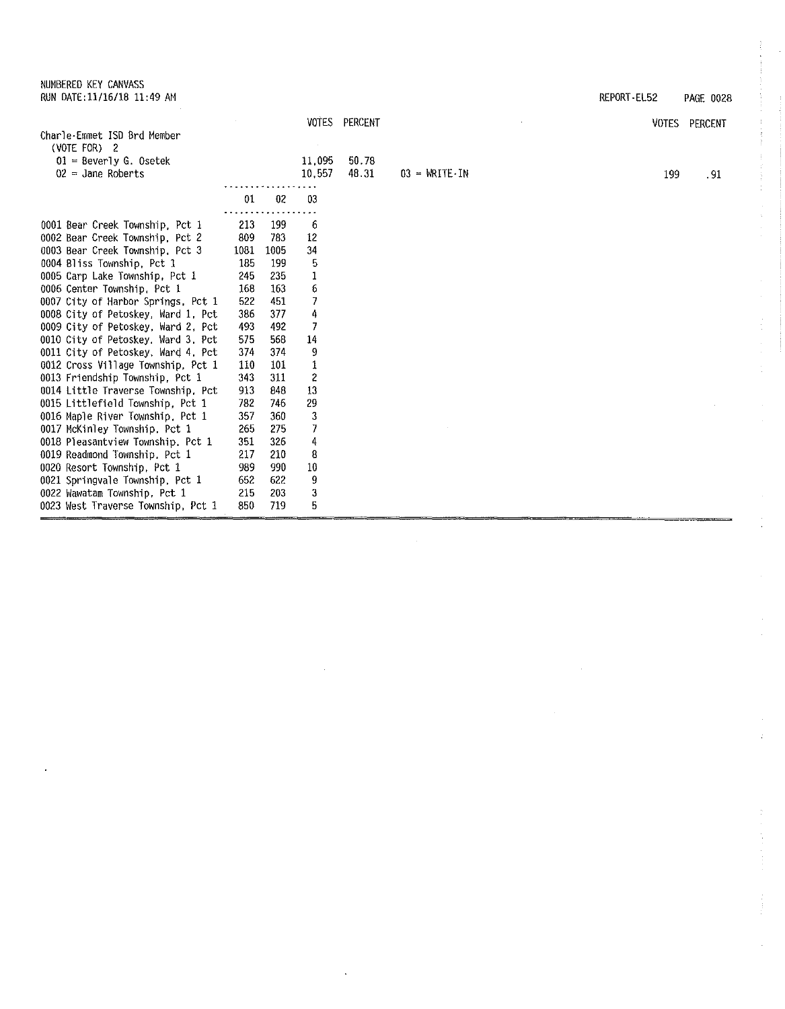NUMBERED KEY CANVASS RUN DATE:11/16/18 11:49 AM REPORT-EL52 PAGE 0028

 $\mathbf{r}$ 

Ŷ,  $\mathbb{C}^{\times}$ 

 $\hat{\mathcal{L}}$ 

 $\frac{1}{2}$ 

 $\mathcal{L}^{\pm}$ 

 $\frac{1}{4}$ 

 $\mathbb{C}$ 

 $\mathbb{S}^1$ 

Ŷ.

|                                    |      |                |                         | VOTES PERCENT |                 | VOTES | PERCENT |
|------------------------------------|------|----------------|-------------------------|---------------|-----------------|-------|---------|
| Charle-Emmet ISD Brd Member        |      |                |                         |               |                 |       |         |
| (VOTE FOR) $2$                     |      |                |                         |               |                 |       |         |
| $01 =$ Beverly G. Osetek           |      |                | 11.095                  | 50.78         |                 |       |         |
| $02 =$ Jane Roberts                |      |                | 10.557                  | 48.31         | $03 - WRITE IN$ | 199   | .91     |
|                                    |      |                |                         |               |                 |       |         |
|                                    | 01   | 0 <sup>2</sup> | 03                      |               |                 |       |         |
| 0001 Bear Creek Township, Pct 1    | 213  | 199            | 6                       |               |                 |       |         |
| 0002 Bear Creek Township, Pct 2    | 809  | 783            | 12                      |               |                 |       |         |
| 0003 Bear Creek Township, Pct 3    | 1081 | 1005           | 34                      |               |                 |       |         |
| 0004 Bliss Township, Pct 1         | 185  | 199            | 5                       |               |                 |       |         |
| 0005 Carp Lake Township, Pct 1     | 245  | 235            |                         |               |                 |       |         |
| 0006 Center Township, Pct 1        | 168  | 163            | 6                       |               |                 |       |         |
| 0007 City of Harbor Springs, Pct 1 | 522  | 451            | 7                       |               |                 |       |         |
| 0008 City of Petoskey, Ward 1, Pct | 386  | 377            | 4                       |               |                 |       |         |
| 0009 City of Petoskey, Ward 2, Pct | 493  | 492            | 7                       |               |                 |       |         |
| 0010 City of Petoskey, Ward 3, Pct | 575  | 568            | 14                      |               |                 |       |         |
| 0011 City of Petoskey, Ward 4, Pct | 374  | 374            | 9                       |               |                 |       |         |
| 0012 Cross Village Township, Pct 1 | 110  | 101            |                         |               |                 |       |         |
| 0013 Friendship Township, Pct 1    | 343  | 311            | $\overline{\mathbf{c}}$ |               |                 |       |         |
| 0014 Little Traverse Township, Pct | 913  | 843            | 13                      |               |                 |       |         |
| 0015 Littlefield Township, Pct 1   | 782  | -746           | 29                      |               |                 |       |         |
| 0016 Maple River Township, Pct 1   | 357  | 360            | 3                       |               |                 |       |         |
| 0017 McKinley Township, Pct 1      | 265  | 275            | 7                       |               |                 |       |         |
| 0018 Pleasantview Township, Pct 1  | 351  | 326            | 4                       |               |                 |       |         |
| 0019 Readmond Township, Pct 1      | 217  | 210            | 8                       |               |                 |       |         |
| 0020 Resort Township, Pct 1        | 989  | 990            | 10                      |               |                 |       |         |
| 0021 Springvale Township, Pct 1    | 652  | 622            | 9                       |               |                 |       |         |
| 0022 Wawatam Township, Pct 1       | 215  | 203            | 3                       |               |                 |       |         |
| 0023 West Traverse Township, Pct 1 | 850  | 719            | 5                       |               |                 |       |         |

 $\ddot{\phantom{0}}$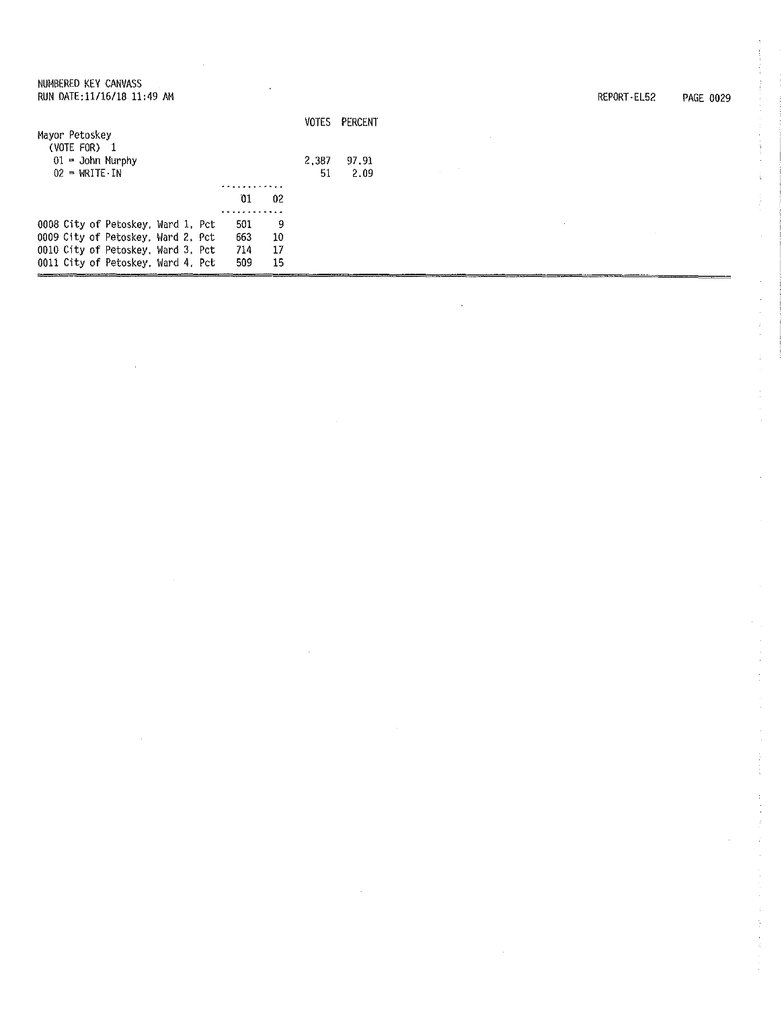| NUMBERED KEY CANVASS<br>RUN DATE: 11/16/18 11:49 AM |                      |       |         | REPORT-EL52 | PAGE 0029 |
|-----------------------------------------------------|----------------------|-------|---------|-------------|-----------|
|                                                     |                      | VOTES | PERCENT |             |           |
| Mayor Petoskey<br>(VOTE FOR) 1                      |                      |       |         |             |           |
| $01 -$ John Murphy                                  |                      | 2,387 | 97.91   |             |           |
| $02 = \text{WRITE} \cdot \text{IN}$                 |                      | 51    | 2.09    |             |           |
|                                                     | .                    |       |         |             |           |
|                                                     | 01<br>0 <sup>2</sup> |       |         |             |           |
|                                                     |                      |       |         |             |           |
| 0008 City of Petoskey, Ward 1, Pct                  | 501<br>9             |       |         |             |           |
| 0009 City of Petoskey, Ward 2, Pct                  | 10<br>663            |       |         |             |           |
| 0010 City of Petoskey, Ward 3, Pct                  | 714<br>17            |       |         |             |           |
| 0011 City of Petoskey, Ward 4, Pct                  | 15<br>509            |       |         |             |           |

 $\label{eq:2.1} \frac{1}{\sqrt{2}}\int_{0}^{\infty}\frac{1}{\sqrt{2\pi}}\left(\frac{1}{\sqrt{2\pi}}\right)^{2}d\mu\left(\frac{1}{\sqrt{2\pi}}\right) \frac{d\mu}{\sqrt{2\pi}}\,.$ 

 $\mathcal{L}^{\text{max}}_{\text{max}}$  , where  $\mathcal{L}^{\text{max}}_{\text{max}}$ 

 $\mathcal{A}^{\mathcal{A}}$ 

 $\label{eq:2.1} \frac{1}{\sqrt{2}}\int_{0}^{\infty}\frac{1}{\sqrt{2\pi}}\left(\frac{1}{\sqrt{2\pi}}\right)^{2\alpha} \frac{1}{\sqrt{2\pi}}\int_{0}^{\infty}\frac{1}{\sqrt{2\pi}}\frac{1}{\sqrt{2\pi}}\frac{1}{\sqrt{2\pi}}\frac{1}{\sqrt{2\pi}}\frac{1}{\sqrt{2\pi}}\frac{1}{\sqrt{2\pi}}\frac{1}{\sqrt{2\pi}}\frac{1}{\sqrt{2\pi}}\frac{1}{\sqrt{2\pi}}\frac{1}{\sqrt{2\pi}}\frac{1}{\sqrt{2\pi}}\frac{1}{$ 

 $\frac{1}{2}$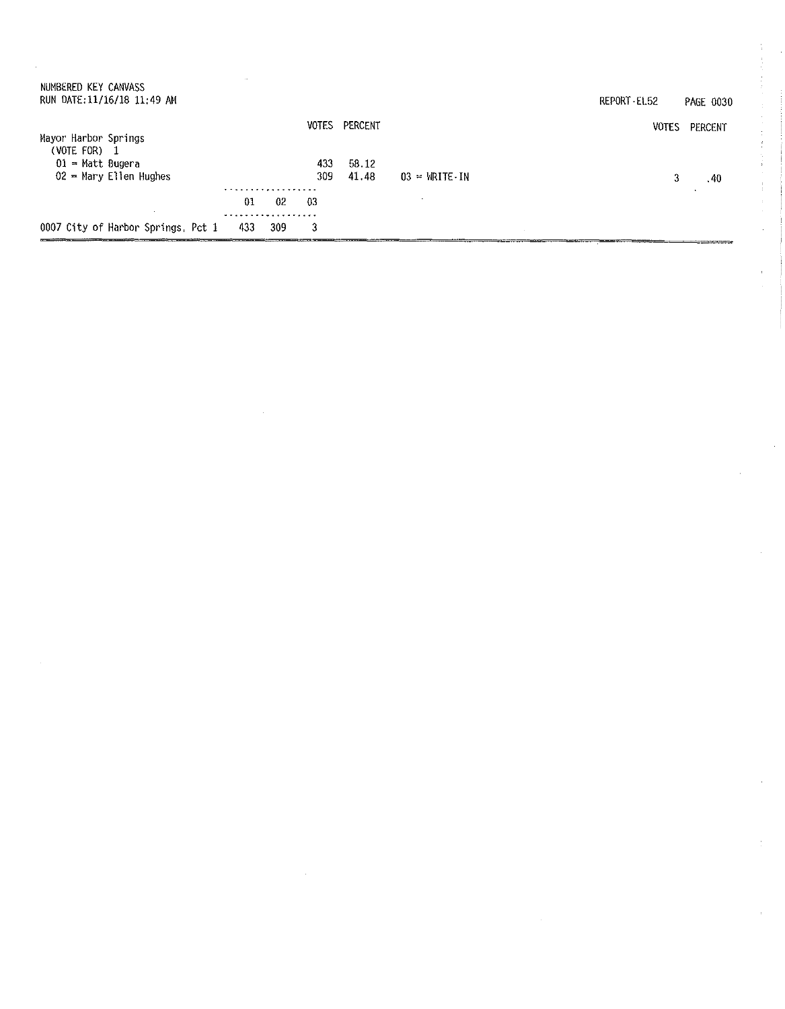| NUMBERED KEY CANVASS<br>RUN DATE: 11/16/18 11:49 AM | $\sim$           |     |            |                   |                                     | REPORT EL52  | <b>PAGE 0030</b> |
|-----------------------------------------------------|------------------|-----|------------|-------------------|-------------------------------------|--------------|------------------|
| Mayor Harbor Springs<br>(VOTE FOR)                  |                  |     | VOTES      | PERCENT           |                                     | <b>VOTES</b> | PERCENT          |
| $01$ = Matt Bugera<br>$02$ = Mary Ellen Hughes      |                  |     | 433<br>309 | $-58.12$<br>41.48 | $03 = \text{WRITE} \cdot \text{IN}$ | 3            | .40              |
|                                                     | . <b>.</b><br>01 | 02  | 03         |                   |                                     |              |                  |
| 0007 City of Harbor Springs, Pct 1                  | 433              | 309 | 3          |                   |                                     |              |                  |

 $\sim$   $\sim$ 

 $\frac{1}{2}$ 

 $\hat{\boldsymbol{\beta}}$ 

 $\mathbb{C}$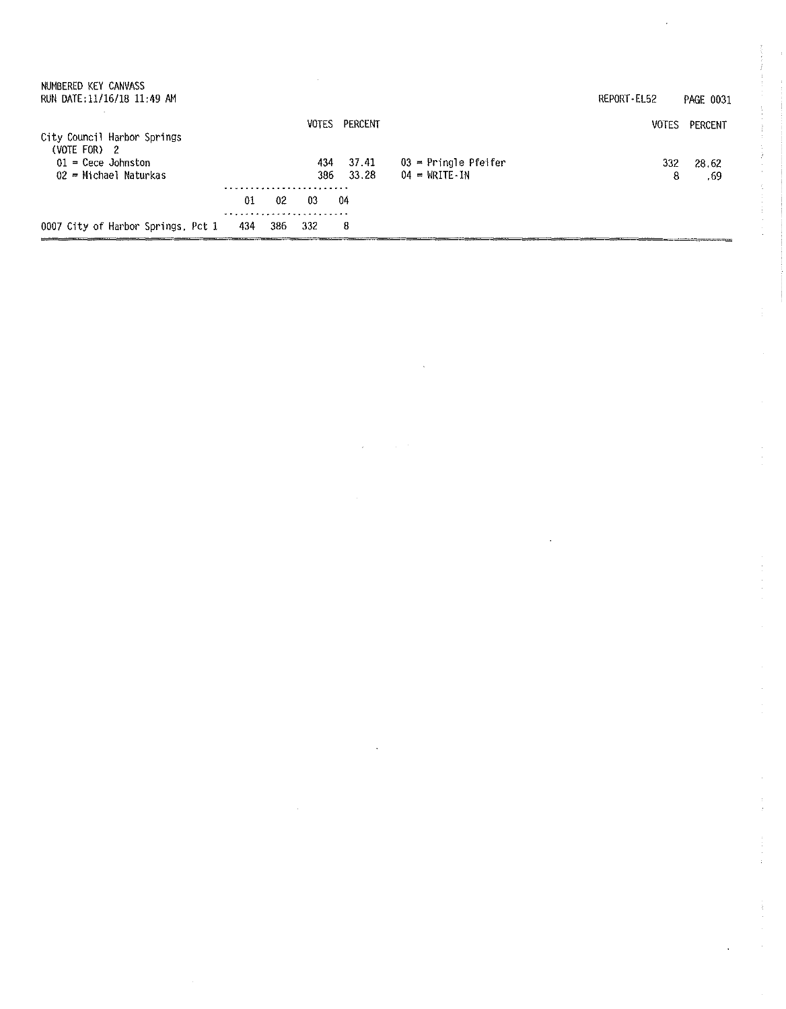| 0007 City of Harbor Springs, Pct 1                                                             | 434 | 386 | 332        | 8              |                                                               |                      |                             |
|------------------------------------------------------------------------------------------------|-----|-----|------------|----------------|---------------------------------------------------------------|----------------------|-----------------------------|
|                                                                                                | 01  | 02  | 03         | 04             |                                                               |                      |                             |
| City Council Harbor Springs<br>(VOTE FOR) 2<br>$01$ = Cece Johnston<br>$02$ = Michael Naturkas |     |     | 434<br>386 | 37.41<br>33.28 | $03$ = Pringle Pfeifer<br>$04 = \text{WRITE} \cdot \text{IN}$ | 332<br>8             | 28.62<br>.69                |
| RUN DATE:11/16/18 11:49 AM                                                                     |     |     | VOTES      | PERCENT        |                                                               | REPORT-EL52<br>VOTES | <b>PAGE 0031</b><br>PERCENT |
| NUMBERED KEY CANVASS                                                                           |     |     |            |                |                                                               |                      |                             |

 $\mathcal{A}^{\mathcal{A}}$ 

 $\frac{1}{2}$ 

 $\label{eq:2.1} \frac{1}{\sqrt{2}}\int_{\mathbb{R}^{2}}\left|\frac{d\mathbf{x}}{d\mathbf{x}}\right|^{2}dx\leq\frac{1}{2}\int_{\mathbb{R}^{2}}\left|\frac{d\mathbf{x}}{d\mathbf{x}}\right|^{2}dx.$ 

 $\mathcal{L}_{\mathcal{A}}$ 

 $\sim$ 

 $\sim$ 

 $\hat{\mathcal{A}}$ 

 $\frac{1}{\sqrt{2}}$ 

医子宫神经节 医心包

 $\mathcal{L}=\mathcal{L}(\mathcal{L}^{\mathcal{L}}\mathcal{L}^{\mathcal{L}}\mathcal{L}^{\mathcal{L}}\mathcal{L}^{\mathcal{L}}\mathcal{L}^{\mathcal{L}})$ 

 $\hat{\mathbf{r}}$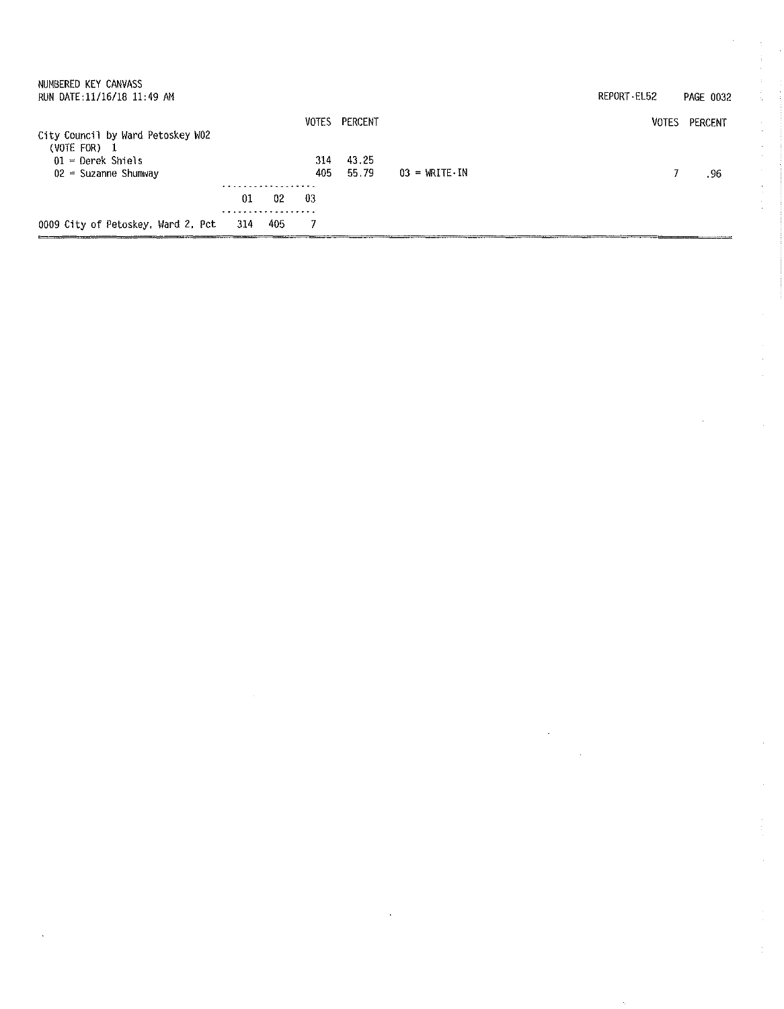| 0009 City of Petoskey, Ward 2, Pct                                                                   | 314 | 405 |            |                |                                     |             |                  |
|------------------------------------------------------------------------------------------------------|-----|-----|------------|----------------|-------------------------------------|-------------|------------------|
|                                                                                                      |     |     |            |                |                                     |             |                  |
|                                                                                                      | 01  | 02  | -03        |                |                                     |             |                  |
| City Council by Ward Petoskey W02<br>$(VOTE FOR)$ 1<br>$01$ = Derek Shiels<br>$02$ = Suzanne Shumway |     |     | 314<br>405 | 43.25<br>55.79 | $03 = \text{WRITE} \cdot \text{IN}$ |             | .96              |
|                                                                                                      |     |     | VOTES      | PERCENT        |                                     | VOTES       | PERCENT          |
| NUMBERED KEY CANVASS<br>RUN DATE:11/16/18 11:49 AM                                                   |     |     |            |                |                                     | REPORT EL52 | <b>PAGE 0032</b> |

 $\frac{1}{2}$ 

医肠囊的 医金属 人名法国德国 医水杨酸盐

医皮肤病 医皮肤病 医皮肤病 医心脏

 $\ddot{\cdot}$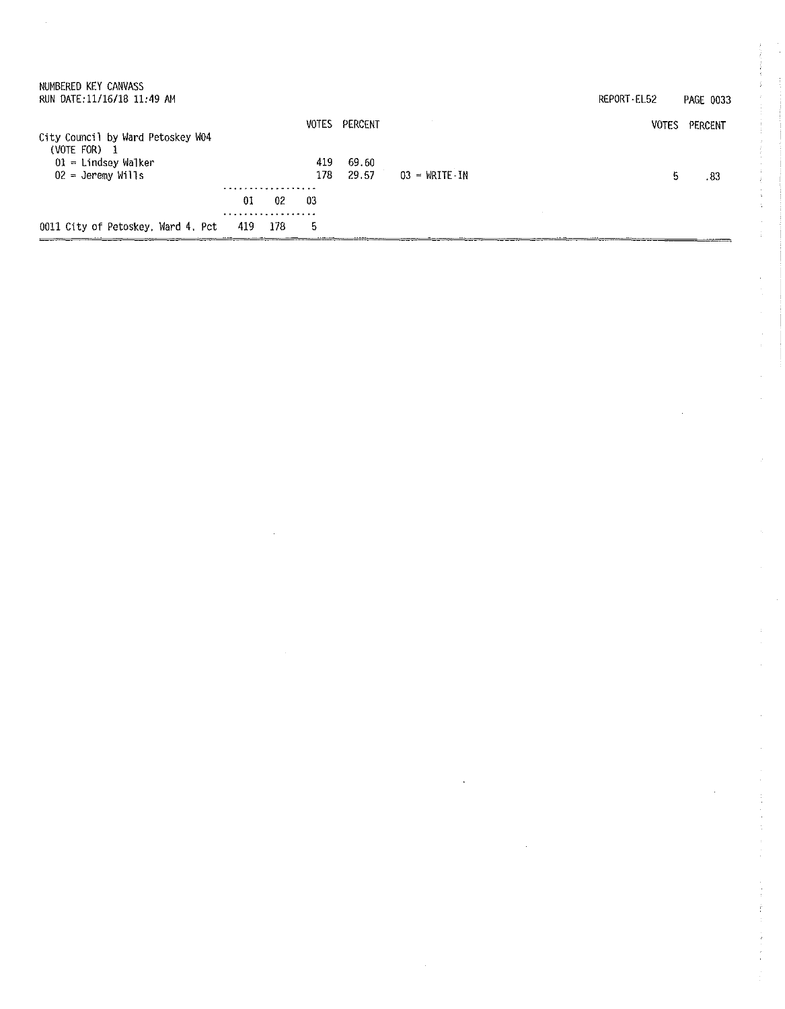| 0011 City of Petoskey, Ward 4, Pct                    | 419 | 178 | 5          |                |                                 |             |                  |
|-------------------------------------------------------|-----|-----|------------|----------------|---------------------------------|-------------|------------------|
|                                                       | .   |     |            |                |                                 |             |                  |
|                                                       | 01  | 02  | -03        |                |                                 |             |                  |
| $01$ = Lindsey Walker<br>$02 =$ Jeremy Wills          | .   |     | 419<br>178 | 69.60<br>29.57 | $03 = \text{WRITE} - \text{IN}$ | 5           | .83              |
| City Council by Ward Petoskey W04<br>(VOTE FOR)<br>-1 |     |     |            | VOTES PERCENT  |                                 | VOTES       | PERCENT          |
| NUMBERED KEY CANVASS<br>RUN DATE: 11/16/18 11:49 AM   |     |     |            |                |                                 | REPORT EL52 | <b>PAGE 0033</b> |

 $\mathcal{L}^{\text{max}}_{\text{max}}$  .

 $\label{eq:2.1} \frac{1}{\sqrt{2}}\left(\frac{1}{\sqrt{2}}\right)^{2} \left(\frac{1}{\sqrt{2}}\right)^{2} \left(\frac{1}{\sqrt{2}}\right)^{2} \left(\frac{1}{\sqrt{2}}\right)^{2} \left(\frac{1}{\sqrt{2}}\right)^{2} \left(\frac{1}{\sqrt{2}}\right)^{2} \left(\frac{1}{\sqrt{2}}\right)^{2} \left(\frac{1}{\sqrt{2}}\right)^{2} \left(\frac{1}{\sqrt{2}}\right)^{2} \left(\frac{1}{\sqrt{2}}\right)^{2} \left(\frac{1}{\sqrt{2}}\right)^{2} \left(\$ 

 $\label{eq:2} \mathcal{L}^{\text{max}}_{\text{max}}(\mathbf{r}_{\text{max}}^{\text{max}})$ 

医前列腺素 医产品的过去式和过去分词

医皮肤 医大脑性 电电子电子

 $\frac{d}{dt} \left( \frac{d}{dt} \right) = \frac{1}{2} \left( \frac{d}{dt} \right)$ 

アイ・シー アイ・シャー はっかっ きょうかい しんりょう まわましょう きょうかい

 $\frac{1}{2}$ 

 $\frac{1}{2}$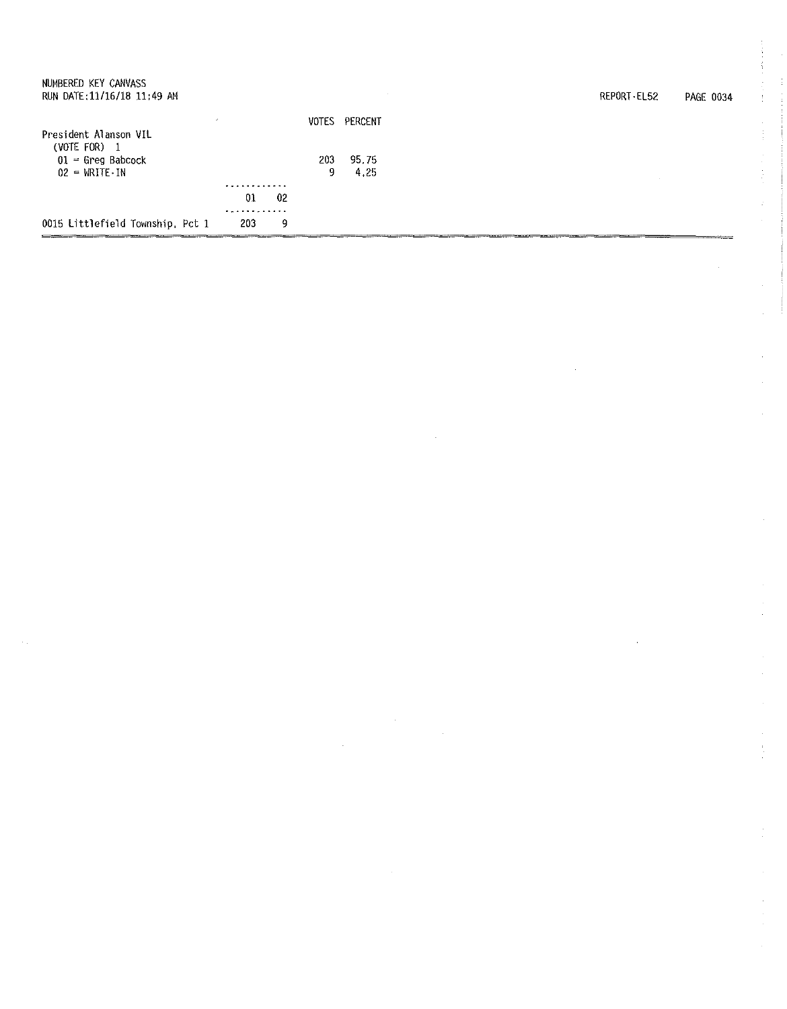| NUMBERED KEY CANVASS<br>RUN DATE: 11/16/18 11:49 AM                          |              |    |              |               | $\sim$ | REPORT - EL52 | PAGE 0034 |
|------------------------------------------------------------------------------|--------------|----|--------------|---------------|--------|---------------|-----------|
| President Alanson VIL                                                        |              |    | <b>VOTES</b> | PERCENT       |        |               |           |
| (VOTE FOR) $1$<br>$01 -$ Greg Babcock<br>$02 = \text{WRITE} \cdot \text{IN}$ |              |    | 203<br>9     | 95.75<br>4.25 |        |               |           |
|                                                                              | .<br>01<br>. | 02 |              |               |        |               |           |
| 0015 Littlefield Township, Pct 1                                             | 203          | 9  |              |               |        |               |           |

 $\mathcal{L}_{\mathcal{A}}$ 

医皮肤皮炎 医白细胞

医皮肤病 医心包 医心包 医心包 医心包 医腹膜

 $\frac{1}{2}$ 

 $\frac{1}{2} \sum_{i=1}^{n} \frac{1}{2} \sum_{j=1}^{n} \frac{1}{2} \sum_{j=1}^{n} \frac{1}{2} \sum_{j=1}^{n} \frac{1}{2} \sum_{j=1}^{n} \frac{1}{2} \sum_{j=1}^{n} \frac{1}{2} \sum_{j=1}^{n} \frac{1}{2} \sum_{j=1}^{n} \frac{1}{2} \sum_{j=1}^{n} \frac{1}{2} \sum_{j=1}^{n} \frac{1}{2} \sum_{j=1}^{n} \frac{1}{2} \sum_{j=1}^{n} \frac{1}{2} \sum_{j=1}^{n$ 

 $\hat{\mathcal{A}}$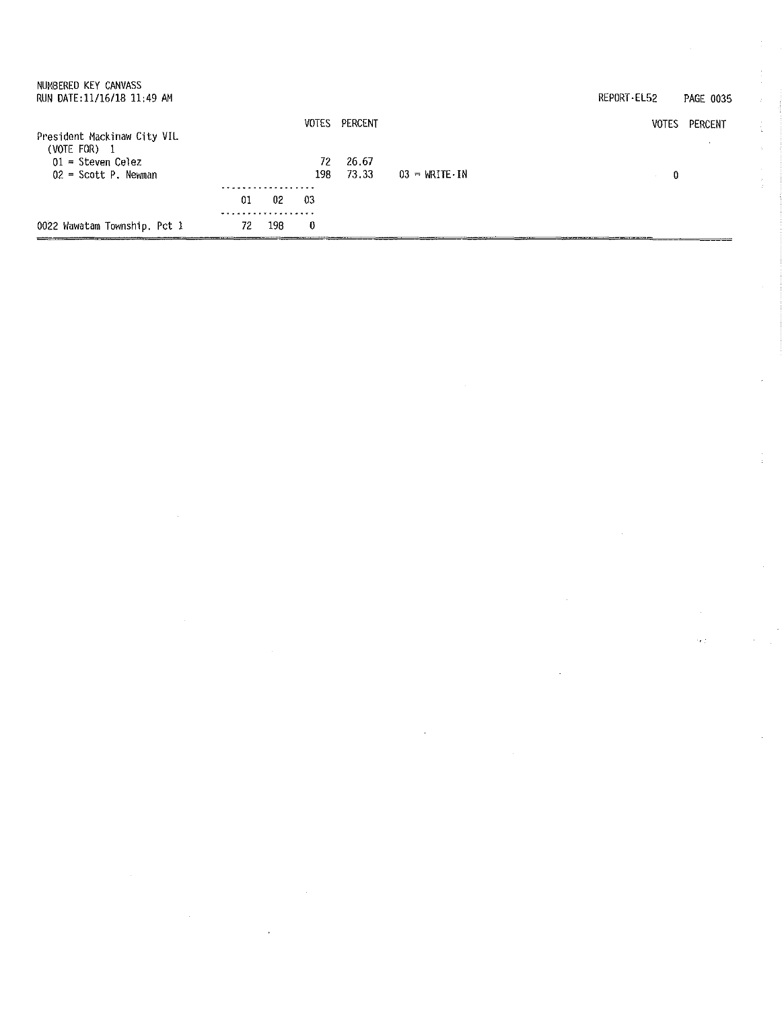| NUMBERED KEY CANVASS<br>RUN DATE:11/16/18 11:49 AM              |         |        |           |                |                                     | REPORT-EL52  | PAGE 0035 |
|-----------------------------------------------------------------|---------|--------|-----------|----------------|-------------------------------------|--------------|-----------|
| President Mackinaw City VIL                                     |         |        | VOTES     | PERCENT        |                                     | <b>VOTES</b> | PERCENT   |
| (VOTE FOR) $1$<br>$01 =$ Steven Celez<br>$02 =$ Scott P. Newman |         |        | 72<br>198 | 26.67<br>73.33 | $03 = \text{WRITE} \cdot \text{IN}$ | 0            |           |
|                                                                 | 01      | $02\,$ | -03       |                |                                     |              |           |
| 0022 Wawatam Township, Pct 1                                    | .<br>72 | 198    | 0         |                |                                     |              |           |

 $\label{eq:2.1} \frac{1}{\sqrt{2}}\int_{\mathbb{R}^3}\frac{1}{\sqrt{2}}\left(\frac{1}{\sqrt{2}}\right)^2\frac{1}{\sqrt{2}}\left(\frac{1}{\sqrt{2}}\right)^2\frac{1}{\sqrt{2}}\left(\frac{1}{\sqrt{2}}\right)^2\frac{1}{\sqrt{2}}\left(\frac{1}{\sqrt{2}}\right)^2.$ 

 $\label{eq:2.1} \mathcal{L}(\mathcal{L}^{\mathcal{L}}_{\mathcal{L}}(\mathcal{L}^{\mathcal{L}}_{\mathcal{L}})) = \mathcal{L}(\mathcal{L}^{\mathcal{L}}_{\mathcal{L}}(\mathcal{L}^{\mathcal{L}}_{\mathcal{L}})) = \mathcal{L}(\mathcal{L}^{\mathcal{L}}_{\mathcal{L}}(\mathcal{L}^{\mathcal{L}}_{\mathcal{L}}))$ 

 $\sim 10^{-1}$ 

 $\frac{1}{2}$ 

 $\frac{1}{2}$ 

 $\mathcal{L}^{\mathcal{L}}$ 

 $\tilde{\mathcal{A}}$ 

 $\sim 10^{-1}$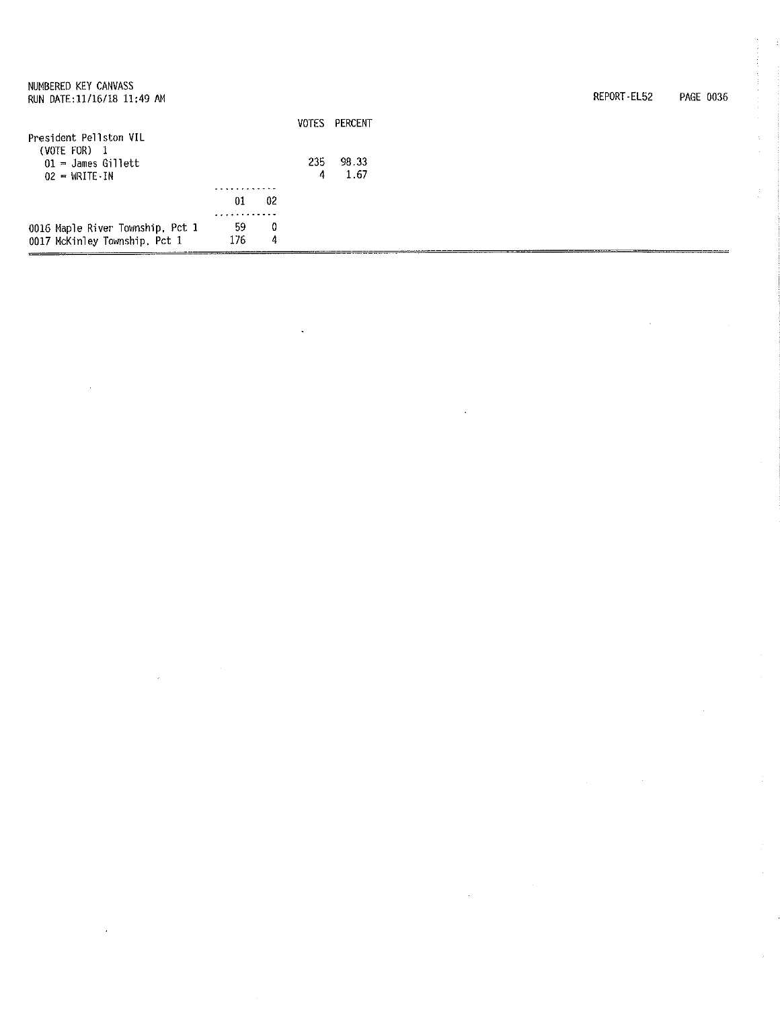| NUMBERED KEY CANVASS             |     |    |       |         |
|----------------------------------|-----|----|-------|---------|
| RUN DATE:11/16/18 11:49 AM       |     |    |       |         |
|                                  |     |    | VOTES | PERCENT |
| President Pellston VIL           |     |    |       |         |
| (VOTE FOR) $1$                   |     |    |       |         |
| $01 =$ James Gillett             |     |    | 235   | 98.33   |
| $02 = WRITE-IN$                  |     |    | 4     | 1.67    |
|                                  |     |    |       |         |
|                                  | 01  | 02 |       |         |
|                                  |     |    |       |         |
| 0016 Maple River Township, Pct 1 | 59  | 0  |       |         |
| 0017 McKinley Township, Pct 1    | 176 | 4  |       |         |

REPORT-EL52 PAGE 0036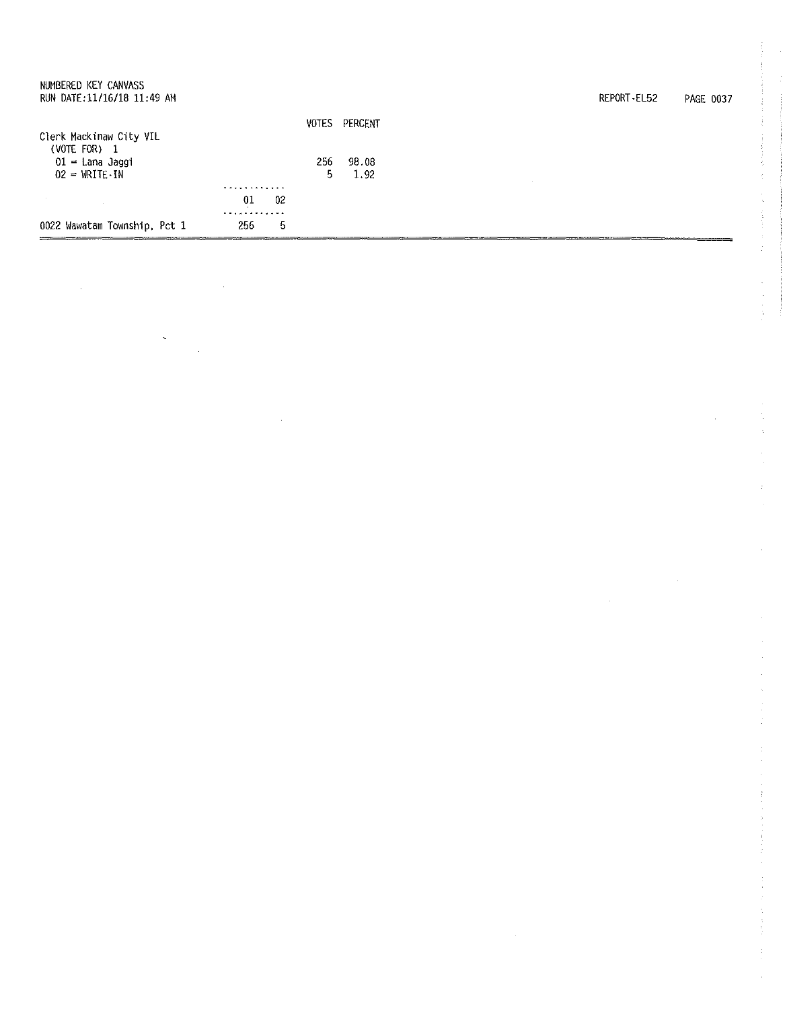| NUMBERED KEY CANVASS<br>RUN DATE: 11/16/18 11:49 AM                        |                    |           |               | REPORT-EL52 | PAGE 0037 |
|----------------------------------------------------------------------------|--------------------|-----------|---------------|-------------|-----------|
| Clerk Mackinaw City VIL                                                    |                    |           | VOTES PERCENT |             |           |
| $(VOTE FOR)$ 1<br>$01 -$ Lana Jaggi<br>$02 = \text{WRITE} \cdot \text{IN}$ |                    | 256<br>5. | 98.08<br>1.92 |             |           |
| $\sim 100$                                                                 | .<br>02<br>$_{01}$ |           |               |             |           |
| 0022 Wawatam Township, Pct 1                                               | .<br>5<br>256      |           |               |             |           |

 $\frac{1}{2} \sum_{i=1}^{n} \frac{1}{2} \sum_{j=1}^{n} \frac{1}{2} \sum_{j=1}^{n} \frac{1}{2} \sum_{j=1}^{n} \frac{1}{2} \sum_{j=1}^{n} \frac{1}{2} \sum_{j=1}^{n} \frac{1}{2} \sum_{j=1}^{n} \frac{1}{2} \sum_{j=1}^{n} \frac{1}{2} \sum_{j=1}^{n} \frac{1}{2} \sum_{j=1}^{n} \frac{1}{2} \sum_{j=1}^{n} \frac{1}{2} \sum_{j=1}^{n} \frac{1}{2} \sum_{j=1}^{n$ 

 $\label{eq:2} \sum_{i=1}^n \frac{1}{\lambda_i} \sum_{j=1}^n \frac{1}{\lambda_j} \sum_{j=1}^n \frac{1}{\lambda_j} \sum_{j=1}^n \frac{1}{\lambda_j} \sum_{j=1}^n \frac{1}{\lambda_j} \sum_{j=1}^n \frac{1}{\lambda_j} \sum_{j=1}^n \frac{1}{\lambda_j} \sum_{j=1}^n \frac{1}{\lambda_j} \sum_{j=1}^n \frac{1}{\lambda_j} \sum_{j=1}^n \frac{1}{\lambda_j} \sum_{j=1}^n \frac{1}{\lambda_j} \sum_{j=1}^n \frac{1}{\$ 

 $\label{eq:2.1} \frac{1}{2} \sum_{i=1}^n \frac{1}{2} \sum_{j=1}^n \frac{1}{2} \sum_{j=1}^n \frac{1}{2} \sum_{j=1}^n \frac{1}{2} \sum_{j=1}^n \frac{1}{2} \sum_{j=1}^n \frac{1}{2} \sum_{j=1}^n \frac{1}{2} \sum_{j=1}^n \frac{1}{2} \sum_{j=1}^n \frac{1}{2} \sum_{j=1}^n \frac{1}{2} \sum_{j=1}^n \frac{1}{2} \sum_{j=1}^n \frac{1}{2} \sum_{j=1}^n \frac{$ 

医皮肤 化甲基苯甲基苯基苯基苯甲

医头皮 医血管

 $\frac{1}{2} \frac{1}{2} \frac{1}{2}$ 

 $\mathcal{L}_{\text{max}}$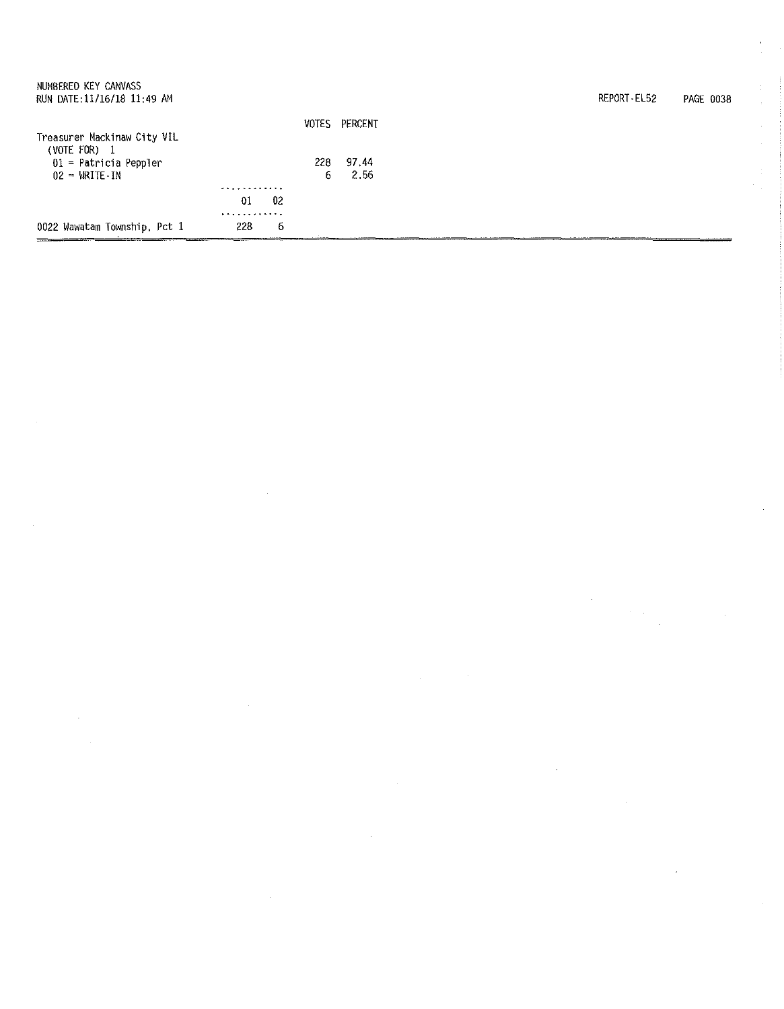| NUMBERED KEY CANVASS<br>RUN DATE: 11/16/18 11:49 AM |     |       |         | REPORT-EL52 | <b>PAGE 0038</b> |
|-----------------------------------------------------|-----|-------|---------|-------------|------------------|
|                                                     |     | VOTES | PERCENT |             |                  |
| Treasurer Mackinaw City VIL<br>$(VOTE$ FOR) $1$     |     |       |         |             |                  |
| $01$ = Patricia Peppler                             |     | 228   | 97.44   |             |                  |
| $02 = \text{WATE} \cdot \text{IN}$                  |     | 6     | 2.56    |             |                  |
|                                                     | .   |       |         |             |                  |
|                                                     | -01 | 02    |         |             |                  |
|                                                     | .   |       |         |             |                  |
| 0022 Wawatam Township, Pct 1                        | 228 | -6    |         |             |                  |

 $\label{eq:2.1} \frac{1}{\sqrt{2}}\int_{\mathbb{R}^3} \frac{1}{\sqrt{2}}\left(\frac{1}{\sqrt{2}}\right)^2\frac{1}{\sqrt{2}}\left(\frac{1}{\sqrt{2}}\right)^2\frac{1}{\sqrt{2}}\left(\frac{1}{\sqrt{2}}\right)^2\frac{1}{\sqrt{2}}\left(\frac{1}{\sqrt{2}}\right)^2.$ 

 $\frac{1}{4}$ 

 $\label{eq:2.1} \begin{split} \mathcal{L}_{\text{max}}(\mathbf{r},\mathbf{r}) = \mathcal{L}_{\text{max}}(\mathbf{r},\mathbf{r}) \mathcal{L}_{\text{max}}(\mathbf{r},\mathbf{r}) \\ \mathcal{L}_{\text{max}}(\mathbf{r},\mathbf{r}) = \mathcal{L}_{\text{max}}(\mathbf{r},\mathbf{r}) \mathcal{L}_{\text{max}}(\mathbf{r},\mathbf{r}) \mathcal{L}_{\text{max}}(\mathbf{r},\mathbf{r}) \end{split}$ 

 $\label{eq:2.1} \frac{d\mathbf{r}}{dt} = \frac{1}{2} \sum_{i=1}^n \frac{d\mathbf{r}}{dt}$ 

 $\frac{1}{2} \left( \frac{1}{2} \right)$ 

 $\label{eq:2.1} \frac{1}{\sqrt{2}}\sum_{i=1}^n\frac{1}{\sqrt{2}}\sum_{i=1}^n\frac{1}{\sqrt{2}}\sum_{i=1}^n\frac{1}{\sqrt{2}}\sum_{i=1}^n\frac{1}{\sqrt{2}}\sum_{i=1}^n\frac{1}{\sqrt{2}}\sum_{i=1}^n\frac{1}{\sqrt{2}}\sum_{i=1}^n\frac{1}{\sqrt{2}}\sum_{i=1}^n\frac{1}{\sqrt{2}}\sum_{i=1}^n\frac{1}{\sqrt{2}}\sum_{i=1}^n\frac{1}{\sqrt{2}}\sum_{i=1}^n\frac$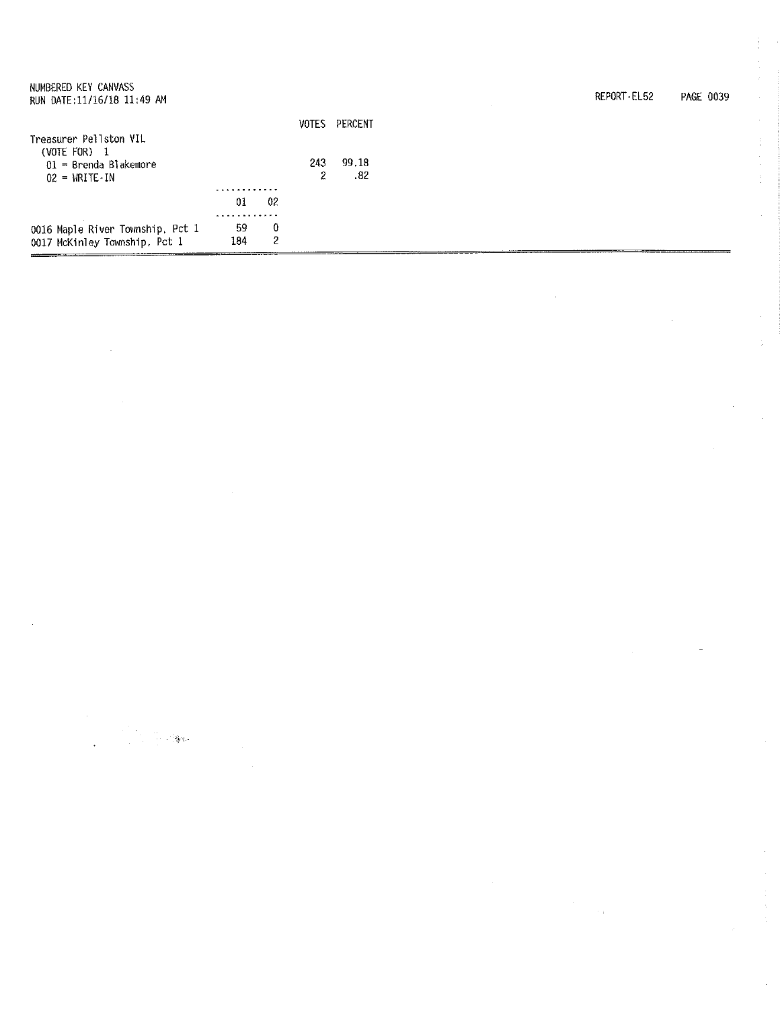| NUMBERED KEY CANVASS<br>RUN DATE: 11/16/18 11:49 AM |     |    |     |               |
|-----------------------------------------------------|-----|----|-----|---------------|
|                                                     |     |    |     | VOTES PERCENT |
| Treasurer Pellston VIL                              |     |    |     |               |
| $(VOTE FOR)$ 1                                      |     |    |     |               |
| $01 =$ Brenda Blakemore                             |     |    | 243 | 99.18         |
| $02 = \text{WRITE} \cdot \text{IN}$                 |     |    | 2   | - 82          |
|                                                     |     |    |     |               |
|                                                     | 01  | 02 |     |               |
|                                                     |     |    |     |               |
| 0016 Maple River Township, Pct 1                    | 59  | 0  |     |               |
| 0017 McKinley Township, Pct 1                       | 184 | 2  |     |               |
|                                                     |     |    |     |               |

| REPORT-EL52 | PAGE 0039 |
|-------------|-----------|
|             |           |

 $\sim$  .

ŧ

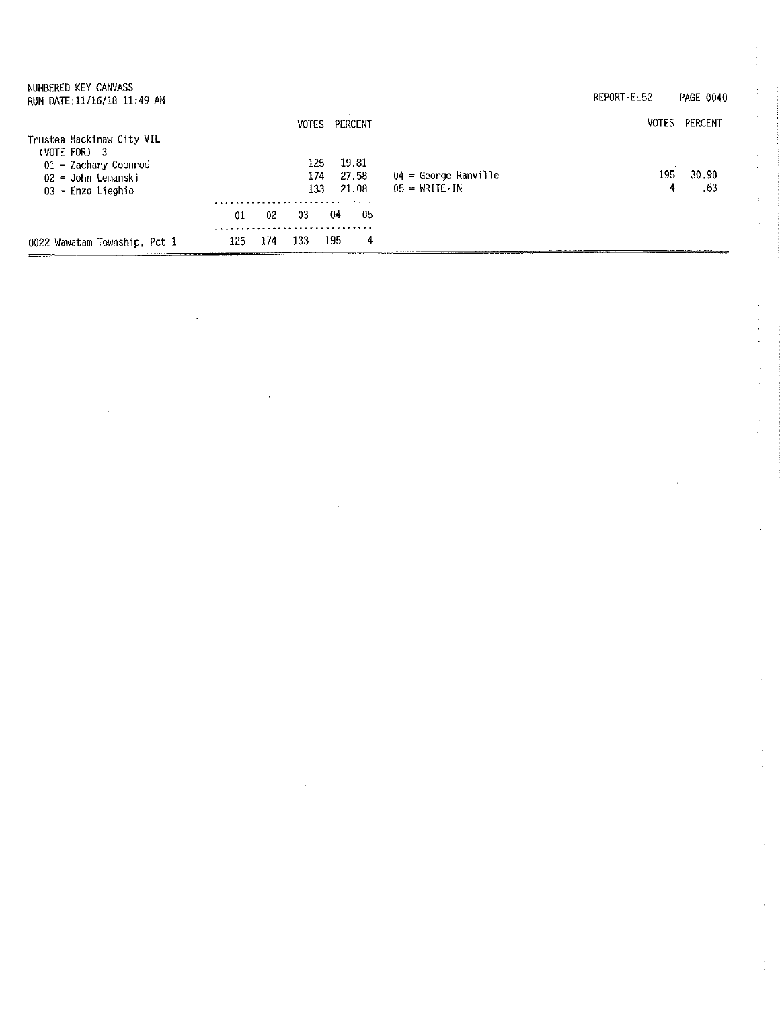| NUMBERED KEY CANVASS<br>RUN DATE: 11/16/18 11:49 AM                                                                  |     |     |       |                   |                         |                                                             | REPORT-EL52  | PAGE 0040    |
|----------------------------------------------------------------------------------------------------------------------|-----|-----|-------|-------------------|-------------------------|-------------------------------------------------------------|--------------|--------------|
|                                                                                                                      |     |     | VOTES |                   | PERCENT                 |                                                             | <b>VOTES</b> | PERCENT      |
| Trustee Mackinaw City VIL<br>$(VOTE FOR)$ 3<br>$01 =$ Zachary Coonrod<br>$02 =$ John Lemanski<br>$03$ = Enzo Lieghio |     |     |       | 125<br>174<br>133 | 19.81<br>27.58<br>21,08 | 04 = George Ranville<br>$05 = \text{WRITE} \cdot \text{IN}$ | 195.<br>4    | 30.90<br>.63 |
|                                                                                                                      | 01  | 02  | 03    | 04                | 05                      |                                                             |              |              |
| 0022 Wawatam Township, Pct 1                                                                                         | 125 | 174 | 133.  | 195               | 4                       |                                                             |              |              |

 $\mathcal{L}(\mathcal{A})$ 

 $\mathcal{L}_{\text{max}}$ 

 $\epsilon_{\rm{max}}$ 

 $\mathcal{L}^{\text{max}}_{\text{max}}$ 

医皮肤 医单

 $\mathcal{A}^{\mathcal{A}}$ 

 $\frac{1}{2}$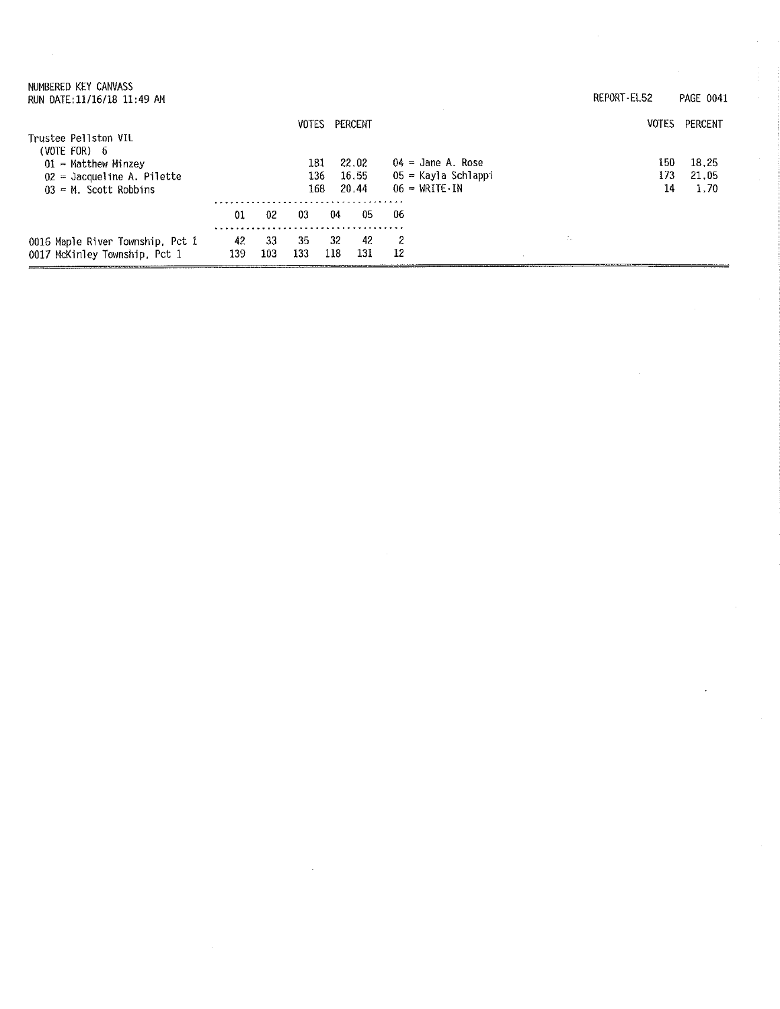| NUMBERED KEY CANVASS<br>RUN DATE: 11/16/18 11:49 AM                                                 |           |           |                   |           |                         |                                                                                   | REPORT-EL52 |                  | PAGE 0041              |
|-----------------------------------------------------------------------------------------------------|-----------|-----------|-------------------|-----------|-------------------------|-----------------------------------------------------------------------------------|-------------|------------------|------------------------|
| Trustee Pellston VIL                                                                                |           |           | <b>VOTES</b>      |           | PERCENT                 |                                                                                   |             | <b>VOTES</b>     | PERCENT                |
| (VOTE FOR) $6$<br>$01$ = Matthew Minzey<br>$02 =$ Jacqueline A. Pilette<br>$03 = M$ . Scott Robbins |           |           | 181<br>136<br>168 |           | 22.02<br>16.55<br>20.44 | $04 =$ Jane A. Rose<br>05 = Kayla Schlappi<br>$06 = \text{WRITE} \cdot \text{IN}$ |             | 150<br>173<br>14 | 18.25<br>21.05<br>1.70 |
|                                                                                                     | 01        | 02        | 03                | 04        | 05                      | -06                                                                               |             |                  |                        |
| 0016 Maple River Township, Pct 1<br>0017 McKinley Township, Pct 1                                   | 42<br>139 | 33<br>103 | 35<br>133         | 32<br>118 | 42<br>131               | 2<br>12                                                                           | ÷.          |                  |                        |

 $\sim$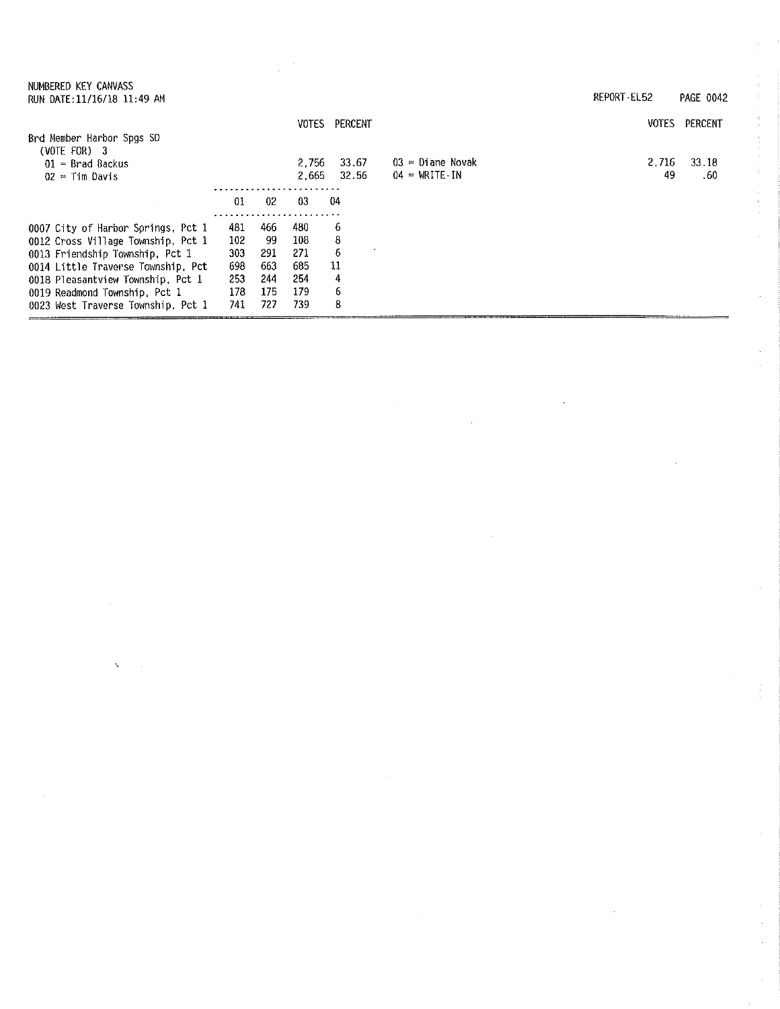| NUMBERED KEY CANVASS<br>RUN DATE: 11/16/18 11:49 AM |     |     |              |         |                    | REPORT-EL52 | PAGE 0042 |
|-----------------------------------------------------|-----|-----|--------------|---------|--------------------|-------------|-----------|
|                                                     |     |     | <b>VOTES</b> | PERCENT |                    | VOTES       | PERCENT   |
| Brd Member Harbor Spgs SD<br>$(VOTE FOR)$ 3         |     |     |              |         |                    |             |           |
| $01$ = Brad Backus                                  |     |     | 2.756        | 33.67   | $03 =$ Diane Novak | 2.716       | 33.18     |
| $02 =$ Tim Davis                                    |     |     | 2.665        | 32.56   | $04$ = WRITE IN    | 49          | .60       |
|                                                     |     |     | . . <i>.</i> |         |                    |             |           |
|                                                     | 01  | 02  | -03          | 04      |                    |             |           |
| 0007 City of Harbor Springs, Pct 1                  | 481 | 466 | 480          | 6       |                    |             |           |
| 0012 Cross Village Township, Pct 1                  | 102 | -99 | 108          | 8       |                    |             |           |
| 0013 Friendship Township, Pct 1                     | 303 | 291 | 271          | 6       |                    |             |           |
| 0014 Little Traverse Township, Pct                  | 698 | 663 | 685          | 11      |                    |             |           |
| 0018 Pleasantview Township, Pct 1                   | 253 | 244 | 254          | 4       |                    |             |           |
| 0019 Readmond Township, Pct 1                       | 178 | 175 | 179          | 6       |                    |             |           |
| 0023 West Traverse Township, Pct 1                  | 741 | 727 | 739          | 8       |                    |             |           |

 $\label{eq:2} \frac{1}{\sqrt{2}}\sum_{i=1}^n\frac{1}{\sqrt{2}}\sum_{i=1}^n\frac{1}{\sqrt{2}}\sum_{i=1}^n\frac{1}{\sqrt{2}}\sum_{i=1}^n\frac{1}{\sqrt{2}}\sum_{i=1}^n\frac{1}{\sqrt{2}}\sum_{i=1}^n\frac{1}{\sqrt{2}}\sum_{i=1}^n\frac{1}{\sqrt{2}}\sum_{i=1}^n\frac{1}{\sqrt{2}}\sum_{i=1}^n\frac{1}{\sqrt{2}}\sum_{i=1}^n\frac{1}{\sqrt{2}}\sum_{i=1}^n\frac{1$ 

 $\hat{\mathcal{A}}$ 

 $\sim$ 

 $\mathcal{L}^{(1,2)}$ 

 $\bar{\mathbf{r}}$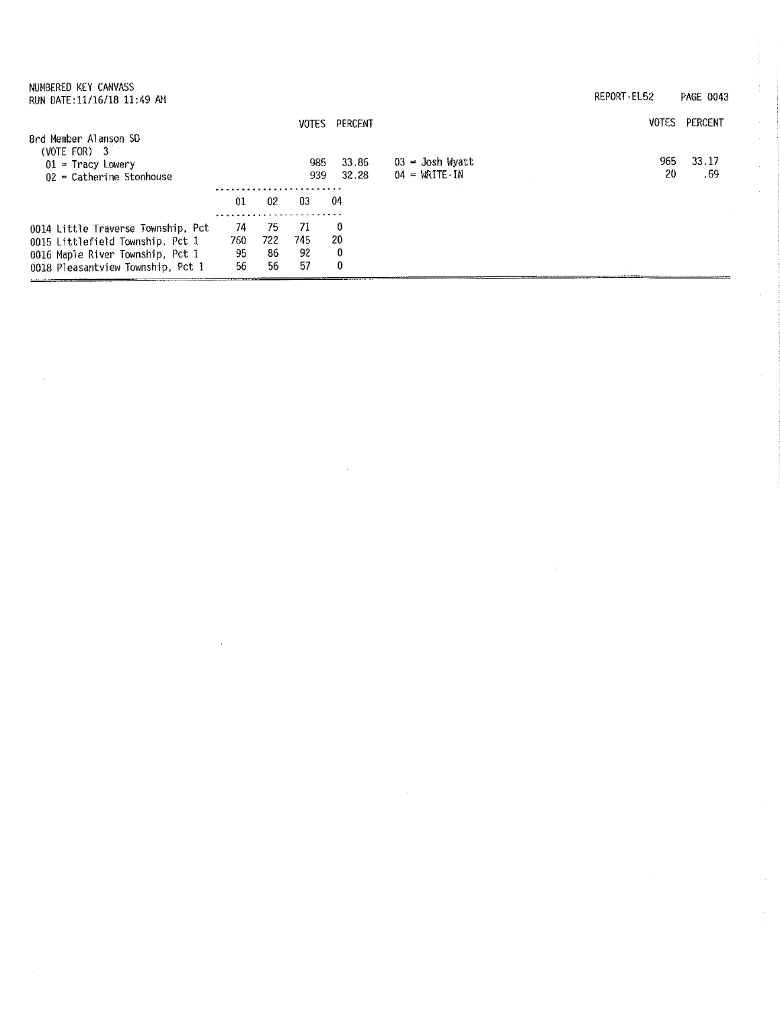| NUMBERED KEY CANVASS<br>RUN DATE: 11/16/18 11:49 AM                                                                                             |                       |                       |                        |                   |                                                          | REPORT-EL52 | PAGE 0043    |
|-------------------------------------------------------------------------------------------------------------------------------------------------|-----------------------|-----------------------|------------------------|-------------------|----------------------------------------------------------|-------------|--------------|
| Brd Member Alanson SD                                                                                                                           |                       |                       | <b>VOTES</b>           | PERCENT           |                                                          | VOTES       | PERCENT      |
| (VOTE FOR) $3$<br>$01$ = Tracy Lowery<br>$02$ = Catherine Stonhouse                                                                             |                       |                       | 985<br>939             | 33 86<br>32.28    | $03 =$ Josh Wyatt<br>$04 = \text{WRITE} \cdot \text{IN}$ | 965<br>20   | 33.17<br>.69 |
|                                                                                                                                                 | 01                    | 02                    | -03                    | 04                |                                                          |             |              |
| 0014 Little Traverse Township, Pct<br>0015 Littlefield Township, Pct 1<br>0016 Maple River Township, Pct 1<br>0018 Pleasantview Township, Pct 1 | 74<br>760<br>95<br>56 | 75<br>722<br>86<br>56 | 71<br>745.<br>92<br>57 | 0<br>20<br>0<br>0 |                                                          |             |              |

 $\sim 10^{-1}$ 

 $\sim 10^{-1}$ 

 $\sim 10^7$ 

 $\frac{1}{4}$ 

 $\sim$ 

 $\hat{\mathcal{A}}$ 

 $\frac{1}{2}$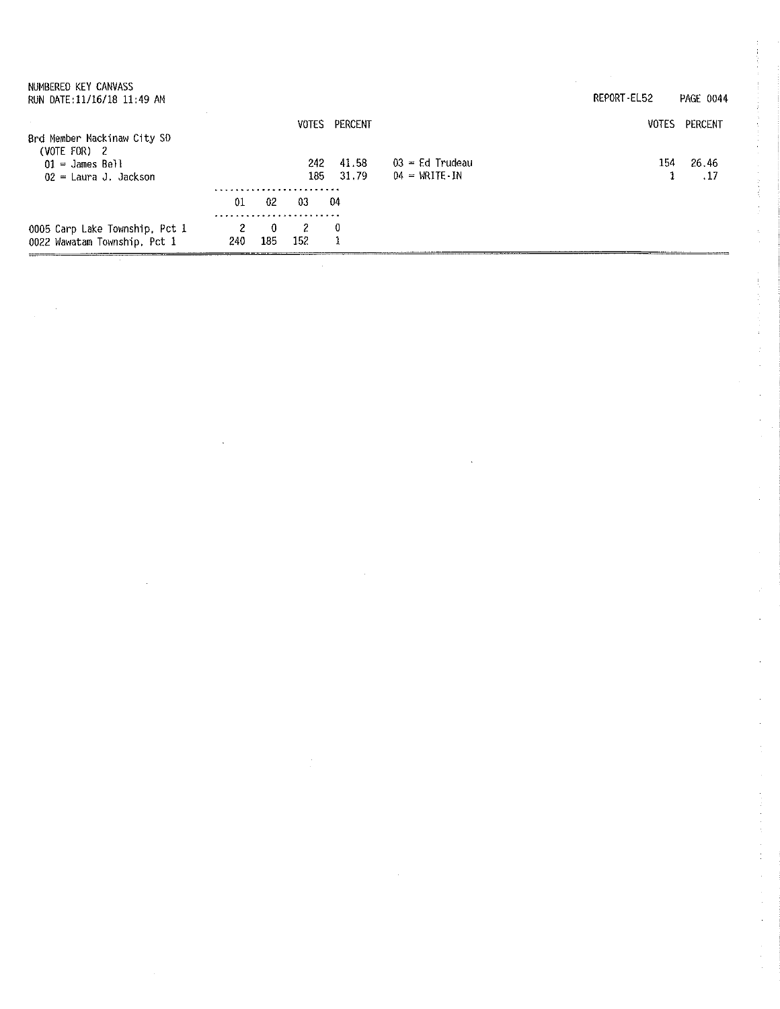| NUMBERED KEY CANVASS<br>RUN DATE:11/16/18 11:49 AM                                            |          |                     |             |                |                                             | REPORT-EL52  | PAGE 0044     |
|-----------------------------------------------------------------------------------------------|----------|---------------------|-------------|----------------|---------------------------------------------|--------------|---------------|
|                                                                                               |          |                     | VOTES       | PERCENT        |                                             | <b>VOTES</b> | PERCENT       |
| Brd Member Mackinaw City SD<br>(VOTE FOR) $2$<br>$01 =$ James Bell<br>$02$ = Laura J. Jackson |          |                     | 242<br>185. | 41.58<br>31.79 | $03$ = Ed Trudeau<br>$04 = \text{WRITE}$ IN | 154          | 26.46<br>. 17 |
|                                                                                               | 01       | 02                  | 03          | -04            |                                             |              |               |
| 0005 Carp Lake Township, Pct 1<br>0022 Wawatam Township, Pct 1                                | 2<br>240 | $\mathbf{0}$<br>185 | 2<br>152    | 0              |                                             |              |               |
|                                                                                               |          |                     |             |                |                                             |              |               |

 $\label{eq:2.1} \frac{1}{\sqrt{2}}\int_{\mathbb{R}^3}\frac{1}{\sqrt{2}}\left(\frac{1}{\sqrt{2}}\right)^2\frac{1}{\sqrt{2}}\left(\frac{1}{\sqrt{2}}\right)^2\frac{1}{\sqrt{2}}\left(\frac{1}{\sqrt{2}}\right)^2.$ 

 $\label{eq:2} \frac{1}{\sqrt{2}}\left(\frac{1}{\sqrt{2}}\right)^{2} \left(\frac{1}{\sqrt{2}}\right)^{2} \left(\frac{1}{\sqrt{2}}\right)^{2}$ 

 $\label{eq:2} \frac{1}{\sqrt{2}}\left(\frac{1}{\sqrt{2}}\right)^{2} \left(\frac{1}{\sqrt{2}}\right)^{2} \left(\frac{1}{\sqrt{2}}\right)^{2} \left(\frac{1}{\sqrt{2}}\right)^{2} \left(\frac{1}{\sqrt{2}}\right)^{2} \left(\frac{1}{\sqrt{2}}\right)^{2} \left(\frac{1}{\sqrt{2}}\right)^{2} \left(\frac{1}{\sqrt{2}}\right)^{2} \left(\frac{1}{\sqrt{2}}\right)^{2} \left(\frac{1}{\sqrt{2}}\right)^{2} \left(\frac{1}{\sqrt{2}}\right)^{2} \left(\frac{$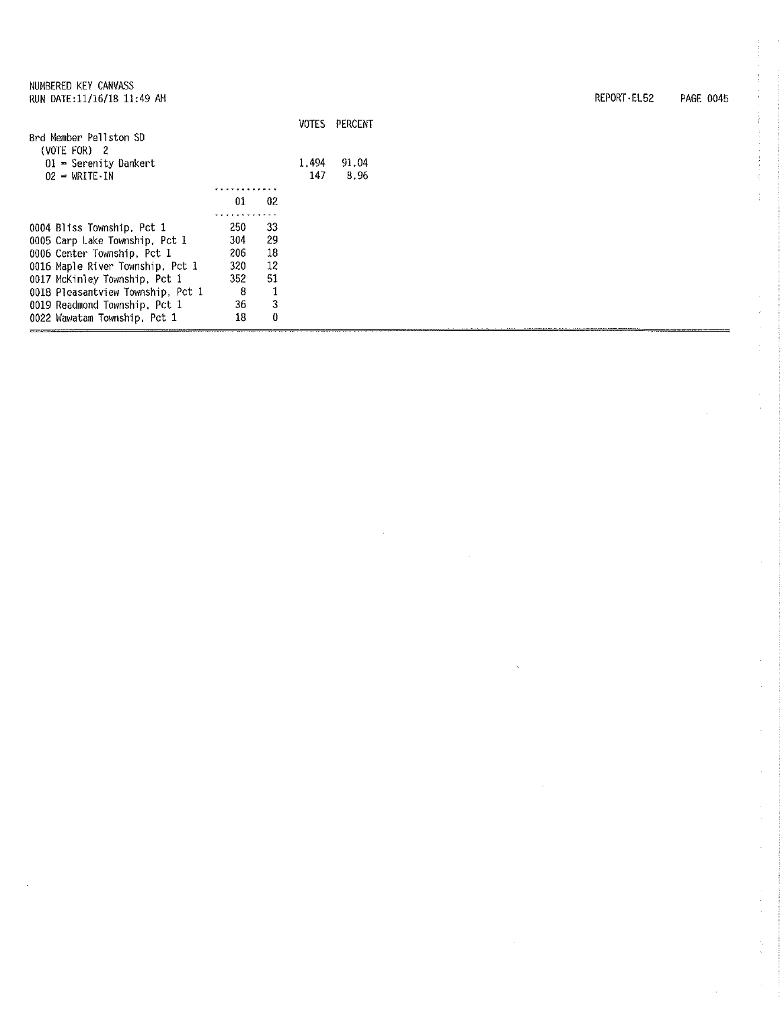|                                        |     |    | <b>VOTES</b> | PERCENT |
|----------------------------------------|-----|----|--------------|---------|
| Brd Member Pellston SD<br>(VOTE FOR) 2 |     |    |              |         |
| $01$ = Serenity Dankert                |     |    | 1.494        | 91.04   |
| $02 = \text{WRTE} \cdot \text{IN}$     |     |    | 147          | 8.96    |
|                                        |     |    |              |         |
|                                        | 01  | 02 |              |         |
|                                        |     |    |              |         |
| 0004 Bliss Township, Pct 1             | 250 | 33 |              |         |
| 0005 Carp Lake Township, Pct 1         | 304 | 29 |              |         |
| 0006 Center Township, Pct 1            | 206 | 18 |              |         |
| 0016 Maple River Township, Pct 1       | 320 | 12 |              |         |
| 0017 McKinley Township, Pct 1          | 352 | 51 |              |         |
| 0018 Pleasantview Township, Pct 1      | 8   |    |              |         |
| 0019 Readmond Township, Pct 1          | 36  | 3  |              |         |
| 0022 Wawatam Township, Pct 1           | 18  | 0  |              |         |

REPORT-EL52 PAGE 0045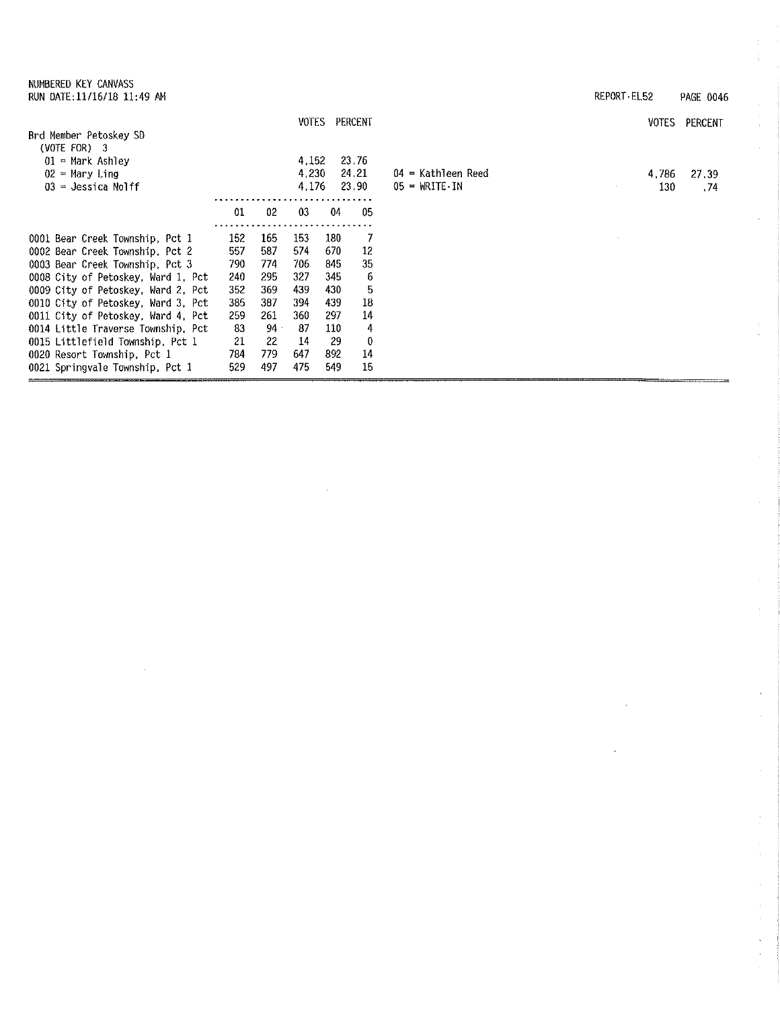0021 Springvale Township, Pct 1

REPORT•EL52 PAGE 0046 VOTES PERCENT VOTES PERCENT Brd Member Petoskey SD (VOTE FOR) 3 01 = Mark Ashley 4,152 23. 76  $02$  = Mary Ling 4,230 24.21 04 = Kathleen Reed 4,786 27,39  $03 =$  Jessica Nolff  $4,176$  23.90 23.90  $05 = \text{WRTTE} \cdot \text{IN}$ 130 .74 <u>. . . . . . . . . . . .</u> 01 02 03 04 <sup>05</sup>.............................. 0001 Bear Creek Township, Pct 1 152 165 153 180 7 0002 Bear Creek Township, Pct 2 557 587 574 670 12 0003 Bear Creek Township, Pct 3 790 774 706 **845** 35 0008 City of Petoskey, Ward 1, Pct 240 295 327 345 6 0009 City of Petoskey, Ward 2, Pct 352 369 439 430 5 0010 City of Petoskey, Ward 3, Pct 385 387 394 439 18 0011 City of Petoskey, Ward 4, Pct 259 261 360 297 14 0014 Little Traverse Township, Pct 83 94 87 110 4 0015 Littlefield Township, Pct 1 21 22 14 29 0 0020 Resort Township, Pct 1 784 779 647 892 14

529 497 475 549 15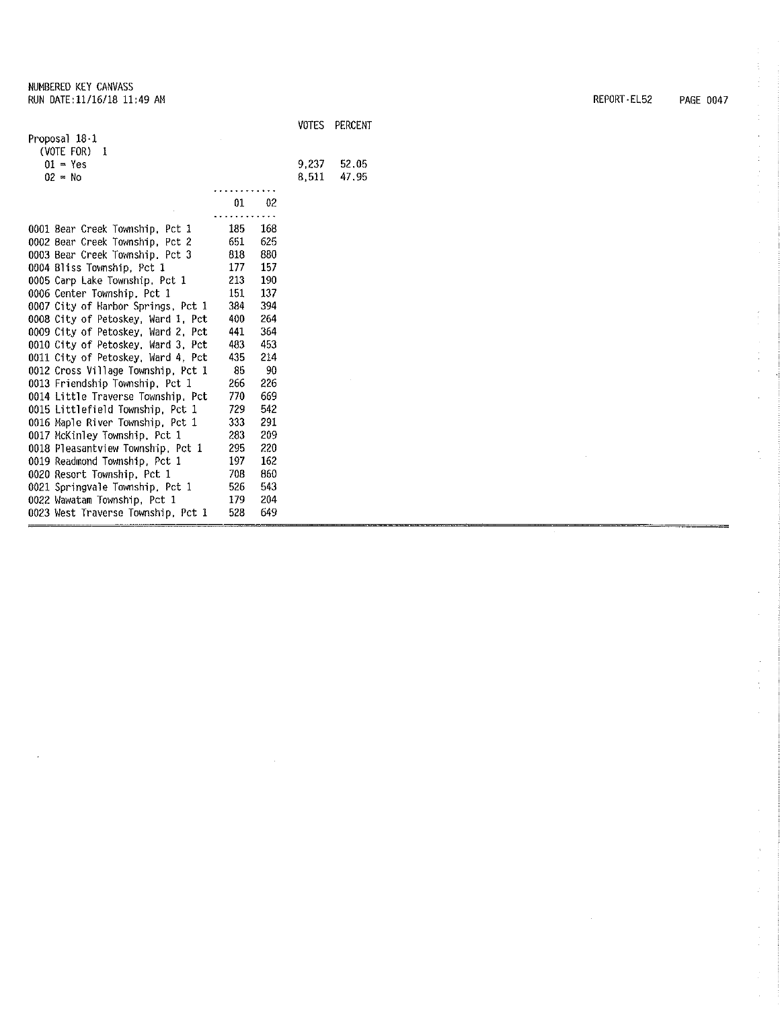$\mathcal{L}$ 

|                                    |     |     | <b>VOTES</b> | PERCENT |
|------------------------------------|-----|-----|--------------|---------|
| Proposal 18-1                      |     |     |              |         |
| (VOTE FOR)<br>1                    |     |     |              |         |
| $01 - Yes$                         |     |     | 9.237        | 52.05   |
| $02 = No$                          |     |     | 8.511        | 47.95   |
|                                    |     |     |              |         |
|                                    | 01  | 02  |              |         |
|                                    |     |     |              |         |
| 0001 Bear Creek Township, Pct 1    | 185 | 168 |              |         |
| 0002 Bear Creek Township, Pct 2    | 651 | 625 |              |         |
| 0003 Bear Creek Township, Pct 3    | 818 | 880 |              |         |
| 0004 Bliss Township, Pct 1         | 177 | 157 |              |         |
| 0005 Carp Lake Township, Pct 1     | 213 | 190 |              |         |
| 0006 Center Township, Pct 1        | 151 | 137 |              |         |
| 0007 City of Harbor Springs, Pct 1 | 384 | 394 |              |         |
| 0008 City of Petoskey, Ward 1. Pct | 400 | 264 |              |         |
| 0009 City of Petoskey, Ward 2, Pct | 441 | 364 |              |         |
| 0010 City of Petoskey, Ward 3, Pct | 483 | 453 |              |         |
| 0011 City of Petoskey, Ward 4, Pct | 435 | 214 |              |         |
| 0012 Cross Village Township, Pct 1 | 85  | 90  |              |         |
| 0013 Friendship Township, Pct 1    | 266 | 226 |              |         |
| 0014 Little Traverse Township, Pct | 770 | 669 |              |         |
| 0015 Littlefield Township, Pct 1   | 729 | 542 |              |         |
| 0016 Maple River Township, Pct 1   | 333 | 291 |              |         |
| 0017 McKinley Township, Pct 1      | 283 | 209 |              |         |
| 0018 Pleasantview Township, Pct 1  | 295 | 220 |              |         |
| 0019 Readmond Township, Pct 1      | 197 | 162 |              |         |
| 0020 Resort Township, Pct 1        | 708 | 860 |              |         |
| 0021 Springvale Township, Pct 1    | 526 | 543 |              |         |
| 0022 Wawatam Township, Pct 1       | 179 | 204 |              |         |
| 0023 West Traverse Township, Pct 1 | 528 | 649 |              |         |

REPORT-EL52 PAGE 0047

 $\hat{\mathcal{A}}$ 

 $\hat{\mathcal{L}}$ 

 $\frac{1}{2}$ 

 $\begin{array}{c} \mathcal{E} \\ \mathcal{E} \\ \mathcal{E} \end{array}$ 

 $\tilde{\mathbb{Q}}$ 

 $\bar{z}$ 

 $\bar{\tau}$ 

 $\cdot$  $\bar{z}$ 

 $\mathcal{A}$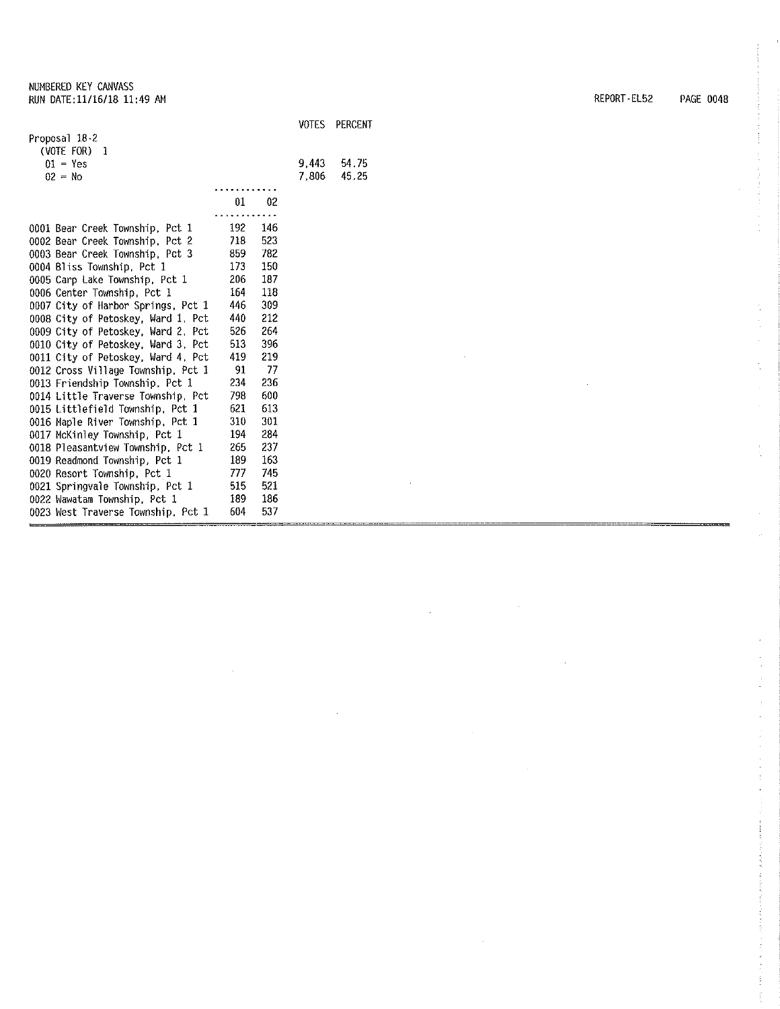|                                    |     |     | <b>VOTES</b> | PERCENT |
|------------------------------------|-----|-----|--------------|---------|
| Proposal 18-2                      |     |     |              |         |
| (VOTE FOR)<br>-1                   |     |     |              |         |
| $01 - Yes$                         |     |     | 9.443        | 54.75   |
| $02 = No$                          |     |     | 7,806        | 45.25   |
|                                    |     |     |              |         |
|                                    | 01  | 02  |              |         |
|                                    |     |     |              |         |
| 0001 Bear Creek Township, Pct 1    | 192 | 146 |              |         |
| 0002 Bear Creek Township, Pct 2    | 718 | 523 |              |         |
| 0003 Bear Creek Township, Pct 3    | 859 | 782 |              |         |
| 0004 Bliss Township, Pct 1         | 173 | 150 |              |         |
| 0005 Carp Lake Township, Pct 1     | 206 | 187 |              |         |
| 0006 Center Township, Pct 1        | 164 | 118 |              |         |
| 0007 City of Harbor Springs, Pct 1 | 446 | 309 |              |         |
| 0008 City of Petoskey, Ward 1, Pct | 440 | 212 |              |         |
| 0009 City of Petoskey, Ward 2, Pct | 526 | 264 |              |         |
| 0010 City of Petoskey, Ward 3, Pct | 513 | 396 |              |         |
| 0011 City of Petoskey, Ward 4, Pct | 419 | 219 |              |         |
| 0012 Cross Village Township, Pct 1 | 91  | 77  |              |         |
| 0013 Friendship Township, Pct 1    | 234 | 236 |              |         |
| 0014 Little Traverse Township, Pct | 798 | 600 |              |         |
| 0015 Littlefield Township, Pct 1   | 621 | 613 |              |         |
| 0016 Maple River Township, Pct 1   | 310 | 301 |              |         |
| 0017 McKinley Township, Pct 1      | 194 | 284 |              |         |
| 0018 Pleasantview Township, Pct 1  | 265 | 237 |              |         |
| 0019 Readmond Township, Pct 1      | 189 | 163 |              |         |
| 0020 Resort Township, Pct 1        | 777 | 745 |              |         |
| 0021 Springvale Township, Pct 1    | 515 | 521 |              |         |
| 0022 Wawatam Township, Pct 1       | 189 | 186 |              |         |
| 0023 West Traverse Township, Pct 1 | 604 | 537 |              |         |

REPORT· EL52 PAGE 0048

i,

 $\bar{z}$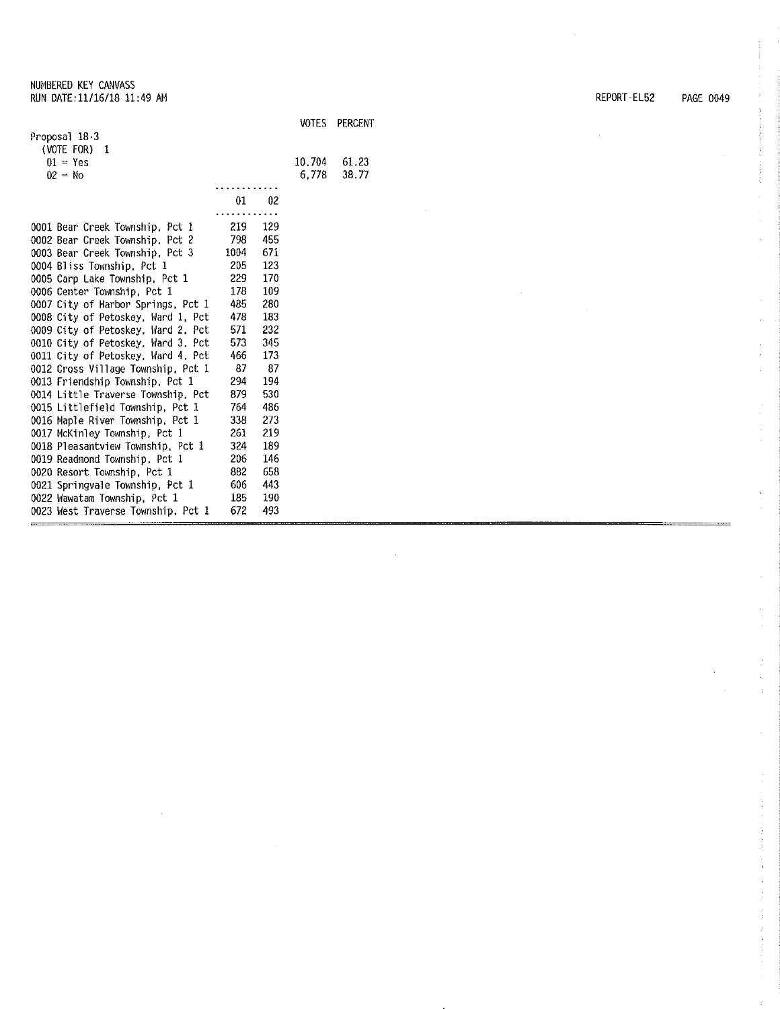æ

|                                    |      |     | <b>VOTES</b> | PERCENT |
|------------------------------------|------|-----|--------------|---------|
| Proposal 18-3                      |      |     |              |         |
| (VOTE FOR)<br>1                    |      |     |              |         |
| $01 = Yes$                         |      |     | 10.704       | 61.23   |
| $02 = No$                          |      |     | 6.778        | 38.77   |
|                                    |      |     |              |         |
|                                    | 01   | 02  |              |         |
|                                    |      |     |              |         |
| 0001 Bear Creek Township, Pct 1    | 219  | 129 |              |         |
| 0002 Bear Creek Township, Pct 2    | 798  | 455 |              |         |
| 0003 Bear Creek Township, Pct 3    | 1004 | 671 |              |         |
| 0004 Bliss Township, Pct 1         | 205  | 123 |              |         |
| 0005 Carp Lake Township, Pct 1     | 229  | 170 |              |         |
| 0006 Center Township, Pct 1        | 178  | 109 |              |         |
| 0007 City of Harbor Springs, Pct 1 | 485  | 280 |              |         |
| 0008 City of Petoskey, Ward 1, Pct | 478  | 183 |              |         |
| 0009 City of Petoskey, Ward 2, Pct | 571  | 232 |              |         |
| 0010 City of Petoskey, Ward 3, Pct | 573  | 345 |              |         |
| 0011 City of Petoskey, Ward 4, Pct | 466  | 173 |              |         |
| 0012 Cross Village Township, Pct 1 | 87   | -87 |              |         |
| 0013 Friendship Township, Pct 1    | 294  | 194 |              |         |
| 0014 Little Traverse Township, Pct | 879  | 530 |              |         |
| 0015 Littlefield Township, Pct 1   | 764  | 486 |              |         |
| 0016 Maple River Township, Pct 1   | 338  | 273 |              |         |
| 0017 McKinley Township, Pct 1      | 261  | 219 |              |         |
| 0018 Pleasantview Township, Pct 1  | 324  | 189 |              |         |
| 0019 Readmond Township, Pct 1      | 206  | 146 |              |         |
| 0020 Resort Township, Pct 1        | 882  | 658 |              |         |
| 0021 Springvale Township, Pct 1    | 606  | 443 |              |         |
| 0022 Wawatam Township, Pct 1       | 185  | 190 |              |         |
| 0023 West Traverse Township, Pct 1 | 672  | 493 |              |         |

---------

 $\hat{\mathcal{A}}$ 

REPDRT-EL52 PAGE 0049

 $\mathcal{A}^{\pm}$ 

ł,

ĵ

÷,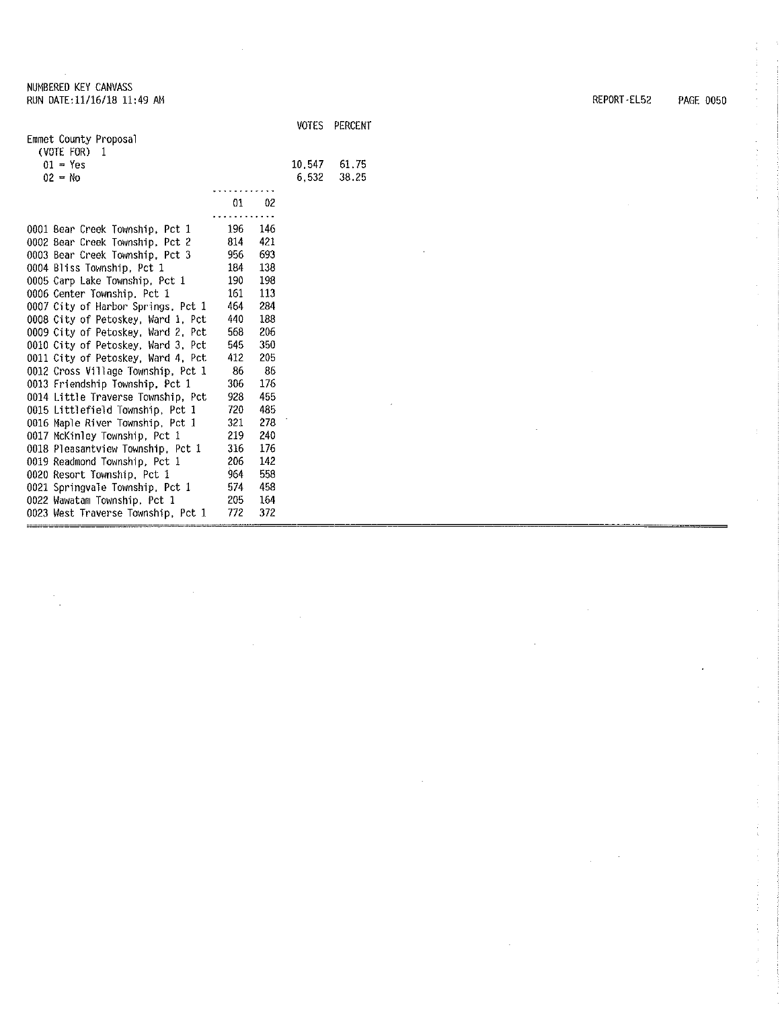0023 West Traverse Township, Pct 1

|                                               |     | <b>VOTES</b> | PERCENT |
|-----------------------------------------------|-----|--------------|---------|
| Emmet County Proposal                         |     |              |         |
| (VOTE FOR)<br>-1                              |     |              |         |
| $01 - Yes$                                    |     | 10.547       | 61.75   |
| $02 = No$                                     |     | 6.532        | 38.25   |
|                                               |     |              |         |
| 01                                            | 02  |              |         |
|                                               | 146 |              |         |
| 196<br>0001 Bear Creek Township, Pct 1<br>814 | 421 |              |         |
| 0002 Bear Creek Township, Pct 2<br>956        | 693 |              |         |
| 0003 Bear Creek Township, Pct 3               | 138 |              |         |
| 0004 Bliss Township, Pct 1<br>184             |     |              |         |
| 0005 Carp Lake Township, Pct 1<br>190         | 198 |              |         |
| 161<br>0006 Center Township, Pct 1            | 113 |              |         |
| 464<br>0007 City of Harbor Springs, Pct 1     | 284 |              |         |
| 440<br>0008 City of Petoskey, Ward 1, Pct     | 188 |              |         |
| 568<br>0009 City of Petoskey, Ward 2, Pct     | 206 |              |         |
| 545<br>0010 City of Petoskey, Ward 3, Pct     | 350 |              |         |
| 412<br>0011 City of Petoskey, Ward 4, Pct     | 205 |              |         |
| 86<br>0012 Cross Village Township, Pct 1      | 86  |              |         |
| 0013 Friendship Township, Pct 1<br>306        | 176 |              |         |
| 0014 Little Traverse Township, Pct<br>928     | 455 |              |         |
| 720<br>0015 Littlefield Township, Pct 1       | 485 |              |         |
| 321<br>0016 Maple River Township, Pct 1       | 278 |              |         |
| 219<br>0017 McKinley Township, Pct 1          | 240 |              |         |
| 316<br>0018 Pleasantview Township, Pct 1      | 176 |              |         |
| 206<br>0019 Readmond Township, Pct 1          | 142 |              |         |
| 964<br>0020 Resort Township, Pct 1            | 558 |              |         |
| 574<br>0021 Springvale Township, Pct 1        | 458 |              |         |
| 205<br>0022 Wawatam Township, Pct 1           | 164 |              |         |

772 372

REPORT-EL52 PAGE 0050

 $\frac{1}{3}$ 

 $\sim$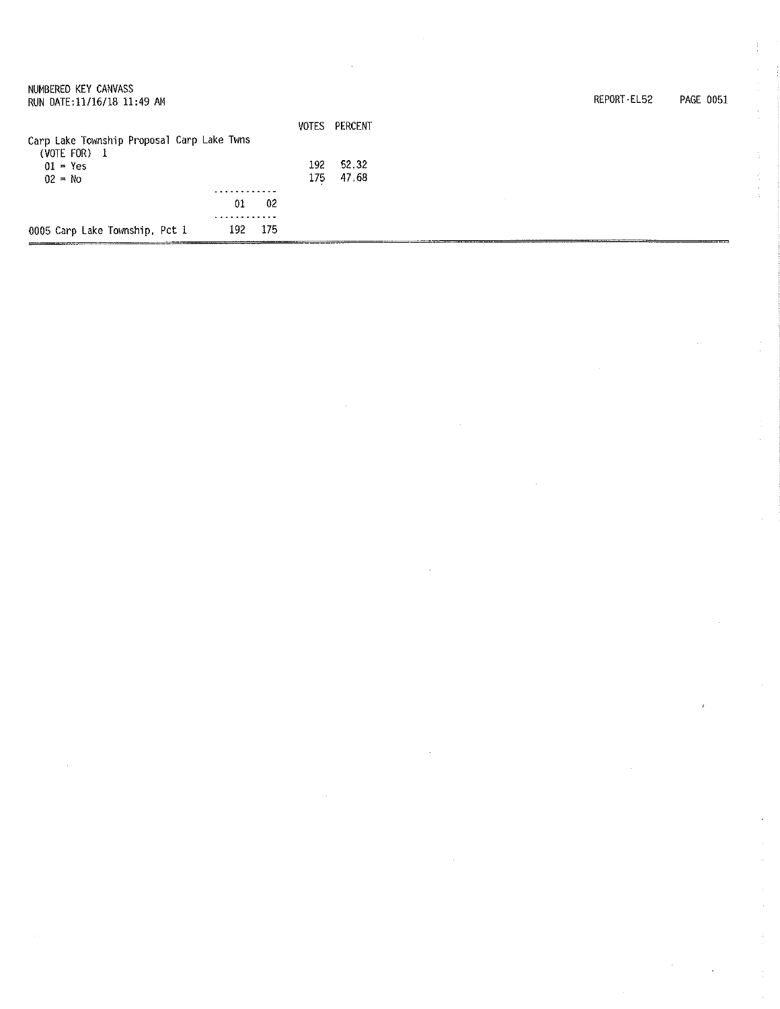| NUMBERED KEY CANVASS                                       |     |               |  | REPORT-EL52 | PAGE 0051 |
|------------------------------------------------------------|-----|---------------|--|-------------|-----------|
| RUN DATE:11/16/18 11:49 AM                                 |     |               |  |             |           |
|                                                            |     | VOTES PERCENT |  |             |           |
| Carp Lake Township Proposal Carp Lake Twns<br>(VOTE FOR) 1 |     |               |  |             |           |
| $01 - Yes$                                                 | 192 | 52.32         |  |             |           |
| $02 = No$                                                  | 175 | 47.68         |  |             |           |
|                                                            |     |               |  |             |           |
| 01                                                         | 02  |               |  |             |           |
|                                                            |     |               |  |             |           |
| 192.<br>0005 Carp Lake Township, Pct 1                     | 175 |               |  |             |           |

 $\mathcal{A}^{(1)}$ 

 $\sim$   $\epsilon$ 

 $\label{eq:2.1} \frac{1}{\sqrt{2}}\sum_{i=1}^n\frac{1}{\sqrt{2}}\sum_{i=1}^n\frac{1}{\sqrt{2}}\sum_{i=1}^n\frac{1}{\sqrt{2}}\sum_{i=1}^n\frac{1}{\sqrt{2}}\sum_{i=1}^n\frac{1}{\sqrt{2}}\sum_{i=1}^n\frac{1}{\sqrt{2}}\sum_{i=1}^n\frac{1}{\sqrt{2}}\sum_{i=1}^n\frac{1}{\sqrt{2}}\sum_{i=1}^n\frac{1}{\sqrt{2}}\sum_{i=1}^n\frac{1}{\sqrt{2}}\sum_{i=1}^n\frac$ 

 $\frac{1}{3}$ 

 $\mathcal{A}_{\mathcal{A}}$ 

 $\epsilon$ 

 $\label{eq:2} \frac{1}{\sqrt{2}}\left(\frac{1}{\sqrt{2}}\right)^2\left(\frac{1}{\sqrt{2}}\right)^2.$ 

 $\label{eq:2.1} \mathcal{L}(\mathcal{L}^{\text{c}}_{\text{c}}) = \mathcal{L}(\mathcal{L}^{\text{c}}_{\text{c}}) \mathcal{L}(\mathcal{L}^{\text{c}}_{\text{c}})$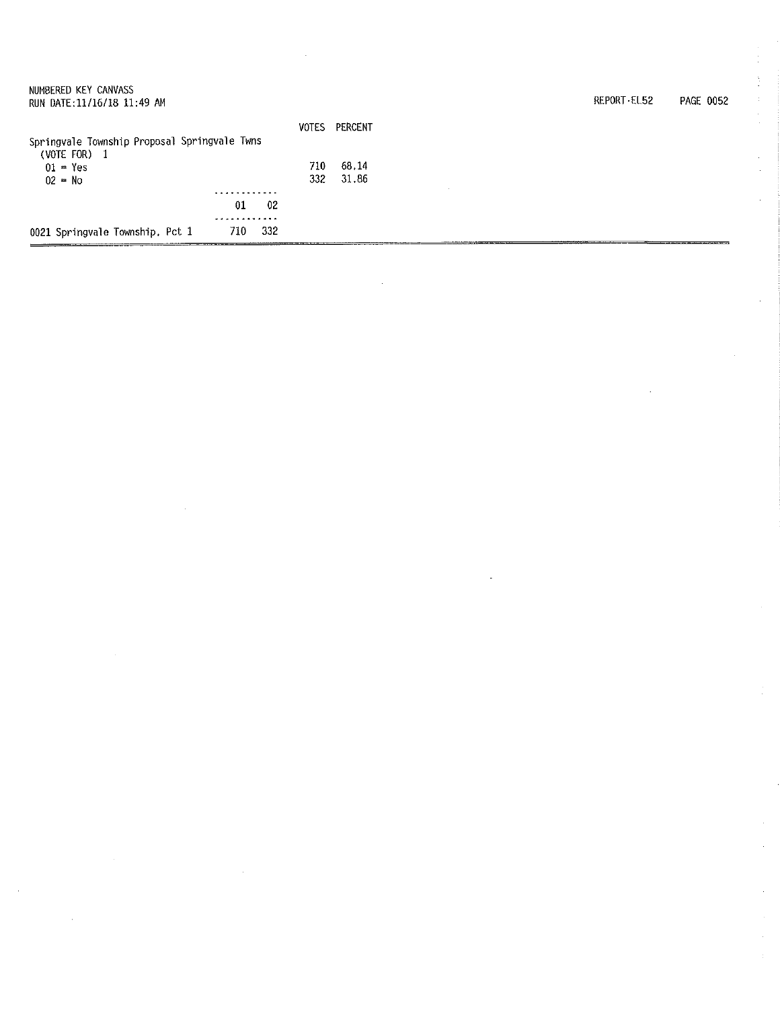| 0021 Springvale Township, Pct 1                    | -332<br>710 |       |         |  |                          |
|----------------------------------------------------|-------------|-------|---------|--|--------------------------|
|                                                    | 01<br>02    |       |         |  |                          |
|                                                    |             |       |         |  |                          |
| 02 = No                                            |             | 332   | 31.86   |  |                          |
| (VOTE FOR) $1$<br>$01 = Yes$                       |             | 710   | 68.14   |  |                          |
| Springvale Township Proposal Springvale Twns       |             | VOTES | PERCENT |  |                          |
|                                                    |             |       |         |  |                          |
| NUMBERED KEY CANVASS<br>RUN DATE:11/16/18 11:49 AM |             |       |         |  | REPORT-EL52<br>PAGE 0052 |

 $\mathcal{L}(\mathcal{A})$ 

 $\mathcal{O}(\mathcal{F}^{\mathrm{c}})$ 

 $\hat{\mathcal{L}}$ 

 $\mathcal{L}(\mathcal{L})$  .

 $\label{eq:2.1} \frac{1}{\sqrt{2}}\sum_{i=1}^n\frac{1}{\sqrt{2}}\sum_{i=1}^n\frac{1}{\sqrt{2}}\sum_{i=1}^n\frac{1}{\sqrt{2}}\sum_{i=1}^n\frac{1}{\sqrt{2}}\sum_{i=1}^n\frac{1}{\sqrt{2}}\sum_{i=1}^n\frac{1}{\sqrt{2}}\sum_{i=1}^n\frac{1}{\sqrt{2}}\sum_{i=1}^n\frac{1}{\sqrt{2}}\sum_{i=1}^n\frac{1}{\sqrt{2}}\sum_{i=1}^n\frac{1}{\sqrt{2}}\sum_{i=1}^n\frac$ 

 $\frac{1}{2} \frac{1}{2} \frac{1}{2}$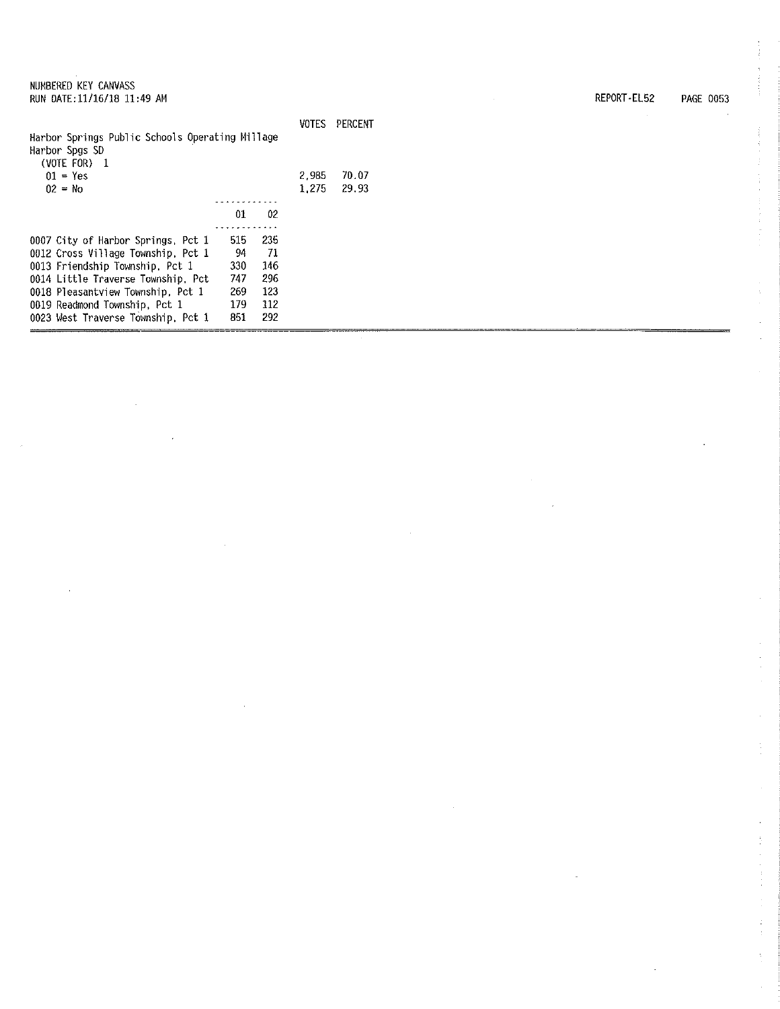| Harbor Springs Public Schools Operating Millage<br>Harbor Spgs SD |     |     | VOTES | PERCENT |
|-------------------------------------------------------------------|-----|-----|-------|---------|
| (VOTE FOR)<br>$\overline{1}$                                      |     |     |       |         |
| $01 = Yes$                                                        |     |     | 2.985 | 70.07   |
| $02 = No$                                                         |     |     | 1.275 | 29.93   |
|                                                                   |     |     |       |         |
|                                                                   | 01  | 02  |       |         |
|                                                                   |     |     |       |         |
| 0007 City of Harbor Springs, Pct 1                                | 515 | 235 |       |         |
| 0012 Cross Village Township, Pct 1                                | 94  | -71 |       |         |
| 0013 Friendship Township, Pct 1                                   | 330 | 146 |       |         |
| 0014 Little Traverse Township, Pct                                | 747 | 296 |       |         |
| 0018 Pleasantview Township, Pct 1                                 | 269 | 123 |       |         |
| 0019 Readmond Township, Pct 1                                     | 179 | 112 |       |         |
| 0023 West Traverse Township, Pct 1                                | 851 | 292 |       |         |
|                                                                   |     |     |       |         |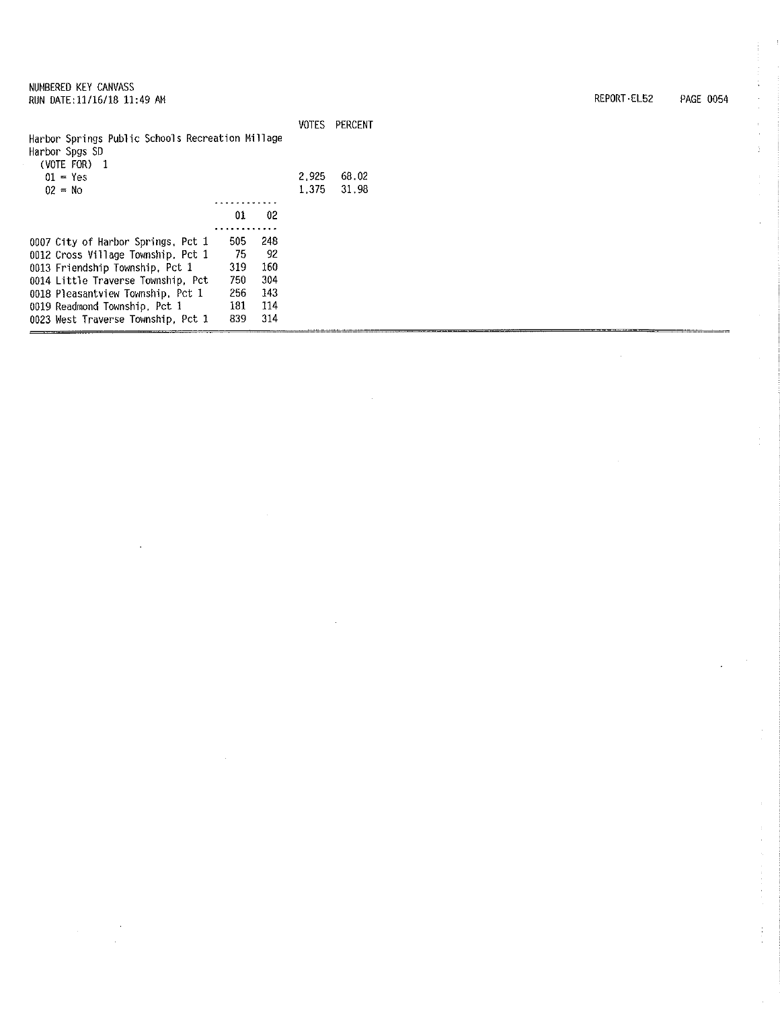| Harbor Springs Public Schools Recreation Millage |     |     |       |       |
|--------------------------------------------------|-----|-----|-------|-------|
| Harbor Spgs SD                                   |     |     |       |       |
| (VOTE FOR)<br>- 1                                |     |     |       |       |
| $01 = Yes$                                       |     |     | 2.925 | 68.02 |
| $02 = No$                                        |     |     | 1.375 | 31.98 |
|                                                  |     |     |       |       |
|                                                  | 01  | 02  |       |       |
|                                                  |     |     |       |       |
| 0007 City of Harbor Springs, Pct 1               | 505 | 248 |       |       |
| 0012 Cross Village Township, Pct 1               | 75  | 92  |       |       |
| 0013 Friendship Township, Pct 1                  | 319 | 160 |       |       |
| 0014 Little Traverse Township, Pct               | 750 | 304 |       |       |
| 0018 Pleasantview Township, Pct 1                | 256 | 143 |       |       |
| 0019 Readmond Township, Pct 1                    | 181 | 114 |       |       |
| 0023 West Traverse Township, Pct 1               | 839 | 314 |       |       |
|                                                  |     |     |       |       |

VOTES PERCENT

REPORT-EL52 PAGE 0054

 $\bar{z}$ 

 $\hat{\mathbf{r}}$  $\cdot$ 

à.

÷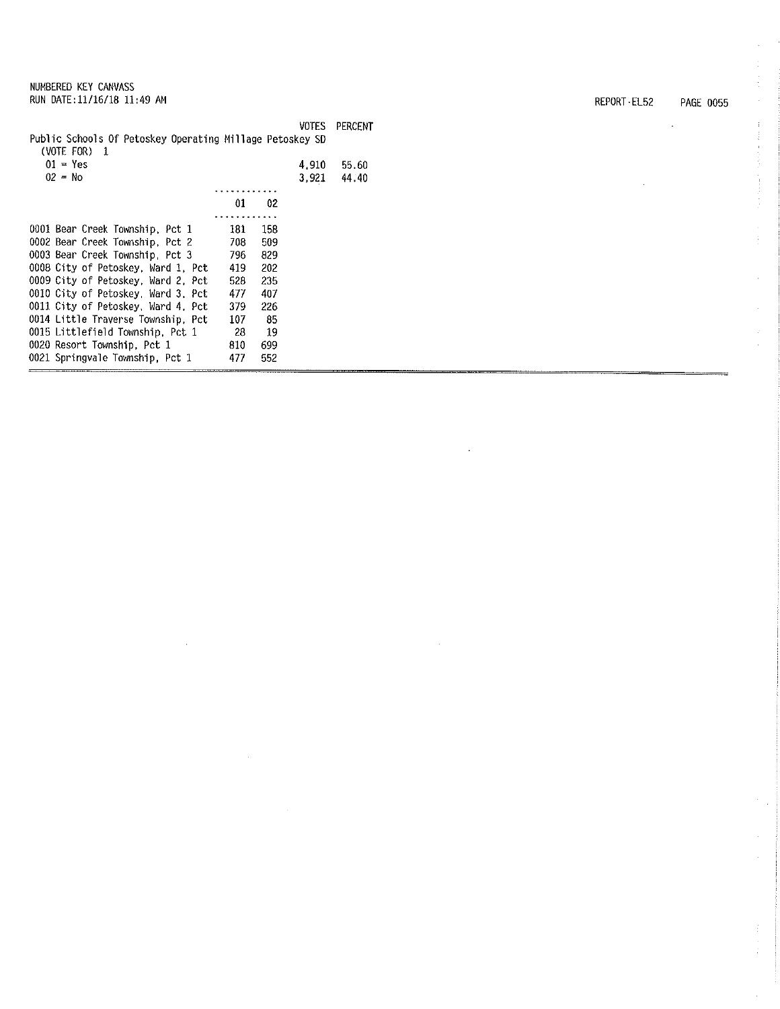|  | NUMBERED KEY CANVASS |                             |  |
|--|----------------------|-----------------------------|--|
|  |                      | RUN DATE: 11/16/18 11:49 AM |  |

| Public Schools Of Petoskey Operating Millage Petoskey SD<br>(VOTE FOR)<br>$\mathbf{1}$ |     |     | <b>VOTES</b> | PERCENT        |
|----------------------------------------------------------------------------------------|-----|-----|--------------|----------------|
| $01 = Yes$<br>$02 = No$                                                                |     |     | 4.910        | 55.60<br>44.40 |
|                                                                                        |     |     | 3,921        |                |
|                                                                                        | 01  | 02  |              |                |
|                                                                                        | .   |     |              |                |
| 0001 Bear Creek Township, Pct 1                                                        | 181 | 158 |              |                |
| 0002 Bear Creek Township, Pct 2                                                        | 703 | 509 |              |                |
| 0003 Bear Creek Township, Pct 3                                                        | 796 | 829 |              |                |
| 0008 City of Petoskey, Ward 1, Pct                                                     | 419 | 202 |              |                |
| 0009 City of Petoskey, Ward 2. Pct                                                     | 528 | 235 |              |                |
| 0010 City of Petoskey, Ward 3, Pct                                                     | 477 | 407 |              |                |
| 0011 City of Petoskey, Ward 4, Pct                                                     | 379 | 226 |              |                |
| 0014 Little Traverse Township, Pct                                                     | 107 | 85  |              |                |
| 0015 Littlefield Township, Pct 1                                                       | -28 | 19  |              |                |
| 0020 Resort Township, Pct 1                                                            | 810 | 699 |              |                |
| 0021 Springvale Township, Pct 1                                                        | 477 | 552 |              |                |
|                                                                                        |     |     |              |                |

 $\bar{z}$ 

REPORT-EL52 PAGE 0055

l.

 $\ddot{\phantom{a}}$